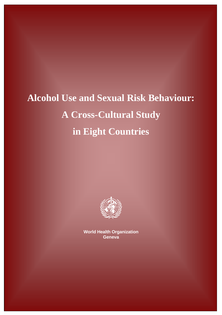# **Alcohol Use and Sexual Risk Behaviour: A Cross-Cultural Study in Eight Countries**



**World Health Organization Geneva**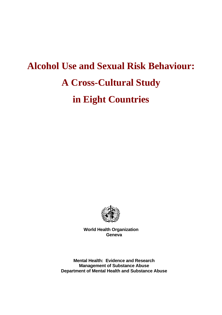# **Alcohol Use and Sexual Risk Behaviour: A Cross-Cultural Study in Eight Countries**



**World Health Organization Geneva**

**Mental Health: Evidence and Research Management of Substance Abuse Department of Mental Health and Substance Abuse**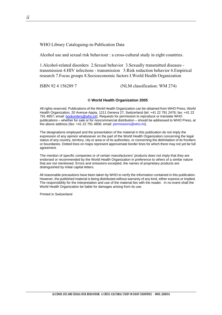WHO Library Cataloguing-in-Publication Data

Alcohol use and sexual risk behaviour : a cross-cultural study in eight countries.

1.Alcohol-related disorders 2.Sexual behavior 3.Sexually transmitted diseases transmission 4.HIV infections - transmission 5.Risk reduction behavior 6.Empirical research 7.Focus groups 8.Socioeconomic factors I.World Health Organization

ISBN 92 4 156289 7 (NLM classification: WM 274)

#### **© World Health Organization 2005**

All rights reserved. Publications of the World Health Organization can be obtained from WHO Press, World Health Organization, 20 Avenue Appia, 1211 Geneva 27, Switzerland (tel: +41 22 791 2476; fax: +41 22 791 4857; email: **bookorders@who.int**). Requests for permission to reproduce or translate WHO publications – whether for sale or for noncommercial distribution – should be addressed to WHO Press, at the above address (fax: +41 22 791 4806; email: permissions@who.int).

The designations employed and the presentation of the material in this publication do not imply the expression of any opinion whatsoever on the part of the World Health Organization concerning the legal status of any country, territory, city or area or of its authorities, or concerning the delimitation of its frontiers or boundaries. Dotted lines on maps represent approximate border lines for which there may not yet be full agreement.

The mention of specific companies or of certain manufacturers' products does not imply that they are endorsed or recommended by the World Health Organization in preference to others of a similar nature that are not mentioned. Errors and omissions excepted, the names of proprietary products are distinguished by initial capital letters.

All reasonable precautions have been taken by WHO to verify the information contained in this publication. However, the published material is being distributed without warranty of any kind, either express or implied. The responsibility for the interpretation and use of the material lies with the reader. In no event shall the World Health Organization be liable for damages arising from its use.

Printed in Switzerland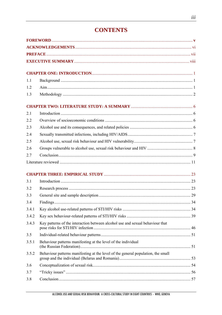# **CONTENTS**

| 1.1   |                                                                                  |  |
|-------|----------------------------------------------------------------------------------|--|
| 1.2   |                                                                                  |  |
| 1.3   |                                                                                  |  |
|       |                                                                                  |  |
| 2.1   |                                                                                  |  |
| 2.2   |                                                                                  |  |
| 2.3   |                                                                                  |  |
| 2.4   |                                                                                  |  |
| 2.5   |                                                                                  |  |
| 2.6   |                                                                                  |  |
| 2.7   |                                                                                  |  |
|       |                                                                                  |  |
|       |                                                                                  |  |
| 3.1   |                                                                                  |  |
| 3.2   |                                                                                  |  |
| 3.3   |                                                                                  |  |
| 3.4   |                                                                                  |  |
| 3.4.1 |                                                                                  |  |
| 3.4.2 |                                                                                  |  |
| 3.4.3 | Key patterns of the interaction between alcohol use and sexual behaviour that    |  |
| 3.5   |                                                                                  |  |
| 3.5.1 | Behaviour patterns manifesting at the level of the individual                    |  |
| 3.5.2 | Behaviour patterns manifesting at the level of the general population, the small |  |
| 3.6   |                                                                                  |  |
| 3.7   |                                                                                  |  |
| 3.8   |                                                                                  |  |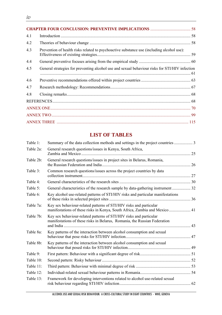| 4.1 |                                                                                                |  |  |  |
|-----|------------------------------------------------------------------------------------------------|--|--|--|
| 4.2 |                                                                                                |  |  |  |
| 4.3 | Prevention of health risks related to psychoactive substance use (including alcohol use):      |  |  |  |
| 4.4 |                                                                                                |  |  |  |
| 4.5 | General strategies for preventing alcohol use and sexual behaviour risks for STI/HIV infection |  |  |  |
| 4.6 |                                                                                                |  |  |  |
| 4.7 |                                                                                                |  |  |  |
| 4.8 |                                                                                                |  |  |  |
|     |                                                                                                |  |  |  |
|     |                                                                                                |  |  |  |
|     |                                                                                                |  |  |  |
|     |                                                                                                |  |  |  |

## **LIST OF TABLES**

| Table 1:  |                                                                                                                                                  |    |
|-----------|--------------------------------------------------------------------------------------------------------------------------------------------------|----|
| Table 2a: | General research questions/issues in Kenya, South Africa,                                                                                        |    |
| Table 2b: | General research questions/issues in project sites in Belarus, Romania,                                                                          | 26 |
| Table 3:  | Common research questions/issues across the project countries by data                                                                            |    |
| Table 4:  |                                                                                                                                                  |    |
| Table 5:  | General characteristics of the research sample by data-gathering instrument 32                                                                   |    |
| Table 6:  | Key alcohol use-related patterns of STI/HIV risks and particular manifestations                                                                  |    |
| Table 7a: | Key sex behaviour-related patterns of STI/HIV risks and particular<br>manifestations of these risks in Kenya, South Africa, Zambia and Mexico 41 |    |
| Table 7b: | Key sex behaviour-related patterns of STI/HIV risks and particular<br>manifestations of these risks in Belarus, Romania, the Russian Federation  |    |
| Table 8a: | Key patterns of the interaction between alcohol consumption and sexual                                                                           |    |
| Table 8b: | Key patterns of the interaction between alcohol consumption and sexual                                                                           |    |
| Table 9:  |                                                                                                                                                  |    |
| Table 10: |                                                                                                                                                  |    |
| Table 11: |                                                                                                                                                  |    |
| Table 12: |                                                                                                                                                  |    |
| Table 13: | Framework for developing interventions related to alcohol use-related sexual                                                                     |    |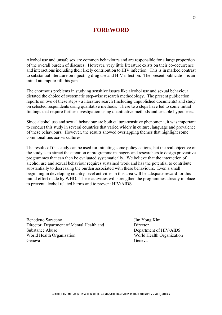## **FOREWORD**

Alcohol use and unsafe sex are common behaviours and are responsible for a large proportion of the overall burden of diseases. However, very little literature exists on their co-occurrence and interactions including their likely contribution to HIV infection. This is in marked contrast to substantial literature on injecting drug use and HIV infection. The present publication is an initial attempt to fill this gap.

The enormous problems in studying sensitive issues like alcohol use and sexual behaviour dictated the choice of systematic step-wise research methodology. The present publication reports on two of these steps - a literature search (including unpublished documents) and study on selected respondents using qualitative methods. These two steps have led to some initial findings that require further investigation using quantitative methods and testable hypotheses.

Since alcohol use and sexual behaviour are both culture-sensitive phenomena, it was important to conduct this study in several countries that varied widely in culture, language and prevalence of these behaviours. However, the results showed overlapping themes that highlight some commonalities across cultures.

The results of this study can be used for initiating some policy actions, but the real objective of the study is to attract the attention of programme managers and researchers to design preventive programmes that can then be evaluated systematically. We believe that the interaction of alcohol use and sexual behaviour requires sustained work and has the potential to contribute substantially to decreasing the burden associated with these behaviours. Even a small beginning in developing country-level activities in this area will be adequate reward for this initial effort made by WHO. These activities will strengthen the programmes already in place to prevent alcohol related harms and to prevent HIV/AIDS.

Benedetto Saraceno Jim Yong Kim Director, Department of Mental Health and Director Substance Abuse **Department of HIV/AIDS** World Health Organization World Health Organization Geneva Geneva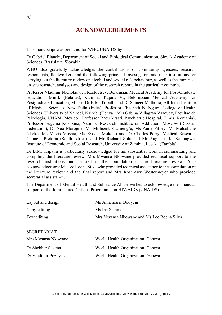## **ACKNOWLEDGEMENTS**

This manuscript was prepared for WHO/UNAIDS by:

Dr Gabriel Bianchi, Department of Social and Biological Communication, Slovak Academy of Sciences, Bratislava, Slovakia.

WHO also gratefully acknowledges the contributions of community agencies, research respondents, fieldworkers and the following principal investigators and their institutions for carrying out the literature review on alcohol and sexual risk behaviour, as well as the empirical on-site research, analyses and design of the research reports in the particular countries:

Professor Vladimir Nicholaevich Rostovtsev, Belarusian Medical Academy for Post-Graduate Education, Minsk (Belarus), Kalinina Tatjana V., Belorussian Medical Academy for Postgraduate Education, Minsk, Dr B.M. Tripathi and Dr Sameer Malhotra, All-India Institute of Medical Sciences, New Delhi (India), Professor Elizabeth N. Ngugi, College of Health Sciences, University of Nairobi, Nairobi (Kenya), Mrs Gabina Villagran Vazquez, Facultad de Psicologia, UNAM (Mexico), Professor Radu Vrasti, Psychiatric Hospital, Timis (Romania), Professor Eugenia Koshkina, National Research Institute on Addiction, Moscow (Russian Federation), Dr Neo Morojele**,** Ms Millicent Kachieng'a, Ms Anne Pithey, Mr Matsobane Nkoko, Ms Mavis Moshia, Ms Evodia Mokoko and Dr Charles Parry, Medical Research Council, Pretoria (South Africa), and Mr Richard Zulu and Mr Augustus K. Kapungwe, Institute of Economic and Social Research, University of Zambia, Lusaka (Zambia).

Dr B.M. Tripathi is particularly acknowledged for his substantial work in summarizing and compiling the literature review. Mrs Mwansa Nkowane provided technical support to the research institutions and assisted in the compilation of the literature review. Also acknowledged are: Ms Lee Rocha Silva who provided technical assistance to the compilation of the literature review and the final report and Mrs Rosemary Westermeyer who provided secretarial assistance.

The Department of Mental Health and Substance Abuse wishes to acknowledge the financial support of the Joint United Nations Programme on HIV/AIDS (UNAIDS).

| Layout and design   | Ms Annemarie Booyens                      |
|---------------------|-------------------------------------------|
| Copy-editing        | Ms Ina Stahmer                            |
| Text editing        | Mrs Mwansa Nkowane and Ms Lee Rocha Silva |
| <b>SECRETARIAT</b>  |                                           |
| Mrs Mwansa Nkowane  | World Health Organization, Geneva         |
| Dr Shekhar Saxena   | World Health Organization, Geneva         |
| Dr Vladimir Poznyak | World Health Organization, Geneva         |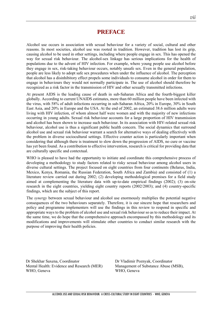## **PREFACE**

Alcohol use occurs in association with sexual behaviour for a variety of social, cultural and other reasons. In most societies, alcohol use was rooted in tradition. However, tradition has lost its grip, causing alcohol to be used in other settings, including where people engage in sex. This has opened the way for sexual risk behaviour. The alcohol-sex linkage has serious implications for the health of populations due to the advent of HIV infection. For example, where young people use alcohol before they engage in sex, risk-taking behaviour occurs, notably unsafe sex. Even in the general population, people are less likely to adopt safe sex procedures when under the influence of alcohol. The perception that alcohol has a disinhibitory effect propels some individuals to consume alcohol in order for them to engage in behaviours they would not normally participate in. The use of alcohol should therefore be recognized as a risk factor in the transmission of HIV and other sexually transmitted infections.

At present AIDS is the leading cause of death in sub-Saharan Africa and the fourth-biggest killer globally. According to current UNAIDS estimates, more than 60 million people have been infected with the virus, with 58% of adult infections occurring in sub-Saharan Africa, 20% in Europe, 30% in South East Asia, and 20% in Europe and the USA. At the end of 2002, an estimated 38.6 million adults were living with HIV infection, of whom almost half were women and with the majority of new infections occurring in young adults. Sexual risk behaviour accounts for a large proportion of HIV transmission and alcohol has been shown to increase such behaviour. In its association with HIV-related sexual risk behaviour, alcohol use is thus a significant public health concern. The social dynamics that surround alcohol use and sexual risk behaviour warrant a search for alternative ways of dealing effectively with the problem in diverse sociocultural settings. Effective counter action is particularly important when considering that although there is treatment to slow down the progression of AIDS, no cure or vaccine has yet been found. As a contribution to effective intervention, research is critical for providing data that are culturally specific and contextual.

WHO is pleased to have had the opportunity to initiate and coordinate this comprehensive process of developing a methodology to study factors related to risky sexual behaviour among alcohol users in diverse cultural settings. The project focused on eight countries from four continents (Belarus, India, Mexico, Kenya, Romania, the Russian Federation, South Africa and Zambia) and consisted of (1) a literature review carried out during 2002; (2) developing methodological premises for a field study aimed at complementing the literature data with up-to-date empirical findings (2002); (3) on-site research in the eight countries, yielding eight country reports (2002/2003); and (4) country-specific findings, which are the subject of this report.

The *synergy* between sexual behaviour and alcohol use enormously multiplies the potential negative consequences of the two behaviours separately. Therefore, it is our sincere hope that researchers and policy and programme implementers will use the findings in this review to respond in specific and appropriate ways to the problem of alcohol use and sexual risk behaviour so as to reduce their impact. At the same time, we do hope that the comprehensive approach encompassed by this methodology and its modifications and improvements will stimulate other countries to conduct similar research with the purpose of improving their health policies.

Dr Shekhar Saxena, Coordinator Mental Health: Evidence and Research (MER) WHO, Geneva

Dr Vladimir Poznyak, Coordinator Management of Substance Abuse (MSB), WHO, Geneva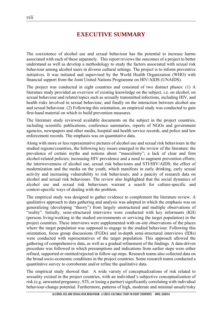# **EXECUTIVE SUMMARY**

The coexistence of alcohol use and sexual behaviour has the potential to increase harms associated with each of these separately. This report reviews the outcomes of a project to better understand as well as develop a methodology to study the factors associated with sexual risk behaviour among alcohol users in diverse cultural settings. The project is to inform preventive initiatives. It was initiated and supervised by the World Health Organization (WHO) with financial support from the Joint United Nations Programme on HIV/AIDS (UNAIDS).

The project was conducted in eight countries and consisted of two distinct phases: (1) A literature study provided an overview of existing knowledge on the subject, i.e. on alcohol, on sexual behaviour and related topics such as sexually transmitted infections, including HIV, and health risks involved in sexual behaviour, and finally on the interaction between alcohol use and sexual behaviour. (2) Following this orientation, an empirical study was conducted to gain first-hand material on which to build prevention measures.

The literature study reviewed available documents on the subject in the project countries, including scientific publications, conference summaries, reports of NGOs and government agencies, newspapers and other media, hospital and health service records, and police and law enforcement records. The emphasis was on quantitative data.

Along with more or less representative pictures of alcohol use and sexual risk behaviours in the studied regions/countries, the following key issues emerged in the review of the literature: the prevalence of certain myths and notions about "masculinity"; a lack of clear and firm alcohol-related policies; increasing HIV prevalence and a need to augment prevention efforts; the interwovenness of alcohol use, sexual risk behaviours and STI/HIV/AIDS; the effect of modernization and the media on the youth, which manifests in early drinking, early sexual activity and increasing vulnerability to risk behaviours; and a paucity of research data on alcohol and sexual risk behaviours. The review also highlighted that the social dynamics of alcohol use and sexual risk behaviours warrant a search for culture-specific and context-specific ways of dealing with the problem.

The empirical study was designed to gather evidence to complement the literature review. A qualitative approach to data gathering and analysis was adopted in which the emphasis was on generalizing (developing "theory") from largely unstructured and multiple observations of "reality". Initially, semi-structured interviews were conducted with key informants (KII) (persons living/working in the studied environments or servicing the target population) in the project countries. These interviews were supplemented with on-site observations of the places where the target population was supposed to engage in the studied behaviour. Following this orientation, focus group discussions (FGDs) and in-depth semi-structured interviews (IDIs) were conducted with representatives of the target population. This approach allowed the gathering of comprehensive data, as well as a gradual refinement of the findings. A data-driven procedure was followed in which presumptions and indications from earlier steps were either refined, supported or omitted/rejected in follow-up steps. Research teams also collected data on the broad socio-economic conditions in the project countries. Some research teams conducted a quantitative survey to corroborate and/or refine the qualitative data.

The empirical study showed that: A wide variety of conceptualizations of risk related to sexuality existed in the project countries, with an individual's subjective conceptualization of risk (e.g. unwanted pregnancy, STI, or losing a partner) significantly correlating with individual behaviour-change potential. Furthermore, patterns of high, moderate and minimal unsafe/risky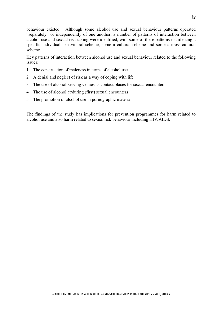behaviour existed. Although some alcohol use and sexual behaviour patterns operated "separately" or independently of one another, a number of patterns of interaction between alcohol use and sexual risk taking were identified, with some of these patterns manifesting a specific individual behavioural scheme, some a cultural scheme and some a cross-cultural scheme.

Key patterns of interaction between alcohol use and sexual behaviour related to the following issues:

- 1 The construction of maleness in terms of alcohol use
- 2 A denial and neglect of risk as a way of coping with life
- 3 The use of alcohol-serving venues as contact places for sexual encounters
- 4 The use of alcohol at/during (first) sexual encounters
- 5 The promotion of alcohol use in pornographic material

The findings of the study has implications for prevention programmes for harm related to alcohol use and also harm related to sexual risk behaviour including HIV/AIDS.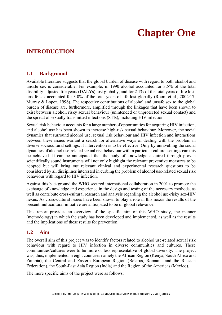# **Chapter One**

# **INTRODUCTION**

#### **1.1 Background**

Available literature suggests that the global burden of disease with regard to both alcohol and unsafe sex is considerable. For example, in 1990 alcohol accounted for 3.5% of the total disability-adjusted life years (DALYs) lost globally, and for 2.1% of the total years of life lost; unsafe sex accounted for 3.0% of the total years of life lost globally (Room et al., 2002:17; Murray & Lopez, 1996). The respective contributions of alcohol and unsafe sex to the global burden of disease are, furthermore, amplified through the linkages that have been shown to exist between alcohol, risky sexual behaviour (unintended or unprotected sexual contact) and the spread of sexually transmitted infections (STIs), including HIV infection.

Sexual risk behaviour accounts for a large number of opportunities for acquiring HIV infection, and alcohol use has been shown to increase high-risk sexual behaviour. Moreover, the social dynamics that surround alcohol use, sexual risk behaviour and HIV infection and interactions between these issues warrant a search for alternative ways of dealing with the problem in diverse sociocultural settings, if intervention is to be effective. Only by unravelling the social dynamics of alcohol use-related sexual risk behaviour within particular cultural settings can this be achieved. It can be anticipated that the body of knowledge acquired through proven scientifically sound instruments will not only highlight the relevant preventive measures to be adopted but will bring out relevant clinical and experimental research questions to be considered by all disciplines interested in curbing the problem of alcohol use-related sexual risk behaviour with regard to HIV infection.

Against this background the WHO secured international collaboration in 2001 to promote the exchange of knowledge and experience in the design and testing of the necessary methods, as well as contribute cross-cultural research and analysis regarding the alcohol use-risky sex-HIV nexus. As cross-cultural issues have been shown to play a role in this nexus the results of the present multicultural initiative are anticipated to be of global relevance.

This report provides an overview of the specific aim of this WHO study, the manner (methodology) in which the study has been developed and implemented, as well as the results and the implications of these results for prevention.

#### **1.2 Aim**

The overall aim of this project was to identify factors related to alcohol use-related sexual risk behaviour with regard to HIV infection in diverse communities and cultures. These communities/cultures were to be more or less representative of global diversity. The project was, thus, implemented in eight countries namely the African Region (Kenya, South Africa and Zambia), the Central and Eastern European Region (Belarus, Romania and the Russian Federation), the South-East Asia Region (India) and the Region of the Americas (Mexico).

The more specific aims of the project were as follows: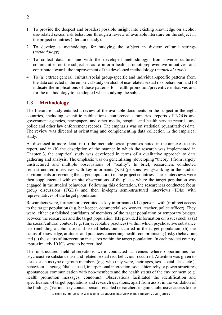- 1 To provide the deepest and broadest possible insight into existing knowledge on alcohol use-related sexual risk behaviour through a review of available literature on the subject in the project countries (literature study).
- 2 To develop a methodology for studying the subject in diverse cultural settings (*methodology*).
- 3 To collect data—in line with the developed methodology—from diverse cultures/ communities on the subject so as to inform health promotion/preventive initiatives, and contribute towards the improvement of the developed methodology (*empirical study*).
- 4 To (a) extract general, cultural/social group-specific and individual-specific patterns from the data collected in the empirical study on alcohol use-related sexual risk behaviour, and (b) indicate the implications of these patterns for health promotion/preventive initiatives and for the methodology to be adopted when studying the subject.

## **1.3 Methodology**

The literature study entailed a review of the available documents on the subject in the eight countries, including scientific publications, conference summaries, reports of NGOs and government agencies, newspapers and other media, hospital and health service records, and police and other law enforcement records. The emphasis was on statistical (quantitative) data. The review was directed at orientating and complementing data collection in the empirical study.

As discussed in more detail in (a) the methodological premises noted in the annexes to this report, and in (b) the description of the manner in which the research was implemented in Chapter 3, the empirical study was developed in terms of a qualitative approach to data gathering and analysis. The emphasis was on generalizing (developing "theory") from largely unstructured and multiple observations of "reality". In brief, researchers conducted semi-structured interviews with key informants (KIs) (persons living/working in the studied environments or servicing the target population) in the project countries. These interviews were then supplemented with on-site observations of the places where the target population was engaged in the studied behaviour. Following this orientation, the researchers conducted focus group discussions (FGDs) and then in-depth semi-structured interviews (IDIs) with representatives of the target population.

Researchers were, furthermore recruited as key informants (KIs) persons with (in)direct access to the target population (e.g. bar keeper, commercial sex worker, teacher, police officer). They were either established confidants of members of the target population or temporary bridges between the researcher and the target population. KIs provided information on issues such as (a) the social/cultural context (e.g. (un)acceptable practices) within which psychoactive substance use (including alcohol use) and sexual behaviour occurred in the target population; (b) the status of knowledge, attitudes and practices concerning health-compromising (risky) behaviour; and (c) the status of intervention measures within the target population. In each project country approximately 10 KIs were to be recruited.

The unstructured field observations were conducted at venues where opportunities for psychoactive substance use and related sexual risk behaviour occurred. Attention was given to issues such as type of group members (e.g. who they were, their ages, sex, social class, etc.), behaviour, language/dialect used, interpersonal interaction, social hierarchy or power structures, spontaneous communication with non-members and the health status of the environment (e.g. health promotion messages, condoms). Observations facilitated the identification and specification of target populations and research questions, apart from assist in the validation of the findings. (Various key contact persons enabled researchers to gain unobtrusive access to the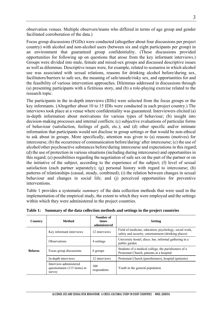observation venues. Multiple observers/teams who differed in terms of age group and gender facilitated corroboration of the data.)

Focus group discussions (FGDs) were conducted (altogether about four discussions per project country) with alcohol and non-alcohol users (between six and eight participants per group) in an environment that guaranteed group confidentiality. (These discussions provided opportunities for following up on questions that arose from the key informant interviews.) Groups were divided into male, female and mixed-sex groups and discussed descriptive issues as well as dilemmas. Descriptive issues were, for example, related to scenarios in which alcohol use was associated with sexual relations, reasons for drinking alcohol before/during sex, facilitators/barriers to safe sex, the meaning of safe/unsafe/risky sex, and opportunities for and the feasibility of various intervention approaches. Dilemmas addressed in discussions through (a) presenting participants with a fictitious story, and (b) a role-playing exercise related to the research topic.

The participants in the in-depth interviews (IDIs) were selected from the focus groups or the key informants. (Altogether about 10 to 15 IDIs were conducted in each project country.) The interviews took place at a venue where confidentiality was guaranteed. Interviewers elicited (a) in-depth information about motivations for various types of behaviour; (b) insight into decision-making processes and internal conflicts; (c) subjective evaluations of particular forms of behaviour (satisfaction, feelings of guilt, etc.); and (d) other specific and/or intimate information that participants would not disclose in group settings or that would be non-ethical to ask about in groups. More specifically, attention was given to (a) reasons (motives) for intercourse; (b) the occurrence of communication before/during/ after intercourse; (c) the use of alcohol/other psychoactive substances before/during intercourse and expectations in this regard; (d) the use of protection in various situations (including during intercourse) and opportunities in this regard; (e) possibilities regarding the negotiation of safe sex on the part of the partner or on the initiative of the subject, according to the experience of the subject; (f) level of sexual satisfaction (each partner separately); (g) personal history with regard to intercourse; (h) patterns of relationships (casual, steady, combined); (i) the relation between changes in sexual behaviour and changes in social life; and (j) perceived opportunities for preventive interventions.

Table 1 provides a systematic *summary* of the data collection methods that were used in the implementation of the empirical study, the extent to which they were employed and the settings within which they were administered in the project countries.

| Country        | <b>Method</b>                                                    | Number of<br>times<br>administered | <b>Setting</b>                                                                                                 |
|----------------|------------------------------------------------------------------|------------------------------------|----------------------------------------------------------------------------------------------------------------|
|                | Key informant interviews                                         | 12 interviews                      | Field of medicine, education, psychology, social work,<br>safety and security, entertainment (drinking places) |
|                | <b>Observations</b>                                              | 4 settings                         | University hostel, disco, bar, informal gathering in a<br>public garden                                        |
| <b>Belarus</b> | Focus group discussions                                          | 6 groups                           | Students of a medical college, the parishioners of a<br>Protestant Church, patients at a hospital              |
|                | In-depth interviews                                              | 12 interviews                      | Protestant Church (parishioners), hospital (patients)                                                          |
|                | Interview-administered<br>questionnaire (115 items) in<br>survey | 300<br>respondents                 | Youth in the general population                                                                                |

**Table 1: Summary of the data collection methods and settings in the project countries**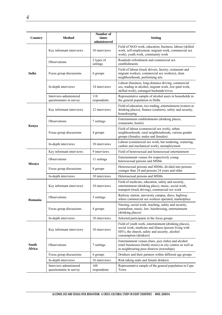| Country         | <b>Method</b>                                     | Number of<br>times<br>administered | <b>Setting</b>                                                                                                                                                                             |
|-----------------|---------------------------------------------------|------------------------------------|--------------------------------------------------------------------------------------------------------------------------------------------------------------------------------------------|
|                 | Key informant interviews                          | 10 interviews                      | Field of NGO work, education, business, labour (skilled<br>work, self-employment, migrant work, commercial sex<br>work), youth work, community work                                        |
|                 | Observations                                      | 2 types of<br>settings             | Roadside refreshment and commercial sex<br>establishments                                                                                                                                  |
| India           | Focus group discussions                           | 6 groups                           | Field of labour (truck drivers, factory, restaurant and<br>migrant workers, commercial sex workers), slum<br>neighbourhoods, performing arts                                               |
|                 | In-depth interviews                               | 14 interviews                      | Labour (business, long-distance driving, commercial<br>sex, trading in alcohol, migrant work, low-paid work,<br>skilled work), estranged husbands/wives                                    |
|                 | Interview-administered<br>questionnaire in survey | 118<br>respondents                 | Representative sample of alcohol users in households in<br>the general population in Delhi                                                                                                 |
|                 | Key informant interviews                          | 12 interviews                      | Field of education, rice trading, entertainment (waiters at<br>drinking places), finance (cashiers), safety and security,<br>housekeeping                                                  |
|                 | Observations                                      | 7 settings                         | Entertainment establishments (drinking places,<br>restaurants, hotels)                                                                                                                     |
| Kenya           | Focus group discussions                           | 4 groups                           | Field of labour (commercial sex work), urban<br>neighbourhoods, rural neighbourhoods, various gender<br>groups (females; males and females)                                                |
|                 | In-depth interviews                               | 10 interviews                      | Labour (commercial sex work, bar tendering, waitering,<br>cashier and mechanical work), unemployment                                                                                       |
|                 | Key informant interviews                          | 9 interviews                       | Field of heterosexual and homosexual entertainment                                                                                                                                         |
| Mexico          | Observations                                      | 11 settings                        | Entertainment venues for respectively young<br>heterosexual persons and MSMs                                                                                                               |
|                 | Focus group discussions                           | 8 groups                           | Heterosexual persons and MSMs, divided into persons<br>younger than 24 and persons 24 years and older                                                                                      |
|                 | In-depth interviews                               | 10 interviews                      | Heterosexual persons and MSMs                                                                                                                                                              |
|                 | Key informant interviews                          | 10 interviews                      | Field of medicine, education, safety and security,<br>entertainment (drinking place), music, social work,<br>transport (truck driving), commercial sex work                                |
| Romania         | Observations                                      | 5 settings                         | Railway station, university campus, disco, highway<br>where commercial sex workers operated, marketplace                                                                                   |
|                 | Focus group discussions                           | 4 groups                           | Nursing, social work, teaching, safety and security,<br>journalism, music, law, hairdressing, entertainment<br>(drinking places)                                                           |
|                 | In-depth interviews                               | 10 interviews                      | Selected participants in the focus groups                                                                                                                                                  |
|                 | Key informant interviews                          | 10 interviews                      | Field of youth work, entertainment (drinking places),<br>social work, medicine and illness (person living with<br>HIV), the church, safety and security, alcohol<br>consumption (drinkers) |
| South<br>Africa | Observations                                      | 7 settings                         | Entertainment venues (bars, jazz clubs) and alcohol<br>retail businesses (bottle stores) in city centres as well as<br>in neighbouring poor districts (townships)                          |
|                 | Focus group discussions                           | 6 groups                           | Drinkers and their partners within different age groups                                                                                                                                    |
|                 | In-depth interviews                               | 16 interviews                      | Risk-taking male and female drinkers                                                                                                                                                       |
|                 | Interview-administered<br>questionnaire in survey | 160<br>respondents                 | Representative sample of the general population in Cape<br>Town                                                                                                                            |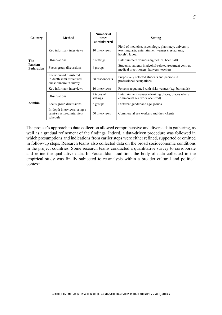| Country                             | Method                                                                        | Number of<br>times<br>administered | <b>Setting</b>                                                                                                               |
|-------------------------------------|-------------------------------------------------------------------------------|------------------------------------|------------------------------------------------------------------------------------------------------------------------------|
|                                     | Key informant interviews                                                      | 10 interviews                      | Field of medicine, psychology, pharmacy, university<br>teaching, arts, entertainment venues (restaurants,<br>hotels), labour |
| <b>The</b>                          | <b>Observations</b>                                                           | 3 settings                         | Entertainment venues (nightclubs, beer hall)                                                                                 |
| <b>Russian</b><br><b>Federation</b> | Focus group discussions                                                       | 4 groups                           | Students, patients in alcohol-related treatment centres,<br>medical practitioners, lawyers, teachers                         |
|                                     | Interview-administered<br>in-depth semi-structured<br>questionnaire in survey | 88 respondents                     | Purposively selected students and persons in<br>professional occupations                                                     |
|                                     | Key informant interviews                                                      | 10 interviews                      | Persons acquainted with risky venues (e.g. barmaids)                                                                         |
|                                     | <b>Observations</b>                                                           | 2 types of<br>settings             | Entertainment venues (drinking places, places where<br>commercial sex work occurred)                                         |
| Zambia                              | Focus group discussions                                                       | 3 groups                           | Different gender and age groups                                                                                              |
|                                     | In-depth interviews, using a<br>semi-structured interview<br>schedule         | 50 interviews                      | Commercial sex workers and their clients                                                                                     |

The project's approach to data collection allowed comprehensive and diverse data gathering, as well as a gradual refinement of the findings. Indeed, a data-driven procedure was followed in which presumptions and indications from earlier steps were either refined, supported or omitted in follow-up steps. Research teams also collected data on the broad socioeconomic conditions in the project countries. Some research teams conducted a quantitative survey to corroborate and refine the qualitative data. In Foucauldian tradition, the body of data collected in the empirical study was finally subjected to re-analysis within a broader cultural and political context.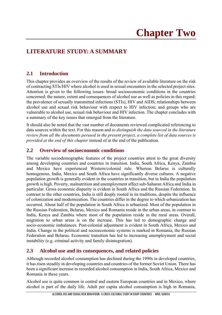# **LITERATURE STUDY: A SUMMARY**

## **2.1 Introduction**

This chapter provides an overview of the results of the review of available literature on the risk of contracting STIs/HIV where alcohol is used in sexual encounters in the selected project sites. Attention is given to the following issues: broad socioeconomic conditions in the countries concerned; the nature, extent and consequences of alcohol use as well as policies in this regard; the prevalence of sexually transmitted infections (STIs), HIV and AIDS; relationships between alcohol use and sexual risk behaviour with respect to HIV infection; and groups who are vulnerable to alcohol use, sexual risk behaviour and HIV infection. The chapter concludes with a summary of the key issues that emerged from the literature.

It should also be noted that the vast number of documents reviewed complicated referencing to data sources within the text. For this reason and *to distinguish the data sourced in the literature review from all the documents perused in the present project, a complete list of data sources is provided at the end of this chapter* instead of at the end of the publication.

## **2.2 Overview of socioeconomic conditions**

The variable sociodemographic features of the project countries attest to the great diversity among developing countries and countries in transition. India, South Africa, Kenya, Zambia and Mexico have experienced Western/colonial rule. Whereas Belarus is culturally homogenous, India, Mexico and South Africa have significantly diverse cultures. A negative population growth is generally evident in the countries in transition, but in India the population growth is high. Poverty, malnutrition and unemployment affect sub-Saharan Africa and India in particular. Gross economic disparity is evident in South Africa and the Russian Federation. In contrast to the other countries, India is still deeply rooted in its traditions, despite the influence of colonization and modernization. The countries differ in the degree to which urbanization has occurred. About half of the population in South Africa is urbanized. Most of the population in the Russian Federation, Belarus, Mexico and Romania reside in the urban areas, in contrast to India, Kenya and Zambia where most of the population reside in the rural areas. Overall, migration to urban areas is on the increase. This has led to demographic change and socio-economic imbalances. Post-colonial adjustment is evident in South Africa, Mexico and India. Change in the political and socioeconomic systems is marked in Romania, the Russian Federation and Belarus. Economic transition has led to increasing unemployment and social instability (e.g. criminal activity and family disintegration).

## **2.3 Alcohol use and its consequences, and related policies**

Although recorded alcohol consumption has declined during the 1990s in developed countries, it has risen steadily in developing countries and countries of the former Soviet Union. There has been a significant increase in recorded alcohol consumption in India, South Africa, Mexico and Romania in these years.

Alcohol use is quite common in central and eastern European countries and in Mexico, where alcohol is part of the daily life. Adult per capita alcohol consumption is high in Romania,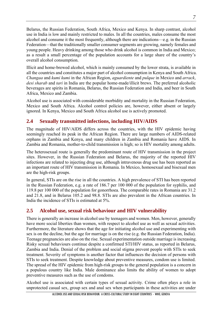Belarus, the Russian Federation, South Africa, Mexico and Kenya. In sharp contrast, alcohol use in India is low and mainly restricted to males. In all the countries, males consume the most alcohol and consume it the most frequently, although there are indications—e.g. in the Russian Federation—that the traditionally smaller consumer segments are growing, namely females and young people. Heavy drinking among those who drink alcohol is common in India and Mexico; as a result a small percentage of the population accounts for a large share of the country's overall alcohol consumption.

Illicit and home-brewed alcohol, which is mainly consumed by the lower strata, is available in all the countries and constitutes a major part of alcohol consumption in Kenya and South Africa. *Changaa* and *kumi kumi* in the African Region, *aguardiente* and *pulque* in Mexico and *arrack*, *desi sharab* and *tari* in India are the popular home-made/illicit brews. The preferred alcoholic beverages are spirits in Romania, Belarus, the Russian Federation and India, and beer in South Africa, Mexico and Zambia.

Alcohol use is associated with considerable morbidity and mortality in the Russian Federation, Mexico and South Africa. Alcohol control policies are, however, either absent or largely ignored. In Kenya, Mexico and South Africa alcohol use is actively promoted.

## **2.4 Sexually transmitted infections, including HIV/AIDS**

The magnitude of HIV/AIDS differs across the countries, with the HIV epidemic having seemingly reached its peak in the African Region. There are large numbers of AIDS-related orphans in Zambia and Kenya, and many children in Zambia and Romania have AIDS. In Zambia and Romania, mother-to-child transmission is high; so is HIV mortality among adults.

The heterosexual route is generally the predominant route of HIV transmission in the project sites. However, in the Russian Federation and Belarus, the majority of the reported HIV infections are related to injecting drug use, although intravenous drug use has been reported as an important route of HIV transmission in Romania. In Mexico, homosexual and bisexual men are the high-risk groups.

In general, STIs are on the rise in all the countries. A high prevalence of STI has been reported in the Russian Federation, e.g. a rate of 186.7 per 100 000 of the population for syphilis, and 119.8 per 100 000 of the population for gonorrhoea. The comparable rates in Romania are 31.2 and 21.8, and in Belarus 105.2 and 98.8. STIs are also prevalent in the African countries. In India the incidence of STIs is estimated at 5%.

## **2.5 Alcohol use, sexual risk behaviour and HIV vulnerability**

There is generally an increase in alcohol use by teenagers and women. Men, however, generally have more social liberties than women, with respect to alcohol use as well as sexual activities. Furthermore, the literature shows that the age for initiating alcohol use and experimenting with sex is on the decline, but the age for marriage is on the rise (e.g. the Russian Federation, India). Teenage pregnancies are also on the rise. Sexual experimentation outside marriage is increasing. Risky sexual behaviours continue despite a confirmed STI/HIV status, as reported in Belarus, Zambia and India. Denial of the problem and social stigma prevent people with STIs to seek treatment. Severity of symptoms is another factor that influences the decision of persons with STIs to seek treatment. Despite knowledge about preventive measures, condom use is limited. The spread of the HIV epidemic from high-risk groups to the general population is a concern in a populous country like India. Male dominance also limits the ability of women to adopt preventive measures such as the use of condoms.

Alcohol use is associated with certain types of sexual activity. Crime often plays a role in unprotected casual sex, group sex and anal sex when participants in these activities are under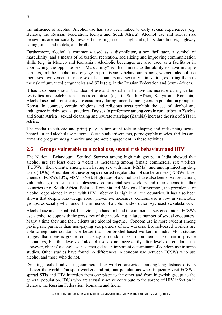the influence of alcohol. Alcohol use has also been linked to early sexual experiences (e.g. Belarus, the Russian Federation, Kenya and South Africa). Alcohol use and sexual risk behaviours are particularly prevalent in settings such as nightclubs, bars, dark houses, highway eating joints and motels, and brothels.

Furthermore, alcohol is commonly used as a disinhibitor, a sex facilitator, a symbol of masculinity, and a means of relaxation, recreation, socializing and improving communication skills (e.g. in Mexico and Romania). Alcoholic beverages are also used as a facilitator in approaching the opposite sex. "Masculinity" is often linked to the ability to have multiple partners, imbibe alcohol and engage in promiscuous behaviour. Among women, alcohol use increases involvement in risky sexual encounters and sexual victimization, exposing them to the risk of unwanted pregnancies and STIs (e.g. in the Russian Federation and South Africa).

It has also been shown that alcohol use and sexual risk behaviours increase during certain festivities and celebrations across countries (e.g. in South Africa, Kenya and Romania). Alcohol use and promiscuity are customary during funerals among certain population groups in Kenya. In contrast, certain religions and religious sects prohibit the use of alcohol and indulgence in risky sexual practices. Dry sex (a preference among certain rural tribes in Zambia and South Africa), sexual cleansing and levirate marriage (Zambia) increase the risk of STIs in Africa.

The media (electronic and print) play an important role in shaping and influencing sexual behaviour and alcohol use patterns. Certain advertisements, pornographic movies, thrillers and romantic programmes glamorize and promote engagement in these activities.

#### **2.6 Groups vulnerable to alcohol use, sexual risk behaviour and HIV**

The National Behavioural Sentinel Surveys among high-risk groups in India showed that alcohol use (at least once a week) is increasing among female commercial sex workers (FCSWs), their clients, among men having sex with men (MSMs), and among injecting drug users (IDUs). A number of these groups reported regular alcohol use before sex (FCSWs 15%; clients of FCSWs 13%; MSMs 36%). High rates of alcohol use have also been observed among vulnerable groups such as adolescents, commercial sex workers and their clients in other countries (e.g. South Africa, Belarus, Romania and Mexico). Furthermore, the prevalence of alcohol dependence in men with HIV infection is high in all the countries. It has also been shown that despite knowledge about preventive measures, condom use is low in vulnerable groups, especially when under the influence of alcohol and/or other psychoactive substances.

Alcohol use and sexual risk behaviour go hand in hand in commercial sex encounters. FCSWs use alcohol to cope with the pressures of their work, e.g. a large number of sexual encounters. Many a time they and their clients use alcohol together. Condom use is more evident among paying sex partners than non-paying sex partners of sex workers. Brothel-based workers are able to negotiate condom use better than non-brothel-based workers in India. Most studies suggest that there is greater consistency of condom use in commercial sex than in private encounters, but that levels of alcohol use do not necessarily alter levels of condom use. However, clients' alcohol use has emerged as an important determinant of condom use in some studies. Other studies have found no differences in condom use between FCSWs who use alcohol and those who do not.

Drinking alcohol and visiting commercial sex workers are evident among long-distance drivers all over the world. Transport workers and migrant populations who frequently visit FCSWs, spread STIs and HIV infection from one place to the other and from high-risk groups to the general population. IDUs who are sexually active contribute to the spread of HIV infection in Belarus, the Russian Federation, Romania and India.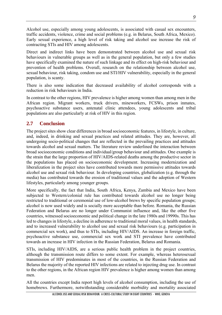Alcohol use, especially among young adolescents, is associated with casual sex encounters, traffic accidents, violence, crime and social problems (e.g. in Belarus, South Africa, Mexico). Early sexual experience, a high level of risk taking and alcohol use increase the risk of contracting STIs and HIV among adolescents.

Direct and indirect links have been demonstrated between alcohol use and sexual risk behaviours in vulnerable groups as well as in the general population, but only a few studies have specifically examined the nature of such linkage and its effect on high-risk behaviour and prevention of health problems. Overall, research on the relationship between alcohol use, sexual behaviour, risk taking, condom use and STI/HIV vulnerability, especially in the general population, is scanty.

There is also some indication that decreased availability of alcohol corresponds with a reduction in risk behaviours in India.

In contrast to the other regions, HIV prevalence is higher among women than among men in the African region. Migrant workers, truck drivers, mineworkers, FCSWs, prison inmates, psychoactive substance users, antenatal clinic attendees, young adolescents and tribal populations are also particularly at risk of HIV in this region.

## **2.7 Conclusion**

The project sites show clear differences in broad socioeconomic features, in lifestyle, in culture, and, indeed, in drinking and sexual practices and related attitudes. They are, however, all undergoing socio-political changes that are reflected in the prevailing practices and attitudes towards alcohol and sexual matters. The literature review underlined the interaction between broad socioeconomic conditions and individual/group behaviour and attitudes. One example is the strain that the large proportion of HIV/AIDS-related deaths among the productive sector in the populations has placed on socioeconomic development. Increasing modernization and liberalization in the project sites have contributed towards more permissive attitudes towards alcohol use and sexual risk behaviour. In developing countries, globalization (e.g. through the media) has contributed towards the erosion of traditional values and the adoption of Western lifestyles, particularly among younger groups.

More specifically, the fact that India, South Africa, Kenya, Zambia and Mexico have been subjected to Western/colonial rule has contributed towards alcohol use no longer being restricted to traditional or ceremonial use of low-alcohol brews by specific population groups; alcohol is now used widely and is socially more acceptable than before. Romania, the Russian Federation and Belarus are no longer under Communist influence and, like the other five countries, witnessed socioeconomic and political change in the late 1980s and 19990s. This has led to changes in lifestyle, a decline in adherence to traditional moral values, in health standards, and to increased vulnerability to alcohol use and sexual risk behaviours (e.g. participation in commercial sex work), and thus to STIs, including HIV/AIDS. An increase in foreign traffic, psychoactive substance use, commercial sex work and STI prevalence have contributed towards an increase in HIV infection in the Russian Federation, Belarus and Romania.

STIs, including HIV/AIDS, are a serious public health problem in the project countries, although the transmission route differs to some extent. For example, whereas heterosexual transmission of HIV predominates in most of the countries, in the Russian Federation and Belarus the majority of the reported HIV infections are related to injecting drug use. In contrast to the other regions, in the African region HIV prevalence is higher among women than among men.

All the countries except India report high levels of alcohol consumption, including the use of homebrews. Furthermore, notwithstanding considerable morbidity and mortality associated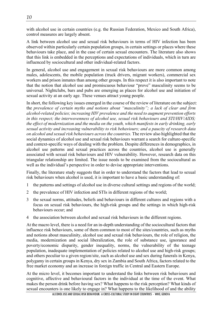with alcohol use in certain countries (e.g. the Russian Federation, Mexico and South Africa), control measures are largely absent.

A link between alcohol use and sexual risk behaviours in terms of HIV infection has been observed within particularly certain population groups, in certain settings or places where these behaviours take place, and in the case of certain sexual encounters. The literature also shows that this link is embedded in the perceptions and expectations of individuals, which in turn are influenced by sociocultural and other individual-related factors.

In general, alcohol use and engagement in sexual risk behaviours are more common among males, adolescents, the mobile population (truck drivers, migrant workers), commercial sex workers and prison inmates than among other groups. In this respect it is also important to note that the notion that alcohol use and promiscuous behaviour "prove" masculinity seems to be universal. Nightclubs, bars and pubs are emerging as places for alcohol use and initiation of sexual activity at an early age. These venues attract young people.

In short, the following key issues emerged in the course of the review of literature on the subject: the *prevalence of certain myths and notions about "masculinity"; a lack of clear and firm alcohol-related policies; increasing HIV prevalence and the need to augment prevention efforts in this respect; the interwovenness of alcohol use, sexual risk behaviours and STI/HIV/AIDS; the effect of modernization and the media on the youth, which manifests in early drinking, early sexual activity and increasing vulnerability to risk behaviours; and a paucity of research data on alcohol and sexual risk behaviours across the countries.* The review also highlighted that the social dynamics of alcohol use and sexual risk behaviours warrant a search for culture-specific and context-specific ways of dealing with the problem. Despite differences in demographics, in alcohol use patterns and sexual practices across the countries, alcohol use is generally associated with sexual risk behaviours and HIV vulnerability. However, research data on this triangular relationship are limited. The issue needs to be examined from the sociocultural as well as the individual's perspective in order to devise appropriate interventions.

Finally, the literature study suggests that in order to understand the factors that lead to sexual risk behaviours when alcohol is used, it is important to have a basic understanding of:

- 1 the patterns and settings of alcohol use in diverse cultural settings and regions of the world;
- 2 the prevalence of HIV infection and STIs in different regions of the world;
- 3 the sexual norms, attitudes, beliefs and behaviours in different cultures and regions with a focus on sexual risk behaviours, the high-risk groups and the settings in which high-risk behaviours occur; and
- 4 the association between alcohol and sexual risk behaviours in the different regions.

At the macro level, there is a need for an in-depth understanding of the sociocultural factors that influence risk behaviours, some of them common to most of the sites/countries, such as myths and notions about masculinity, alcohol use and sexual risk behaviours, the role of religion, the media, modernization and social liberalization, the role of substance use, ignorance and poverty/economic disparity, gender inequality, norms, the vulnerability of the teenage population, inadequate implementation of policies related to alcohol use and high-risk groups; and others peculiar to a given region/site, such as alcohol use and sex during funerals in Kenya, polygamy in certain groups in Kenya, dry sex in Zambia and South Africa, factors related to the free market economy and an increase in foreign traffic in Central and Eastern Europe.

At the micro level, it becomes important to understand the links between risk behaviours and cognitive, affective and behavioural factors in the individual at the time of the event. What makes the person drink before having sex? What happens to the risk perception? What kinds of sexual encounters is one likely to engage in? What happens to the likelihood of and the ability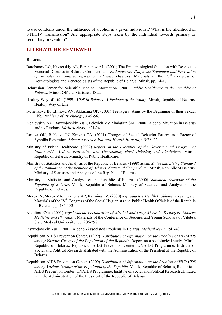to use condoms under the influence of alcohol in a given individual? What is the likelihood of STI/HIV transmission? Are appropriate steps taken by the individual towards primary or secondary prevention?

#### **LITERATURE REVIEWED**

#### **Belarus**

- Barabanov LG, Navrotskiy AL, Barabanov AL. (2001) The Epidemiological Situation with Respect to Venereal Diseases in Belarus. Compendium. *Pathogenesis, Diagnosis Treatment and Prevention of Sexually Transmitted Infections and Skin Diseases.* Materials of the IV<sup>th</sup> Congress of Dermatologists and Venereologists of the Republic of Belarus, Minsk, pp. 14-17.
- Belarusian Center for Scientific Medical Information. (2001) *Public Healthcare in the Republic of Belarus.* Minsk, Official Statistical Data.
- Healthy Way of Life. (1999) *AIDS in Belarus: A Problem of the Young*. Minsk, Republic of Belarus, Healthy Way of Life.
- Ivchenkova IP, Efimova AV, Akkuzina OP. (2001) Teenagers' Aims by the Beginning of their Sexual Life. *Problems of Psychology,* 3:49-56.
- Kozlovskiy AV, Razvodovskiy YuE, Lelevich VV Zimiatkin SМ. (2000) Alcohol Situation in Belarus and its Regions. *Medical News,* 1:21-24.
- Loseva OK, Bobkova IN, Kravets TA. (2001) Changes of Sexual Behavior Pattern as a Factor of Syphilis Expansion. *Disease Prevention and Health Boosting,* 3:23-26.
- Ministry of Public Healthcare. (2002) *Report on the Execution of the Governmental Program of Nation-Wide Actions Preventing and Overcoming Hard Drinking and Alcoholism.* Minsk, Republic of Belarus, Ministry of Public Healthcare.
- Ministry of Statistics and Analysis of the Republic of Belarus. (1998) *Social Status and Living Standard of the Population of the Republic of Belarus: Statistical Compendium.* Minsk, Republic of Belarus, Ministry of Statistics and Analysis of the Republic of Belarus.
- Ministry of Statistics and Analysis of the Republic of Belarus. (2000) *Statistical Yearbook of the Republic of Belarus*. Minsk, Republic of Belarus, Ministry of Statistics and Analysis of the Republic of Belarus.
- Moroz IN, Moroz VA, Plakhotia AP, Kalinina TV. (2000) *Reproductive Health Problems in Teenagers*. Materials of the IV<sup>th</sup> Congress of the Social Hygienists and Public Health Officials of the Republic of Belarus, pp. 181-182.
- Nikulina EYu. (2001) *Psychosocial Peculiarities of Alcohol and Drug Abuse in Teenagers. Modern Medicine and Pharmacy*. Materials of the Conference of Students and Young Scholars of Vitebsk State Medical University, pp. 206-298.
- Razvodovskiy YuE. (2001) Alcohol-Associated Problems in Belarus. *Medical News,* 7:41-43.
- Republican AIDS Prevention Center. (1999) *Distribution of Information on the Problem of HIV/AIDS among Various Groups of the Population of the Republic*. Report on a sociological study. Minsk, Republic of Belarus, Republican AIDS Prevention Center, UNAIDS Programme, Institute of Social and Political Research affiliated with the Administration of the President of the Republic of Belarus.
- Republican AIDS Prevention Center. (2000) *Distribution of Information on the Problem of HIV/AIDS among Various Groups of the Population of the Republic*. Minsk, Republic of Belarus, Republican AIDS Prevention Center, UNAIDS Programme, Institute of Social and Political Research affiliated with the Administration of the President of the Republic of Belarus.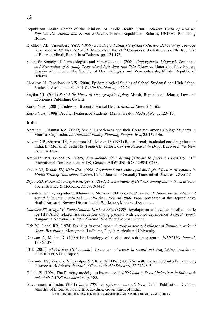- Republican Health Center of the Ministry of Public Health. (2001) *Student Youth of Belarus. Reproductive Health and Sexual Behavior*. Minsk, Republic of Belarus, UNIPAC Publishing House.
- Rychkov AE, Vissenberg YuV. (1999) *Sociological Analysis of Reproductive Behavior of Teenage Girls. Belarus Children's Health.* Materials of the VII<sup>th</sup> Congress of Pediatricians of the Republic of Belarus, Minsk, Republic of Belarus, pp. 174-175.
- Scientific Society of Dermatologists and Venereologists. (2000) *Pathogenesis, Diagnosis Treatment and Prevention of Sexually Transmitted Infections and Skin Diseases*. Materials of the Plenary Session of the Scientific Society of Dermatologists and Venereologists, Minsk, Republic of Belarus.
- Shpakov AI, Omelianchik MS. (2000) Epidemiological Studies of School Students' and High School Students' Attitude to Alcohol. *Public Healthcare*, 1:22-24.
- Snytko NI. (2001) *Social Problems of Demographic Aging*. Minsk, Republic of Belarus, Law and Economics Publishing Co Ltd.
- Zorko YuA. (2001) Studies on Students' Mental Health. *Medical News,* 2:63-65.
- Zorko YuA. (1998) Peculiar Features of Students' Mental Health. *Medical News*, 12:9-12.

#### **India**

- Abraham L, Kumar KA. (1999) Sexual Experiences and their Correlates among College Students in Mumbai City, India. *International Family Planning Perspectives*, 25:139-146.
- Advani GB, Sharma HK, Sundaram KR, Mohan D. (1981) Recent trends in alcohol and drug abuse in India. In: Mohan D, Sethi HS, Tongue E, editors. *Current Research in Drug Abuse in India.* New Delhi, AIIMS.
- Ambwani PN, Gilada IS. (1998) *Dry alcohol days during festivals to prevent HIV/AIDS*. XIIth International Conference on AIDS, Geneva. AIDSLINE ICA 12/98410386.
- *Aswar NS, Wahab SN, Kale KM. (1998) Prevalence and some epidemiological factors of syphilis in Madia Tribe of Gadricholi District*. Indian Journal of Sexually Transmitted Diseases*, 19:53-57.*
- *Bryan AD, Fisher JD, Joseph Benziger T. (2001) Determinants of HIV risk among Indian truck drivers*. Social Science & Medicine*, 53:1413-1426.*
- Chandiramani R, Kepadia S, Khanna R, Misra G. (2001) *Critical review of studies on sexuality and sexual behaviour conducted in India from 1990 to 2000*. Paper presented at the Reproductive Health Research Review Dissemination Workshop, Mumbai, December.
- *Chandra PS, Bengal V, Ramkrishna J, Krishna VAS. (1999)* Development and evaluation of a module for HIV/AIDS related risk reduction among patients with alcohol dependence*. Project report. Bangalore, National Institute of Mental Health and Neurosciences.*
- Deb PC, Jindal RB. (1974) *Drinking in rural areas: A study in selected villages of Punjab in wake of Green Revolution*. Monograph. Ludhiana, Punjab Agricultural University.
- Dhawan A, Mohan D. (1999) Epidemiology of alcohol and substance abuse. *NIMHANS Journal*, 17:367-376.
- FHI. (2001) *What drives HIV in Asia? A summary of trends in sexual and drug-taking behaviours*. FHI/DFID/USAID/Impact.
- Gawande AV, Vasudeo ND, Zodpey SP, Khandait DW. (2000) Sexually transmitted infections in long distance truck drivers. *Journal of Communicable Diseases*, 32:212-215.
- Gilada IS. (1994) The Bombay model goes international. *AIDS Asia 6. Sexual behaviour in India with risk of HIV/AIDS transmission*, p. 305.
- Government of India. (2001) *India 2001- A reference annual*. New Delhi, Publication Division, Ministry of Information and Broadcasting, Government of India.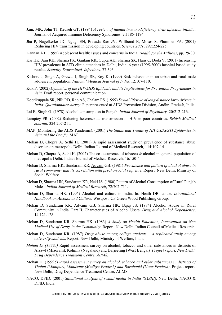- Jain, MK, John TJ, Keuseh GT. (1994) *A review of human immunodeficiency virus infection inIndia*. Journal of Acquired Immune Deficiency Syndromes, 7:1185-1194.
- Jha P, Nagelkerke JD, Ngugi EN, Prasada Rao JV, Willbond B, Moses S, Plummer FA. (2001) Reducing HIV transmission in developing countries. *Science 2001*, 292:224-225.
- Kannan AT. (1995) Adolescent health: Issues and concerns in India. *Health for the Millions*, pp. 29-30.
- Kar HK, Jain RK, Sharma PK, Gautam RK, Gupta AK, Sharma SK, Hans C, Doda V. (2001) Increasing HIV prevalence in STD clinic attendees in Delhi, India: 6 year (1995-2000) hospital based study results. *Sexually Transmitted Infections,* 77:393.
- Kishore J, Singh A, Grewal I, Singh SR, Roy K. (1999) Risk behaviour in an urban and rural male adolescent population. *National Medical Journal of India,* 12:107-110.
- Kok P. (2002) *Dynamics of the HIV/AIDS Epidemic and its Implications for Prevention Programmes in Asia*. Draft report, personal communication.
- Kootikuppala SR, Pilli RD, Rao AS, Chalam PS. (1999) *Sexual lifestyle of long distance lorry drivers in India: Questionnaire survey*. Paper presented at AIDS Prevention Division, Andhra Pradesh, India.
- Lal B, Singh G. (1978) Alcohol consumption in Punjab. *Indian Journal of Psychiatry,* 20:212-216.
- Lamptey PR. (2002) Reducing heterosexual transmission of HIV in poor countries. *British Medical Journal,* 324:207-211.
- MAP (Monitoring the AIDS Pandemic). (2001) *The Status and Trends of HIV/AIDS/STI Epidemics in Asia and the Pacific*. MAP.
- Mohan D, Chopra A, Sethi H. (2001) A rapid assessment study on prevalence of substance abuse disorders in metropolis Delhi. Indian Journal of Medical Research, 114:107-14.
- Mohan D, Chopra A, Sethi H. (2002) The co-occurrence of tobacco & alcohol in general population of metropolis Delhi. Indian Journal of Medical Research, 16:150-4.
- Mohan D, Sharma HK, Sundaram KR, Advani GB. (1981) *Prevalence and pattern of alcohol abuse in rural community and its correlation with psycho-social sequelae*. Report. New Delhi, Ministry of Social Welfare.
- Mohan D, Sharma HK, Sundaram KR, Neki JS. (1980) Pattern of Alcohol Consumption of Rural Punjab Males. *Indian Journal of Medical Research*, 72:702-711.
- Mohan D, Sharma HK. (1995) Alcohol and culture in India. In: Heath DB, editor. *International Handbook on Alcohol and Culture*. Westpost, CP Green Wood Publishing Group.
- Mohan D, Sundaram KR, Advami GB, Sharma HK, Bajaj JS. (1984) Alcohol Abuse in Rural Community in India. Part II. Characteristics of Alcohol Users. *Drug and Alcohol Dependence*, 14:121-128.
- Mohan D, Sundaram KR, Sharma HK. (1983) *A Study on Health Education, Intervention on Non Medical Use of Drugs in the Community*. Report. New Delhi, Indian Council of Medical Research.
- Mohan D, Sundaram KR. (1987) *Drug abuse among college students a replicated study among university students*. Report. New Delhi, Ministry of Welfare, India.
- *Mohan D. (1999a)* Rapid assessment survey on alcohol, tobacco and other substances in districts of Aizawl (Mizoram), Kohima (Nagaland) and Darjeeling (West Bengal)*. Project report. New Delhi, Drug Dependence Treatment Centre, AIIMS.*
- Mohan D. (1999b) *Rapid assessment survey on alcohol, tobacco and other substances in districts of Thobul (Manipur), Mandsaur (Madhya Pradesh) and Barabanki (Uttar Pradesh)*. Project report. New Delhi, Drug Dependence Treatment Centre, AIIMS.
- NACO, DFID. (2001) *Situational analysis of sexual health in India (SASHI).* New Delhi, NACO & DFID, India.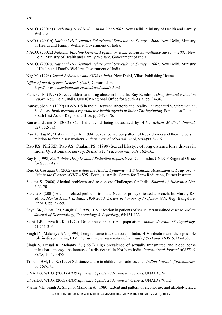- NACO. (2001a) *Combating HIV/AIDS in India 2000-2001*. New Delhi, Ministry of Health and Family Welfare.
- NACO. (2001b) *National HIV Sentinel Behavioural Surveillance Survey 2000*. New Delhi, Ministry of Health and Family Welfare, Government of India.
- NACO. (2002a) *National Baseline General Population Behavioural Surveillance Survey 2001*. New Delhi, Ministry of Health and Family Welfare, Government of India.
- NACO. (2002b) *National HIV Sentinel Behavioural Surveillance Survey 2001*. New Delhi, Ministry of Health and Family Welfare, Government of India.
- Nag M. (1996) *Sexual Behaviour and AIDS in India*. New Delhi, Vikas Publishing House.
- *Office of the Registrar General. (2001)* Census of India*. http://www.censusindia.net/results/resultsmain.html.*
- Panicker R. (1998) Street children and drug abuse in India. In: Ray R, editor. *Drug demand reduction report*. New Delhi, India, UNDCP Regional Office for South Asia, pp. 34-36.
- Ramasubban R. (1999) HIV/AIDS in India: Between Rhetoric and Reality. In: Pachauri S, Subramanian, S, editors. *Implementing a reproductive health agenda in India: The beginning*. Population Council, South East Asia – Regional Office, pp. 347-376.
- Ramasundaram S. (2002) Can India avoid being devastated by HIV? *British Medical Journal*, 324:182-183.
- Rao A, Nag M, Mishra K, Dey A. (1994) Sexual behaviour pattern of truck drivers and their helpers in relation to female sex workers. *Indian Journal of Social Work,* 55(4):603-616.
- Rao KS, Pilli RD, Rao AS, Chalam PS. (1999) Sexual lifestyle of long distance lorry drivers in India: Questionnaire survey. *British Medical Journal*, 318:162-163.
- Ray R. (1998) *South Asia: Drug Demand Reduction Report*. New Delhi, India, UNDCP Regional Office for South Asia.
- Reid G, Costigan G. (2002) *Revisiting the Hidden Epidemic A Situational Assessment of Drug Use in Asia in the Context of HIV/AIDS*. Perth, Australia, Centre for Harm Reduction, Burnet Institute.
- Saxena S. (2000) Alcohol problems and responses: Challenges for India. *Journal of Substance Use*, 5:62-70.
- Saxena S. (2001) Alcohol related problems in India: Need for policy oriented approach. In: Murthy RS, editor. *Mental Health in India 1950-2000: Essays in honour of Professor N.N. Wig*. Bangalore, PAMH, pp. 54-59.
- Sayal SK, Gupta CM, Sanghi S. (1999) HIV infection in patients of sexually transmitted disease. *Indian Journal of Dermatology, Venereology & Leprology*, 65:131-133.
- Sethi BB, Trivedi JK. (1979) Drug abuse in a rural population. *Indian Journal of Psychiatry,*  21:211-216.
- Singh IN, Malaviya AN. (1994) Long distance truck drivers in India. HIV infection and their possible role in disseminating HIV into rural areas. *International Journal of STD and AIDS,* 5:137-138.
- Singh S, Prasad R, Mohanty A. (1999) High prevalence of sexually transmitted and blood borne infections amongst the inmates of a district jail in Northern India. *International Journal of STD & AIDS*, 10:475-478.
- Tripathi BM, Lal R. (1999) Substance abuse in children and adolescents. *Indian Journal of Paediatrics*, 66:569-575.
- UNAIDS, WHO. (2001) *AIDS Epidemic Update 2001 revised*. Geneva, UNAIDS/WHO.
- UNAIDS, WHO. (2003) *AIDS Epidemic Update 2003 revised*. Geneva, UNAIDS/WHO.

Varma VK, Singh A, Singh S, Malhotra A. (1980) Extent and pattern of alcohol use and alcohol-related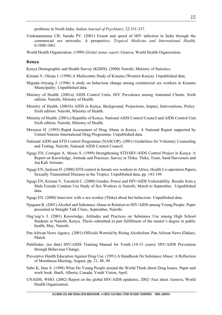problems in North India. *Indian Journal of Psychiatry*, 22:331-337.

Venkataramana CB, Sarada PV. (2001) Extent and speed of HIV infection in India through the commercial sex networks: A perspective. *Tropical Medicine and International Health*, 6:1040-1061.

World Health Organization. (1999) *Global status report*. Geneva, World Health Organization.

#### **Kenya**

Kenya Demographic and Health Survey (KDHS). (2000) Nairobi, Ministry of Statistics.

- Kimani V, Olenja J. (1998) A Multicentre Study of Kisumu (Western Kenya). Unpublished data.
- Miguda-Attyang J. (1996) A study on behaviour change among commercial sex workers in Kisumu Municipality. Unpublished data.
- Ministry of Health. (2001a) AIDS Control Units, HIV Prevalence among Antenatal Clients. Sixth edition. Nairobi, Ministry of Health.
- Ministry of Health. (2001b) AIDS in Kenya, Background, Projections, Impact, Interventions, Policy. Sixth edition. Nairobi, Ministry of Health.
- Ministry of Health. (2001c) Republic of Kenya. National AIDS Control Council and AIDS Control Unit. Sixth edition. Nairobi, Ministry of Health.
- Mwenesi H. (1995) Rapid Assessment of Drug Abuse in Kenya A National Report supported by United Nations International Drug Programme. Unpublished data.
- National AIDS and STD Control Programme (NASCOP). (2001) Guidelines for Voluntary Counseling and Testing. Nairobi, National AIDS Control Council.
- Ngugi EN, Costigan A, Moses S. (1999) Strengthening STD/HIV/AIDS Control Project in Kenya: A Report on Knowledge, Attitude and Practices. Survey in Thika. Thika, Touts, Sand Harvesters and Jua Kali Artisans.
- Ngugi EN, Jackson D. (2000) STD control in female sex-workers in Africa. Health Co-operation Papers, Sexually Transmitted Diseases in the Tropics. Unpublished data, pp. 143-149.
- Ngugi EN, Kimani V, Toroitich C. (2000) Gender, Power and HIV/AIDS Vulnerability. Results from a Male Female Condom Use Study of Sex Workers in Nairobi, March to September. Unpublished data.
- Ngugi EN. (2000) Interview with a sex-worker (Thika) about her behaviour. Unpublished data.
- Njuguna B. (2001) Alcohol and Substance Abuse in Relation to HIV/AIDS among Young People. Paper presented at Straight Talk Clinic, September, Nairobi.
- Ong'ang'o J. (2001) Knowledge, Attitudes and Practices on Substance Use among High School Students in Nairobi, Kenya. Thesis submitted in part fulfillment of the master's degree in public health, May, Nairobi.
- Pan African News Agency. (2001) Officials Worried by Rising Alcoholism. Pan African News (Dakar), March.
- Pathfinder. (no date) HIV/AIDS Training Manual for Youth (10-15 years): HIV/AIDS Prevention through Behaviour Change.
- Preventive Health Education Against Drug Use. (1991) A Handbook On Substance Abuse: A Reflection of Mombassa Meeting, August, pp. 21, 48, 49.
- Sabo K, Iitus S. (1998) What Do Young People around the World Think about Drug Issues. Paper and work book. Banft, Alberta, Canada, Youth Vision, April.
- UNAIDS, WHO. (2002) Report on the global HIV/AIDS epidemic, 2002- Fact sheet. Geneva, World Health Organization.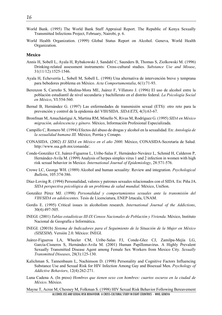- World Bank. (1995) The World Bank Staff Appraisal Report. The Republic of Kenya Sexually Transmitted Infections Project, February, Nairobi, p. 6.
- World Health Organization. (1999) Global Status Report on Alcohol. Geneva, World Health Organization.

#### **Mexico**

- Annis H, Sobell L, Ayala H, Rybakowski J, Sandahl C, Saunders B, Thomas S, Ziolkowski M. (1996) Drinking-related assessment instruments: Cross-cultural studies. *Substance Use and Misuse*, 31(11/12):1525-1546.
- Ayala H, Echeverría L, Sobell M, Sobell L. (1998) Una alternativa de intervención breve y temprana para bebedores problema en México. *Acta Comportamentalia*, 6(1):71-93.
- Berenzon S, Carreño S, Medina-Mora ME, Juárez F, Villatoro J. (1996) El uso de alcohol entre la población estudiantil de nivel secundaria y bachillerato en el distrito federal. *La Psicología Social en México*, VI:554-560.
- Bernal B, Hernández G. (1997) Las enfermedades de transmisión sexual (ETS): otro reto para la prevención y control de la epidemia del VIH/SIDA. *SIDA/ETS*, 4(3):63-67.
- Bronfman M, Amuchástigui A, Martina RM, Minello N, Rivas M, Rodríguez G. (1995) *SIDA en México migración, adolescencia y género.* México, Información Profesional Especializada.
- Campillo C, Romero M. (1994) Efectos del abuso de drogas y alcohol en la sexualidad. En: *Antología de la sexualidad humana III*. México, Porrúa y Conapo.
- CONASIDA. (2002) *El SIDA en México en el año 2000*. México, CONASIDA-Secretaría de Salud. http://www.ssa.gob.mx/conasida/.
- Conde-González CJ, Juárez-Figueroa L, Uribe-Salas F, Hernández-Nevárez L, Schmid H, Calderon P, Hernández-Avila M. (1999) Analysis of herpes simples virus 1 and 2 infection in women with high risk sexual behavior in Mexico. *International Journal of Epidemiology*, 28:571-576.
- Crowe LC, George WH. (1989) Alcohol and human sexuality: Review and integration. *Psychological Bulletin*, 105:374-386.
- Díaz-Loving R. (1994) Personalidad, valores y patrones sexuales relacionados con el SIDA. En: Piña JA. *SIDA perspectiva psicológica de un problema de salud mundial*. México, UniSon.
- González Pérez MJ. (1998) *Personalidad y comportamientos sexuales ante la transmisión del VIH/SIDA en adolescentes*. Tesis de Licenciatura, ENEP Iztacala, UNAM.
- Gordis E. (1995) Critical issues in alcoholism research. *International Journal of the Addictions*, 30(4):497-505.
- INEGI. (2001) *Tablas estadísticas III-IX Censos Nacionales de Población y Vivienda*. México, Instituto Nacional de Geografía e Informática.
- INEGI. (2001b) *Sistema de Indicadores para el Seguimiento de la Situación de la Mujer en México (SISESIM*). Versión 2.0. México: INEGI.
- Juárez-Figueroa LA, Wheeler CM, Uribe-Salas FJ, Conde-Glez CJ, Zamilpa-Mejía LG, García-Cisneros S, Hernández-Avila M. (2001) Human Papillomavirus. A Highly Prevalent Sexually Transmitted Disease Agent among Female Sex Workers from Mexico City. *Sexually Transmitted Diseases*, 28(3):125-130.
- Kalichman S, Tannenbaum L, Nachimson D. (1998) Personality and Cognitive Factors Influencing Substance Use and Sexual Risk for HIV Infection Among Gay and Bisexual Men. *Psychology of Addictive Behaviors*, 12(4):262-271.
- Luna Cadena A. (In press) *Hombres que tienen sexo con hombres: cuartos oscuros en la ciudad de México*. México.
- ALCOHOL USE AND SEXUALRISK BEHAVIOUR: A CROSS-CULTURALSTUDYIN EIGHTCOUNTRIES WHO, GENEVA Mayne T, Acree M, Chesney M, Folkman S. (1998) HIV Sexual Risk Behavior Following Bereavement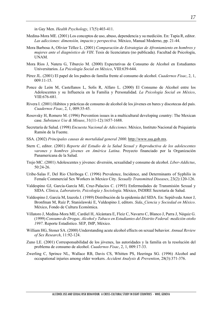in Gay Men. *Health Psychology*, 17(5):403-411.

- Medina-Mora ME. (2001) Los conceptos de uso, abuso, dependencia y su medición. En: Tapia R, editor. *Las adicciones: dimensión, impacto y perspectiva*. México, Manual Moderno, pp. 21-44.
- Mora Barbosa A, Olivier Téllez L. (2001) *Comparación de Estrategias de Afrontamiento en hombres y mujeres ante el diagnóstico de VIH*. Tesis de licenciatura (no publicada). Facultad de Psicología, UNAM.
- Mora Ríos J, Natera G, Tiburcio M. (2000) Expectativas de Consumo de Alcohol en Estudiantes Universitarios. *La Psicología Social en México*, VIII:639-644.
- Pérez JL. (2001) El papel de los padres de familia frente al consumo de alcohol. *Cuadernos Fisac*, 2, 1, 009:11-15.
- Ponce de León M, Castellanos L, Solís R, Alfaro L. (2000) El Consumo de Alcohol entre los Adolescentes y su Influencia en la Familia y Personalidad. *La Psicología Social en México*, VIII:676-681.
- Rivera I. (2001) Hábitos y prácticas de consumo de alcohol de los jóvenes en bares y discotecas del país. *Cuadernos Fisac*, 2, 1, 009:35-45.
- Rosovsky H, Romero M. (1996) Prevention issues in a multicultural developing country: The Mexican case. *Substance Use & Misuse*, 31(11-12):1657-1688.
- Secretaría de Salud. (1998) *Encuesta Nacional de Adicciones*. México, Instituto Nacional de Psiquiatría Ramón de la Fuente.
- SSA. (2002) *Principales causas de mortalidad general 2000*. http://www.ssa.gob.mx.
- Stern C, editor. (2001) *Reporte del Estudio de la Salud Sexual y Reproductiva de los adolescentes varones y hombres jóvenes en América Latina*. Proyecto financiado por la Organización Panamericana de la Salud.
- Trejo MC. (2001) Adolescentes y jóvenes: diversión, sexualidad y consumo de alcohol. *Liber-Addictus*, 50:24-26.
- Uribe-Salas F, Del Rio Chiriboga C. (1996) Prevalence, Incidence, and Determinants of Syphilis in Female Commercial Sex Workers in Mexico City. *Sexually Transmitted Diseases*, 23(2):120-126.
- Valdespino GJ, García-García MI, Cruz-Palacios C. (1993) Enfermedades de Transmisión Sexual y SIDA. *Clínica, Laboratorio, Psicología y Sociología*. México, INDIRE Secretaría de Salud.
- Valdespino J, García M, Izazola J. (1989) Distribución de la epidemia del SIDA. En: Sepúlveda Amor J, Bronfman M, Ruíz P, Stanislawski E, Valdespino J, editors. *Sida*, *Ciencia y Sociedad en México*. México, Fondo de Cultura Económica.
- Villatoro J, Medina-Mora ME, Cardiel H, Alcántara E, Fleiz C, Navarro C, Blanco J, Parra J, Néquiz G. (1999) *Consumo de Drogas, Alcohol y Tabaco en Estudiantes del Distrito Federal: medición otoño 1997*. Reporte Estadístico. SEP, IMP, México.
- William HG, Stoner SA. (2000) Understanding acute alcohol effects on sexual behavior. *Annual Review of Sex Research*, 11:92-124.
- Zuno LE. (2001) Corresponsabilidad de los jóvenes, las autoridades y la familia en la resolución del problema de consumo de alcohol. *Cuadernos Fisac*, 2, 1, 009:17-33.
- Zwerling C, Sprince NL, Wallace RB, Davis CS, Whitten PS, Heeringa SG. (1996) Alcohol and occupational injuries among older workers. *Accident Analysis & Prevention*, 28(3):371-376.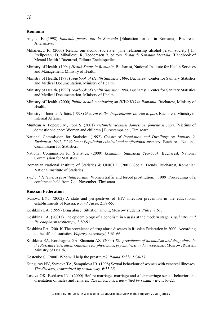#### **Romania**

- Anghel F. (1998) *Educatia pentru toti in Romania* [Education for all in Romania]. Bucuresti, Alternative.
- Mihailescu R. (2000) Relatia om-alcohol-societate. [The relationship alcohol-person-society.] In: Prelipceanu D, Mihailescu R, Teodorescu R, editors. *Tratat de Sanatate Mentala.* [Handbook of Mental Health.] Bucuresti, Editura Enciclopedica.
- Ministry of Health. (1994) *Health Status in Romania.* Bucharest, National Institute for Health Services and Management, Ministry of Health.
- Ministry of Health. (1997) *Yearbook of Health Statistics 1996*. Bucharest, Center for Sanitary Statistics and Medical Documentation, Ministry of Health.
- Ministry of Health. (1999) *Yearbook of Health Statistics 1998*. Bucharest, Center for Sanitary Statistics and Medical Documentation, Ministry of Health.
- Ministry of Health. (2000) *Public health monitoring on HIV/AIDS in Romania*. Bucharest, Ministry of Health.
- Ministry of Internal Affairs. (1998) *General Police Inspectorate: Interim Report*. Bucharest, Ministry of Internal Affairs.
- Muntean A, Popescu M, Popa S. (2001) *Victimele violentei domestice: femeile si copii*. [Victims of domestic violence: Women and children.] Eurostampa ed., Timisoara.
- National Commission for Statistics. (1992) *Census of Population and Dwellings on January 2, Bucharest, 1992*, *2nd Volume: Population-ethnical and confessional structure.* Bucharest, National Commission for Statistics.
- National Commission for Statistics. (2000) *Romanian Statistical Yearbook*. Bucharest, National Commission for Statistics.
- Romanian National Institute of Statistics & UNICEF. (2001) Social Trends. Bucharest, Romanian National Institute of Statistics.
- *Traficul de femei si prostitutia fortata* [Women traffic and forced prostitution.] (1999) Proceedings of a conference held from 7-11 November, Timisoara.

#### **Russian Federation**

- Ivanova LYu. (2002) A state and perspectives of HIV infection prevention in the educational establishments of Russia. *Round Table*, 2:58-65.
- Koshkina EA. (1999) Drug abuse: Situation among Moscow students. *Pulse*, 9:61.
- Koshkina EA. (2001a) The epidemiology of alcoholism in Russia at the modern stage. *Psychiatry and Psychopharmacotherapy,* 3:89-91.
- Koshkina EA. (2001b) The prevalence of drug abuse diseases in Russian Federation in 2000. According to the official statistics. *Voprosy narcologii,* 3:61-66.
- Koshkina EA, Korchagina GA, Shamota AZ. (2000) *The prevalence of alcoholism and drug abuse in the Russian Federation*. *Guideline for physicians, psychiatrists and narcologists*. Moscow, Russian Ministry of Health.
- Kostenko S. (2000) Who will help the prostitute? *Round Table*, 5:34-37.
- Kungurov NV, Syrneva TA, Sarapulova IB. (1998) Sexual behaviour of women with venereal illnesses. *The diseases, transmitted by sexual way,* 6:33-35.
- Loseva OK, Bobkova IN. (2000) Before marriage, marriage and after marriage sexual behavior and orientation of males and females. *The infections, transmitted by sexual way*, 1:16-22.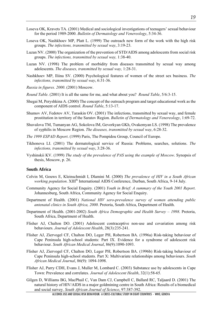- Loseva OK, Kravets TA. (2001) Medical and sociological investigations of teenagers' sexual behaviour for the period 1989-2000. *Bulletin of Dermatology and Venereology*, 5:34-36.
- Loseva OK, Nashkhoev MP, Platt L. (1999) The outreach new form of the work with the high risk groups. *The infections, transmitted by sexual way*, 3:19-23.
- Luzan NV. (2000) The organization of the prevention of STD/AIDS among adolescents from social risk groups. *The infections, transmitted by sexual way,* 1:38-40.
- Luzan NV. (1998) The problem of morbidity from diseases transmitted by sexual way among adolescents. *The diseases, transmitted by sexual way,* 1:28-31.
- Nashkhoev MP, Iliina SV. (2000) Psychological features of women of the street sex business. *The infections, transmitted by sexual way*, 6:31-36.
- *Russia in figures. 2000*. (2001) Moscow.
- *Round Table*. (2001) It is all the same for me, and what about you? *Round Table*, 5/6:3-15.
- Shegai M, Peryshkina A. (2000) The concept of the outreach program and target educational work as the component of AIDS control. *Round Table*, 5:13-17.
- Shumov AV, Fedotov AV, Taraskin OV. (2001) The infections, transmitted by sexual way, and female prostitution in territory of the Saratov Region. *Bulletin of Dermatology and Venereology*, 1:69-72.
- Shuvalova TM, Tumanyan AG, Sokolova IM, Gevorkyan GKh, Ovakemyan LS. (1998) The prevalence of syphilis in Moscow Region. *The diseases, transmitted by sexual way*, 6:28-32.
- *The 1999 ESPAD Report*. (1999) Paris, The Pompidou Group, Council of Europe.
- Tikhonova LI. (2001) The dermatological service of Russia: Problems, searches, solutions. *The infections, transmitted by sexual way*, 3:28-36.
- Vyshinskii KV. (1999) *The study of the prevalence of PAS using the example of Moscow*. Synopsis of thesis, Moscow, p. 26.

#### **South Africa**

- Colvin M, Gouws E, Kleinschmidt I, Dlamini M. (2000) *The prevalence of HIV in a South African working population*. XIII<sup>th</sup> International AIDS Conference, Durban, South Africa, 9-14 July.
- Community Agency for Social Enquiry. (2001) *Youth in Brief: A summary of the Youth 2001 Report*. Johannesburg, South Africa, Community Agency for Social Enquiry.
- Department of Health. (2001) *National HIV sero-prevalence survey of women attending public antenatal clinics in South Africa, 2000*. Pretoria, South Africa, Department of Health.
- Department of Health. (2001-2002) *South Africa Demographic and Health Survey 1998*. Pretoria, South Africa, Department of Health.
- Flisher AJ, Chalton DO. (2001) Adolescent contraceptive non-use and covariation among risk behaviours. *Journal of Adolescent Health*, 28(3):235-241.
- Flisher AJ, Ziervogel CF, Chalton DO, Leger PH, Robertson BA. (1996a) Risk-taking behaviour of Cape Peninsula high-school students: Part IX. Evidence for a syndrome of adolescent risk behaviour. *South African Medical Journal*, 86(9):1090-1093.
- Flisher AJ, Ziervogel CF, Chalton DO, Leger PH, Robertson BA. (1996b) Risk-taking behaviour of Cape Peninsula high-school students. Part X: Multivariate relationships among behaviours. *South African Medical Journal*, 86(9): 1094-1098.
- Flisher AJ, Parry CDH, Evans J, Muller M, Lombard C. (2003) Substance use by adolescents in Cape Town: Prevalence and correlates*. Journal of Adolescent Health*, 32(1):58-65*.*
- Gilgen D, Williams BG, MacPhail C, Van Dam CJ, Campbell C, Ballard RC, Taljaard D. (2001) The natural history of HIV/AIDS in a major goldmining centre in South Africa: Results of a biomedical and social survey. *South African Journal of Science*, 97:387-392.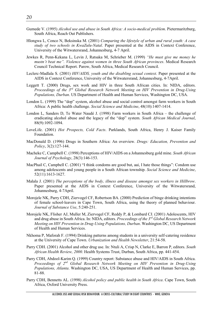- Gumede V. (1995) *Alcohol use and abuse in South Africa: A socio-medical problem*. Pietermaritzburg, South Africa, Reach Out Publishers.
- Hlongwa L, Conco N, Beksinska M. (2001) *Comparing the lifestyle of urban and rural youth: A case study of two schools in KwaZulu-Natal*. Paper presented at the AIDS in Context Conference, University of the Witwatersrand, Johannesburg, 4-7 April.
- Jewkes R, Penn-Kekana L, Levin J, Ratsaka M, Schrieber M. (1999) *"He must give me money he mustn't beat me". Violence against women in three South African provinces*. Medical Research Council Technical Report. Parow, South Africa, Medical Research Council.
- Leclerc-Madlala S. (2001) *HIV/AIDS, youth and the disabling sexual context*. Paper presented at the AIDS in Context Conference, University of the Witwatersrand, Johannesburg, 4-7April.
- Leggett T. (2000) Drugs, sex work and HIV in three South African cities. In: NIDA, editors. *Proceedings of the 3rd Global Research Network Meeting on HIV Prevention in Drug-Using Populations, Durban*. US Department of Health and Human Services, Washington DC, USA.
- London L. (1999) The "dop" system, alcohol abuse and social control amongst farm workers in South Africa: A public health challenge. *Social Science and Medicine*, 48(10):1407-1414.
- London L, Sanders D, Te Water Naudé J. (1998) Farm workers in South Africa the challenge of eradicating alcohol abuse and the legacy of the "dop" system. *South African Medical Journal*, 88(9):1092-1094.
- LoveLife. (2001) *Hot Prospects, Cold Facts*. Parklands, South Africa, Henry J. Kaiser Family Foundation.
- MacDonald D. (1996) Drugs in Southern Africa: An overview. *Drugs: Education, Prevention and Policy*, 3(2):127-144.
- Macheke C, Campbell C. (1998) Perceptions of HIV/AIDS on a Johannesburg gold mine. *South African Journal of Psychology*, 28(3):146-153.
- MacPhail C, Campbell C. (2001) "I think condoms are good but, aai, I hate those things": Condom use among adolescents and young people in a South African township. *Social Science and Medicine*, 52(11):1613-1627.
- Malala J. (2001) *The perceptions of the body, illness and disease amongst sex workers in Hillbrow*. Paper presented at the AIDS in Context Conference, University of the Witwatersrand, Johannesburg, 4-7April.
- Morojele NK, Parry CDH, Ziervogel CF, Robertson BA. (2000) Prediction of binge drinking intentions of female school-leavers in Cape Town, South Africa, using the theory of planned behaviour. *Journal of Substance Use*, 5:240-251.
- Morojele NK, Flisher AJ, Muller M, Ziervogel CF, Reddy P, & Lombard CJ. (2001) Adolescents, HIV and drug abuse in South Africa. In: NIDA, editors. *Proceedings of the 3rd Global Research Network Meeting on HIV Prevention in Drug-Using Populations, Durban*. Washington DC, US Department of Health and Human Services.
- Nkhoma P, Maforah F. (1994) Drinking patterns among students in a university self-catering residence at the University of Cape Town. *Urbanization and Health Newsletter*, 21:54-58.
- Parry CDH. (2001) Alcohol and other drug use. In: Ntuli A, Crisp N, Clarke E, Barron P, editors. *South African Health Review, 2000.* Health Systems Trust, Durban, South Africa, pp. 441-454.
- Parry CDH, Abdool-Karim Q. (1999) Country report: Substance abuse and HIV/AIDS in South Africa. *Proceedings of 2nd Global Research Network Meeting on HIV Prevention in Drug-Using Populations, Atlanta*. Washington DC, USA, US Department of Health and Human Services, pp. 81-88.
- Parry CDH, Bennetts AL. (1998) *Alcohol policy and public health in South Africa*. Cape Town, South Africa, Oxford University Press.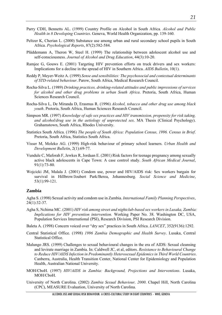- Parry CDH, Bennetts AL. (1999) Country Profile on Alcohol in South Africa*. Alcohol and Public Health in 8 Developing Countries*. Geneva, World Health Organization, pp. 139-160.
- Peltzer K, Cherian L. (2000) Substance use among urban and rural secondary school pupils in South Africa. *Psychological Reports*, 87(2):582-584.
- Plüddemann A, Theron W, Steel H. (1999) The relationship between adolescent alcohol use and self-consciousness. *Journal of Alcohol and Drug Education*, 44(3):10-20.
- Ramiee G, Gouws E, (2001) Targeting HIV prevention efforts on truck drivers and sex workers: Implications for a decline in the spread of HIV in Southern Africa. *AIDS Bulletin*, 10(1).
- Reddy P, Meyer-Weitz A. (1999) *Sense and sensibilities: The psychosocial and contextual determinants of STD-related behaviour*. Parow, South Africa, Medical Research Council.
- Rocha-Silva L. (1989) *Drinking practices, drinking-related attitudes and public impressions of services for alcohol and other drug problems in urban South Africa*. Pretoria, South Africa, Human Sciences Research Council.
- Rocha-Silva L, De Miranda D, Erasmus R. (1996) *Alcohol, tobacco and other drug use among black youth*. Pretoria, South Africa, Human Sciences Research Council.
- Simpson MR. (1997) *Knowledge of safe sex practices and HIV transmission, propensity for risk taking, and alcohol/drug use in the aetiology of unprotected sex*. MA Thesis (Clinical Psychology). Grahamstown, South Africa, Rhodes University.
- Statistics South Africa. (1996) *The people of South Africa: Population Census, 1996. Census in Brief*. Pretoria, South Africa, Statistics South Africa.
- Visser M, Moleko AG. (1999) High-risk behaviour of primary school learners. *Urban Health and Development Bulletin*, 2(1):69-77.
- Vundule C, Maforah F, Jewkes R, Jordaan E. (2001) Risk factors for teenage pregnancy among sexually active black adolescents in Cape Town: A case control study. *South African Medical Journal*, 91(1):73-80.
- Wojcicki JM, Malala J. (2001) Condom use, power and HIV/AIDS risk: Sex workers bargain for survival in Hillbrow/Joubert Park/Berea, Johannesburg*. Social Science and Medicine*, 53(1):99-121.

#### **Zambia**

Agha S. (1998) Sexual activity and condom use in Zambia. *International Family Planning Perspectives*, 24(1):32-37.

- Agha S, Nchima MC. (2001) *HIV risk among street and nightclub-based sex workers in Lusaka, Zambia: Implications for HIV prevention intervention.* Working Paper No. 38. Washington DC, USA, Population Services International (PSI), Research Division, PSI Research Division.
- Baleta A. (1998) Concern voiced over "dry sex" practices in South Africa. *LANCET*, 352(9136):1292.
- Central Statistical Office. (1998) *1996 Zambia Demographic and Health Survey*. Lusaka, Central Statistical Office.
- Malungo JRS. (1999) Challenges to sexual behavioural changes in the era of AIDS: Sexual cleansing and levirate marriage in Zambia. In: Caldwell JC, et al, editors. *Resistance to Behavioural Change to Reduce HIV/AIDS Infection in Predominantly Heterosexual Epidemics in Third World Countries*. Canberra, Australia, Health Transition Center, National Center for Epidemiology and Population Health, Australian National University.
- MOH/CboH. (1997) *HIV/AIDS in Zambia: Background, Projections and Interventions*. Lusaka, MOH/CboH.
- University of North Carolina. (2002) *Zambia Sexual Behaviour, 2000*. Chapel Hill, North Carolina (CPC), MEASURE Evaluation, University of North Carolina.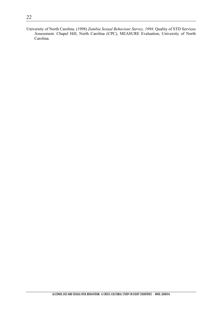University of North Carolina. (1998) *Zambia Sexual Behaviour Survey, 1998*. Quality of STD Services Assessment. Chapel Hill, North Carolina (CPC), MEASURE Evaluation, University of North Carolina.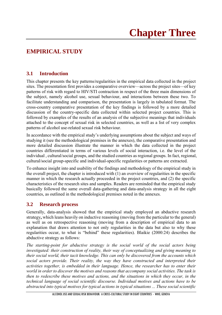# **EMPIRICAL STUDY**

## **3.1 Introduction**

This chapter presents the key patterns/regularities in the empirical data collected in the project sites. The presentation first provides a comparative overview—across the project sites—of key patterns of risk with regard to HIV/STI contraction in respect of the three main dimensions of the subject, namely alcohol use, sexual behaviour, and interactions between these two. To facilitate understanding and comparison, the presentation is largely in tabulated format. The cross-country comparative presentation of the key findings is followed by a more detailed discussion of the country-specific data collected within selected project countries. This is followed by examples of the results of an analysis of the subjective meanings that individuals attached to the concept of sexual risk in selected countries, as well as a list of very complex patterns of alcohol use-related sexual risk behaviour.

In accordance with the empirical study's underlying assumptions about the subject and ways of studying it (see the methodological premises in the annexes), the comparative presentation and more detailed discussion illustrate the manner in which the data collected in the project countries differentiated in terms of various levels of social interaction, i.e. the level of the individual , cultural/social groups, and the studied countries as regional groups. In fact, regional, cultural/social group-specific and individual-specific regularities or patterns are extracted.

To enhance insight into and usability of the findings and methodology of the empirical study in the overall project, the chapter is introduced with (1) an overview of regularities in the specific manner in which the research actually proceeded in the project countries, and (2) the specific characteristics of the research sites and samples. Readers are reminded that the empirical study basically followed the same overall data-gathering and data-analysis strategy in all the eight countries, as outlined in the methodological premises noted in the annexes.

## **3.2 Research process**

Generally, data-analysis showed that the empirical study employed an abductive research strategy**,** which leans heavily on inductive reasoning (moving from the particular to the general) as well as on retrospective reasoning (moving from a description of empirical data to an explanation that draws attention to not only regularities in the data but also to why these regularities occur, to what is "behind" these regularities). Blaikie (2000:24) describes the abductive strategy as follows:

*The starting-point for abductive strategy is the social world of the social actors being investigated: their construction of reality, their way of conceptualizing and giving meaning to their social world, their tacit knowledge. This can only be discovered from the accounts which social actors provide. Their reality, the way they have constructed and interpreted their activities together, is embedded in their language. Hence, the researcher has to enter their world in order to discover the motives and reasons that accompany social activities. The task is then to redescribe these motives and actions, and the situations in which they occur, in the technical language of social scientific discourse. Individual motives and actions have to be abstracted into typical motives for typical actions in typical situations ... These social scientific*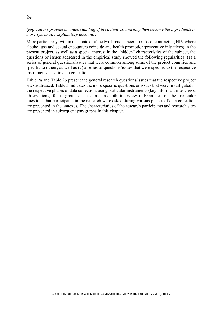#### *typifications provide an understanding of the activities, and may then become the ingredients in more systematic explanatory accounts.*

More particularly, within the context of the two broad concerns (risks of contracting HIV where alcohol use and sexual encounters coincide and health promotion/preventive initiatives) in the present project, as well as a special interest in the "hidden" characteristics of the subject, the questions or issues addressed in the empirical study showed the following regularities: (1) a series of general questions/issues that were common among some of the project countries and specific to others, as well as (2) a series of questions/issues that were specific to the respective instruments used in data collection.

Table 2a and Table 2b present the general research questions/issues that the respective project sites addressed. Table 3 indicates the more specific questions or issues that were investigated in the respective phases of data collection, using particular instruments (key informant interviews, observations, focus group discussions, in-depth interviews). Examples of the particular questions that participants in the research were asked during various phases of data collection are presented in the annexes. The characteristics of the research participants and research sites are presented in subsequent paragraphs in this chapter.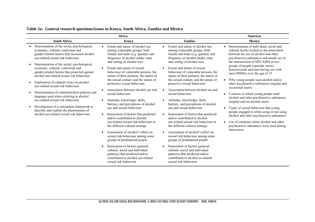| Table 2a: General research questions/issues in Kenya, South Africa, Zambia and Mexico |
|---------------------------------------------------------------------------------------|
|---------------------------------------------------------------------------------------|

|                                                                                                                                                                                                                        | Africa                                                                                                                                                                      |                                                                                                                                                                             | <b>Americas</b>                                                                                                                                                                                                                                            |
|------------------------------------------------------------------------------------------------------------------------------------------------------------------------------------------------------------------------|-----------------------------------------------------------------------------------------------------------------------------------------------------------------------------|-----------------------------------------------------------------------------------------------------------------------------------------------------------------------------|------------------------------------------------------------------------------------------------------------------------------------------------------------------------------------------------------------------------------------------------------------|
| <b>South Africa</b>                                                                                                                                                                                                    | Kenya                                                                                                                                                                       | Zambia                                                                                                                                                                      | <b>Mexico</b>                                                                                                                                                                                                                                              |
| Determination of the social, psychological,<br>economic, cultural, contextual and<br>gender-related factors that increased alcohol<br>use-related sexual risk behaviour<br>Determination of the social, psychological, | Extent and nature of alcohol use<br>among vulnerable groups, both<br>female and male (e.g. quantity and<br>frequency of alcohol intake; time<br>and setting of alcohol use) | Extent and nature of alcohol use<br>among vulnerable groups, both<br>female and male (e.g. quantity and<br>frequency of alcohol intake; time<br>and setting of alcohol use) | • Determination of individual, social and<br>cultural factors related to the association<br>between the use of alcohol and other<br>psychoactive substances and unsafe sex in<br>the transmission of HIV/AIDS in two<br>groups of people (episodic users): |
| economic, cultural, contextual and<br>gender-related factors that protected against<br>alcohol use-related sexual risk behaviour                                                                                       | Extent and nature of sexual<br>behaviour of vulnerable persons, the<br>nature of their partners, the nature of                                                              | Extent and nature of sexual<br>behaviour of vulnerable persons, the<br>nature of their partners, the nature of                                                              | heterosexuals and men having sex with<br>men (MSMs) over the age of 15                                                                                                                                                                                     |
| Exploration of cultural views on alcohol<br>use-related sexual risk behaviour                                                                                                                                          | the sexual contact, and the nature of<br>protective sexual behaviour                                                                                                        | the sexual contact, and the nature of<br>protective sexual behaviour                                                                                                        | Why young people used alcohol and/or<br>other psychoactive substances (regular and<br>occasional users)                                                                                                                                                    |
| Determination of communication patterns and<br>language used when referring to alcohol                                                                                                                                 | Association between alcohol use and<br>sexual behaviour                                                                                                                     | Association between alcohol use and<br>sexual behaviour                                                                                                                     | Contexts in which young people used<br>$\bullet$<br>alcohol and other psychoactive substances                                                                                                                                                              |
| use-related sexual risk behaviour<br>Development of a conceptual framework to<br>describe and explain the phenomenon of                                                                                                | Attitudes, knowledge, skills,<br>barriers, and perceptions of alcohol<br>use and sexual behaviour                                                                           | Attitudes, knowledge, skills,<br>barriers, and perceptions of alcohol<br>use and sexual behaviour                                                                           | (regular and occasional users)<br>Types of sexual behaviour that young<br>$\bullet$                                                                                                                                                                        |
| alcohol use-related sexual risk behaviour                                                                                                                                                                              | Itemization of factors that predicted<br>and/or contributed to alcohol<br>use-related sexual risk behaviour in                                                              | Itemization of factors that predicted<br>and/or contributed to alcohol<br>use-related sexual risk behaviour in                                                              | people engaged in while using or not using<br>alcohol and other psychoactive substances<br>Use of condoms where alcohol and other                                                                                                                          |
|                                                                                                                                                                                                                        | the different cultural settings<br>Assessment of alcohol's effect on<br>sexual risk behaviour among some<br>groups of predisposed people                                    | the different cultural settings<br>Assessment of alcohol's effect on<br>sexual risk behaviour among some<br>groups of predisposed people                                    | psychoactive substances were used during<br>intercourse                                                                                                                                                                                                    |
|                                                                                                                                                                                                                        | Itemization of factors (general,<br>cultural, social and individual<br>patterns) that predicted and/or<br>contributed to alcohol use-related<br>sexual risk behaviour       | Itemization of factors (general,<br>cultural, social and individual<br>patterns) that predicted and/or<br>contributed to alcohol se-related<br>sexual risk behaviour        |                                                                                                                                                                                                                                                            |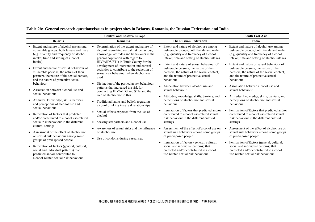|                                                                                                                                                                                                  | <b>Central and Eastern Europe</b>                                                                                                                                                                                   |                                                                                                                                                                                        | <b>South East Asia</b>                                                                                                                                                                 |
|--------------------------------------------------------------------------------------------------------------------------------------------------------------------------------------------------|---------------------------------------------------------------------------------------------------------------------------------------------------------------------------------------------------------------------|----------------------------------------------------------------------------------------------------------------------------------------------------------------------------------------|----------------------------------------------------------------------------------------------------------------------------------------------------------------------------------------|
| <b>Belarus</b>                                                                                                                                                                                   | Romania                                                                                                                                                                                                             | <b>The Russian Federation</b>                                                                                                                                                          | India                                                                                                                                                                                  |
| • Extent and nature of alcohol use among<br>vulnerable groups, both female and male<br>(e.g. quantity and frequency of alcohol<br>intake; time and setting of alcohol<br>intake)                 | Determination of the extent and nature of<br>alcohol use-related sexual risk behaviour;<br>knowledge, attitudes and behaviours in the<br>general population with regard to<br>HIV/AIDS/STIs in Timis County for the | Extent and nature of alcohol use among<br>vulnerable groups, both female and male<br>(e.g. quantity and frequency of alcohol<br>intake; time and setting of alcohol intake)            | • Extent and nature of alcohol use among<br>vulnerable groups, both female and male<br>(e.g. quantity and frequency of alcohol<br>intake; time and setting of alcohol intake)          |
| • Extent and nature of sexual behaviour of<br>vulnerable persons, the nature of their<br>partners, the nature of the sexual contact,<br>and the nature of protective sexual                      | development of intervention and control<br>activities to contribute to the reduction of<br>sexual risk behaviour when alcohol was<br>used                                                                           | Extent and nature of sexual behaviour of<br>vulnerable persons, the nature of their<br>partners, the nature of the sexual contact,<br>and the nature of protective sexual<br>behaviour | Extent and nature of sexual behaviour of<br>vulnerable persons, the nature of their<br>partners, the nature of the sexual contact,<br>and the nature of protective sexual<br>behaviour |
| behaviour<br>Association between alcohol use and                                                                                                                                                 | Distinction of the particular sex behaviour<br>patterns that increased the risk for<br>contracting HIV/AIDS and STIs and the                                                                                        | Association between alcohol use and<br>sexual behaviour                                                                                                                                | Association between alcohol use and<br>sexual behaviour                                                                                                                                |
| sexual behaviour<br>• Attitudes, knowledge, skills, barriers,<br>and perceptions of alcohol use and                                                                                              | role of alcohol use in this<br>• Traditional habits and beliefs regarding<br>alcohol drinking in sexual relationships                                                                                               | Attitudes, knowledge, skills, barriers, and<br>perceptions of alcohol use and sexual<br>behaviour                                                                                      | Attitudes, knowledge, skills, barriers, and<br>perceptions of alcohol use and sexual<br>behaviour                                                                                      |
| sexual behaviour<br>• Itemization of factors that predicted<br>and/or contributed to alcohol use-related<br>sexual risk behaviour in the different                                               | Sexual effects expected from the use of<br>alcohol<br>• Seeking sex partners and alcohol use                                                                                                                        | Itemization of factors that predicted and/or<br>contributed to alcohol use-related sexual<br>risk behaviour in the different cultural<br>settings                                      | Itemization of factors that predicted and/or<br>contributed to alcohol use-related sexual<br>risk behaviour in the different cultural<br>settings                                      |
| cultural settings<br>Assessment of the effect of alcohol use                                                                                                                                     | • Awareness of sexual risks and the influence<br>of alcohol use                                                                                                                                                     | Assessment of the effect of alcohol use on                                                                                                                                             | Assessment of the effect of alcohol use on                                                                                                                                             |
| on sexual risk behaviour among some                                                                                                                                                              | • Use of condoms during casual sex                                                                                                                                                                                  | sexual risk behaviour among some groups<br>of predisposed people                                                                                                                       | sexual risk behaviour among some groups<br>of predisposed people                                                                                                                       |
| groups of predisposed people<br>• Itemization of factors (general, cultural,<br>social and individual patterns) that<br>predicted and/or contributed to<br>alcohol-related sexual risk behaviour |                                                                                                                                                                                                                     | Itemization of factors (general, cultural,<br>social and individual patterns) that<br>predicted and/or contributed to alcohol<br>use-related sexual risk behaviour                     | • Itemization of factors (general, cultural,<br>social and individual patterns) that<br>predicted and/or contributed to alcohol<br>use-related sexual risk behaviour                   |

**Table 2b: General research questions/issues in project sites in Belarus, Romania, the Russian Federation and India**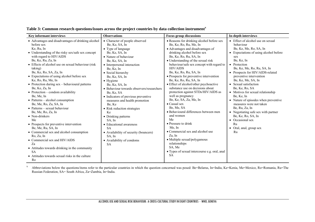| Key informant interviews                                                                                                                                                                                                                                                                                                                                                                                                                                                                                                                                                                                                                                                                                                                                                                                                                                                                                                             | <b>Observations</b>                                                                                                                                                                                                                                                                                                                                                                                                                                                                                                                                                                                                     | Focus group discussions                                                                                                                                                                                                                                                                                                                                                                                                                                                                                                                                                                                                                                                                                                                                                                                                                      | In-depth interviews                                                                                                                                                                                                                                                                                                                                                                                                                                                                                                                                                                   |
|--------------------------------------------------------------------------------------------------------------------------------------------------------------------------------------------------------------------------------------------------------------------------------------------------------------------------------------------------------------------------------------------------------------------------------------------------------------------------------------------------------------------------------------------------------------------------------------------------------------------------------------------------------------------------------------------------------------------------------------------------------------------------------------------------------------------------------------------------------------------------------------------------------------------------------------|-------------------------------------------------------------------------------------------------------------------------------------------------------------------------------------------------------------------------------------------------------------------------------------------------------------------------------------------------------------------------------------------------------------------------------------------------------------------------------------------------------------------------------------------------------------------------------------------------------------------------|----------------------------------------------------------------------------------------------------------------------------------------------------------------------------------------------------------------------------------------------------------------------------------------------------------------------------------------------------------------------------------------------------------------------------------------------------------------------------------------------------------------------------------------------------------------------------------------------------------------------------------------------------------------------------------------------------------------------------------------------------------------------------------------------------------------------------------------------|---------------------------------------------------------------------------------------------------------------------------------------------------------------------------------------------------------------------------------------------------------------------------------------------------------------------------------------------------------------------------------------------------------------------------------------------------------------------------------------------------------------------------------------------------------------------------------------|
| • Advantages and disadvantages of drinking alcohol<br>before sex<br>Ke, Ru, In<br>• Understanding of the risky sex/safe sex concept<br>with regard to HIV/AIDS<br>Be, Ke, Ru, Za, In<br>• Effects of alcohol use on sexual behaviour (risk)<br>taking)<br>Be, Ke, Ro, SA, Za, In<br>• Expectations of using alcohol before sex<br>Ke, Ro, Ru, Me, In<br>• Protection during $sex$ – behavioural patterns<br>Be, Ke, Za, In<br>• Protection – condom availability<br>Be, Me, In<br>$\bullet$ Patterns – alcohol consumption<br>Be, Me, Ro, Za, SA, In<br>$\bullet$ Patterns – sexual behaviour<br>Be, Me, Ro, Za, In<br>• Non-drinkers<br>Me<br>• Prospects for preventive intervention<br>Be, Me, Ru, SA, In<br>• Commercial sex and alcohol consumption<br>Ro, Za, In<br>• Commercial sex and HIV/AIDS<br>Za<br>• Attitudes towards drinking in the community<br><b>SA</b><br>• Attitudes towards sexual risks in the culture<br>Ro | • Character of people observed<br>Be, Ke, SA, In<br>• Type of language<br>Be, Ke, SA, In<br>• Nature of behaviour<br>Be, Ke, SA, In<br>• Interpersonal interaction<br>Be, Ke, In<br>• Social hierarchy<br>Be, Ke, SA, In<br>$\bullet$ Hygiene<br>Be, Ke, SA, In<br>• Behaviour towards observers/researchers<br>Be, Ke, SA<br>• Indicators of previous preventive<br>measures and health promotion<br>Be, Ke<br>• Risk reduction strategies<br>Ke<br>• Drinking patterns<br>SA, In<br>• Educational awareness<br><b>SA</b><br>• Availability of security (bouncers)<br>SA, In<br>• Availability of condoms<br><b>SA</b> | • Reasons for drinking alcohol before sex<br>Be, Ke, Ro, Ru, Me, In<br>• Advantages and disadvantages of<br>drinking alcohol before sex<br>Be, Ke, Ro, Ru, SA, In<br>• Understanding of the sexual risk<br>behaviour/safe sex concept with regard to<br><b>HIV/AIDS</b><br>Be, Ke, Ro, Ru, SA, In<br>• Prospects for preventive intervention<br>Be, Ke, Ro, Ru, SA, In<br>• Effect of alcohol/other psychoactive<br>substance use on decisions about<br>protection against STDs/HIV/AIDS as<br>well as pregnancy<br>Be, Ke, SA, Za, Me, In<br>• Casual sex<br>Be, Me, SA<br>• Behavioural differences between men<br>and women<br>Me<br>• Pressure to drink<br>Me, In<br>• Commercial sex and alcohol use<br>Za, In<br>• Multiple sexual/polygamous<br>relationships<br>SA, Me<br>• Types of sexual intercourse e.g. oral, anal<br><b>SA</b> | • Effect of alcohol use on sexual<br>behaviour<br>Be, Ke, Me, Ro, SA, In<br>• Expectations of using alcohol before<br>sex<br>Be, Ke, In<br>• Protection<br>Be, Ke, Me, Ro, Ru, SA, In<br>• Prospects for HIV/AIDS-related<br>preventive intervention<br>Be, Ke, Me, SA, In<br>• Sexual satisfaction<br>Be, Ke, Ro, SA<br>• Motives for sexual relationship<br>Be, Ke, In<br>• Nature of episodes when preventive<br>measures were not taken<br>Be, Ru, Za, In<br>• Negotiating safe sex with partner<br>Be, Ke, Ro, SA, In<br>• Occasional sex<br>Ru<br>• Oral, anal, group sex<br>Ru |

Table 3: Common research questions/issues across the project countries by data collection instrument<sup>x</sup>

xAbbreviations below the questions/items refer to the particular countries in which the question concerned was posed: Be=Belarus, In=India, Ke=Kenia, Me=Mexico, Ro=Romania, Ru=The Russian Federation, SA= South Africa, Za=Zambia, In=India.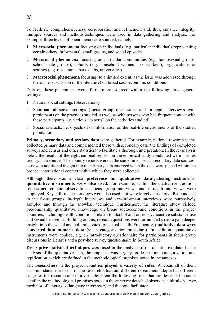To facilitate comprehensiveness, corroboration and refinement and, thus, enhance integrity, multiple sources and methods/techniques were used in data gathering and analysis. For example, three levels of phenomena were sourced, namely:

- 1 **Microsocial phenomena** focusing on individuals (e.g. particular individuals representing certain others, informants), small groups, and social episodes
- 2 **Mesosocial phenomena** focusing on particular communities (e.g. homosexual groups, school-mate groups), cohorts (e.g. household women, sex workers), organizations or settings (e.g. restaurants, bars, clubs, universities)
- 3 **Macrosocial phenomena** focusing (to a limited extent, as the issue was addressed through the earlier discussion of the literature) on broad socioeconomic conditions

Data on these phenomena were, furthermore, sourced within the following three general settings:

- 1 Natural social settings (observations)
- 2 Semi-natural social settings (focus group discussions and in-depth interviews with participants on the practices studied, as well as with persons who had frequent contact with these participants, i.e. various "experts" on the activities studied)
- 3 Social artefacts, i.e. objects of or information on the real-life environments of the studied population.

**Primary, secondary and tertiary data** were gathered. For example, national research teams collected primary data and complemented these with secondary data (the findings of completed surveys and census and other statistics) to facilitate a thorough interpretation. In the re-analysis below the results of the eight national reports on the empirical study conducted were used as tertiary data sources.The country reports were at the same time used as secondary data sources, as new or additional insight into the primary data emerged when the data were placed within the broader international context within which they were collected.

Although there was a clear **preference for qualitative data**-gathering instruments, **quantitative instruments were also used**. For example, within the qualitative tradition, semi-structured site observations, focus group interviews and in-depth interviews were employed. Key-informant interviews were also used, but were largely structured. Respondents in the focus groups, in-depth interviews and key-informant interviews were purposively sampled and through the snowball technique. Furthermore, the literature study yielded predominantly quantitative knowledge on broad socioeconomic conditions in the project countries, including health conditions related to alcohol and other psychoactive substance use and sexual behaviour. Building on this, research questions were formulated so as to gain deeper insight into the social and cultural context of sexual health. Frequently, **qualitative data were converted into numeric data** (via a categorization procedure). In addition, quantitative instruments were applied, e.g. an introductory questionnaire for participants in focus group discussions in Belarus and a post-hoc survey questionnaire in South Africa.

**Descriptive statistical techniques** were used in the analysis of the quantitative data. In the analysis of the qualitative data, the emphasis was largely on description, categorization and typification, which are defined in the methodological premises noted in the annexes.

The **researchers** in the project countries **played a variety of roles**. Whereas all of them accommodated the needs of the research situation, different researchers adopted at different stages of the research and to a variable extent the following roles that are described in some detail in the methodological premises noted in the annexes: detached observer, faithful observer, mediator of languages (language interpreter) and dialogic facilitator.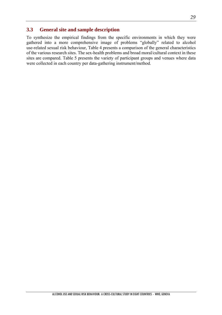## **3.3 General site and sample description**

To synthesize the empirical findings from the specific environments in which they were gathered into a more comprehensive image of problems "globally" related to alcohol use-related sexual risk behaviour, Table 4 presents a comparison of the general characteristics of the various research sites. The sex-health problems and broad moral/cultural context in these sites are compared. Table 5 presents the variety of participant groups and venues where data were collected in each country per data-gathering instrument/method.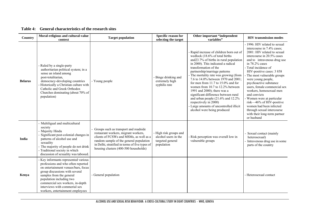|  |  | Table 4: General characteristics of the research sites |  |  |
|--|--|--------------------------------------------------------|--|--|
|--|--|--------------------------------------------------------|--|--|

| Country        | Moral-religious and cultural-value<br>context                                                                                                                                                                                                                                                                      | <b>Target population</b>                                                                                                                                                                                                                                       | Specific reason for<br>selecting the target                                      | Other important "independent<br>variables"                                                                                                                                                                                                                                                                                                                                                                                                                                                                                                                                                           | <b>HIV transmission modes</b>                                                                                                                                                                                                                                                                                                                                                                                                                                                                                                                                 |
|----------------|--------------------------------------------------------------------------------------------------------------------------------------------------------------------------------------------------------------------------------------------------------------------------------------------------------------------|----------------------------------------------------------------------------------------------------------------------------------------------------------------------------------------------------------------------------------------------------------------|----------------------------------------------------------------------------------|------------------------------------------------------------------------------------------------------------------------------------------------------------------------------------------------------------------------------------------------------------------------------------------------------------------------------------------------------------------------------------------------------------------------------------------------------------------------------------------------------------------------------------------------------------------------------------------------------|---------------------------------------------------------------------------------------------------------------------------------------------------------------------------------------------------------------------------------------------------------------------------------------------------------------------------------------------------------------------------------------------------------------------------------------------------------------------------------------------------------------------------------------------------------------|
| <b>Belarus</b> | - Ruled by a single-party<br>authoritarian political system; in a<br>sense an island among<br>post-totalitarian,<br>democracy-developing countries<br>- Historically a Christian culture with<br>Catholic and Greek Orthodox<br>Churches dominating (about 70% of<br>population)                                   | - Young people                                                                                                                                                                                                                                                 | - Binge drinking and<br>extremely high<br>syphilis rate                          | - Rapid increase of children born out of<br>wedlock (18.6% of total births<br>and 23.7% of births in rural population<br>in 2000). This indicated a radical<br>transformation of the<br>partnership/marriage patterns<br>- The mortality rate was growing (from<br>7.6 to 14.0% between 1970 and 2001;<br>for men from $11.7$ to $15.0\%$ and for<br>women from 10.7 to 12.2% between<br>1991 and 2000); there was a<br>significant difference between rural<br>and urban people (21.6% and 12.2%<br>respectively in 2000)<br>- Large amounts of uncontrolled illicit<br>alcohol were being produced | - 1996: HIV related to sexual<br>intercourse in 7.4% cases;<br>2001: HIV related to sexual<br>intercourse in 20.5% cases<br>and to intravenous drug use<br>in $78.2\%$ cases<br>- Total incidence of<br>HIV-positive cases: 3 858<br>- The most vulnerable groups<br>were young people,<br>psychoactive substance<br>users, female commercial sex<br>workers, homosexual men<br>and convicts<br>- Women were at particular<br>risk-46% of HIV-positive<br>women had been infected<br>through sexual intercourse<br>with their long-term partner<br>or husband |
| India          | - Multiligual and multicultural<br>society<br>- Majority Hindu<br>Significant post-colonial changes in<br>patterns of alcohol use and<br>sexuality<br>- The majority of people do not drink<br>- Traditional society in which<br>discussion of sexuality was tabooed.                                              | Groups such as transport and roadside<br>restaurant workers, migrant workers,<br>clients of FCSWs and MSMs, as well as a<br>random sample of the general population<br>in Delhi, stratified in terms of five types of<br>housing clusters (400-500 households) | - High risk groups and<br>alcohol users in the<br>targeted general<br>population | Risk perception was overall low in<br>vulnerable groups                                                                                                                                                                                                                                                                                                                                                                                                                                                                                                                                              | Sexual contact (mainly<br>heterosexual)<br>Intravenous drug use in some<br>parts of the country                                                                                                                                                                                                                                                                                                                                                                                                                                                               |
| Kenya          | Key informants represented various<br>professions and who often reported<br>on entertainment venues/bars, focus<br>group discussions with several<br>samples from the general<br>population including two<br>commercial sex workers, in-depth<br>interviews with commerial sex<br>workers, entertainment employees | - General population                                                                                                                                                                                                                                           |                                                                                  |                                                                                                                                                                                                                                                                                                                                                                                                                                                                                                                                                                                                      | - Heterosexual contact                                                                                                                                                                                                                                                                                                                                                                                                                                                                                                                                        |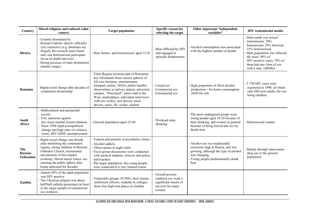| Country                      | Moral-religious and cultural-value<br>context                                                                                                                                                                                                                                   | <b>Target population</b>                                                                                                                                                                                                                                                                                                                                                                 | Specific reason for<br>selecting the target                                                    | Other important "independent<br>variables"                                                                                                                                  | <b>HIV</b> transmission modes                                                                                                                                                                                                     |
|------------------------------|---------------------------------------------------------------------------------------------------------------------------------------------------------------------------------------------------------------------------------------------------------------------------------|------------------------------------------------------------------------------------------------------------------------------------------------------------------------------------------------------------------------------------------------------------------------------------------------------------------------------------------------------------------------------------------|------------------------------------------------------------------------------------------------|-----------------------------------------------------------------------------------------------------------------------------------------------------------------------------|-----------------------------------------------------------------------------------------------------------------------------------------------------------------------------------------------------------------------------------|
| Mexico                       | Country dominated by<br>Roman-Catholic church, officially<br>very restrictive (e.g. abortions are<br>illegal); the research team found<br>only one heterosexual participant<br>for an in-depth inteview)<br>Strong presence of male domination<br>(macho image)                 | - Men, hetero- and homosexual, aged 15-41                                                                                                                                                                                                                                                                                                                                                | - Most afflicted by HIV<br>and engaged in<br>episodic drunkenness                              | - Alcohol consumption was associated<br>with the highest number of deaths                                                                                                   | - Main mode was sexual<br>transmission: 20%<br>homosexual; 20% bisexual;<br>55% heterosexual<br>- Male population was affected<br>the most: 88% of<br>HIV-positive cases; 70% of<br>them had any form of sex<br>with a man (MSMs) |
| Romania                      | Rapid social change after decades of<br>communist dictatorship                                                                                                                                                                                                                  | - Timis Region (western part of Romania):<br>key informants from various spheres of<br>life (sex business, entertainment,<br>transport, police, NGOs, public health);<br>observations at railway station, university<br>campus, "Discoland", main road to the<br>West, marketplace; individual interviews<br>with sex worker, taxi drivers, truck<br>drivers, nurse, DJ, waiter, student | Casual sex<br>- Commercial sex<br>- Extramarital sex                                           | - High proportion of illicit alcohol<br>production-for home consumption<br>AND for sale                                                                                     | - 5 730 HIV cases were<br>registered in 1998, of whom<br>only 690 were adults, the rest<br>being children                                                                                                                         |
| South<br>Africa              | Multicultural and patriarchal<br>society<br>Few sanctions against<br>pre-/extra-marital sexual relations<br>Since 1994 rapid sociopolitical<br>change and high rates of violence,<br>crime, HIV/AIDS, unemployment                                                              | - General population aged 25-44                                                                                                                                                                                                                                                                                                                                                          | - Weekend risky<br>drinking                                                                    | - The most endangered groups were<br>young people aged 18-20 because of<br>their drinking, and women in general<br>because of being forced into sex by<br>drunk men         | - Heterosexual contact                                                                                                                                                                                                            |
| The<br>Russian<br>Federation | Rapid social change one decade<br>after abolishing the communist<br>regime, strong tradition of Russian<br>Orthodox Church, incremental<br>introduction of free market<br>economy, liberal moral values, sex<br>entering the public sphere after<br>being repressed for decades | - Experts and patients of psychiatric clinics<br>- Alcohol addicts<br>- Observations in night clubs<br>- Focus group discussions were conducted<br>with medical students, lawyers and police,<br>and teachers<br>- The target population, the young people,<br>were contacted to a very limited extent                                                                                   |                                                                                                | - Alcohol use was traditionally<br>extremely high in Russia, and was<br>growing, although the type of alcohol<br>was changing<br>- Young people predominantly drank<br>beer | - Mainly through intravenous<br>drug use to the general<br>population                                                                                                                                                             |
| Zambia                       | Almost 20% of the adult population<br>was HIV positive<br>The Christian religion was about<br>half/half catholic/protestant (at least<br>in the target sample of commercial<br>sex workers)                                                                                     | - Vulnerable groups: FCSWs, their clients,<br>uniformed officers, students in colleges<br>from four high-risk places in Zambia                                                                                                                                                                                                                                                           | - Overall poverty<br>rendered sex work a<br>significant means of<br>survival for many<br>women |                                                                                                                                                                             |                                                                                                                                                                                                                                   |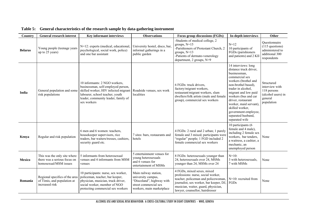| Country        | <b>General research interest</b>                                                      | Key informant interviews                                                                                                                                                                             | <b>Observations</b>                                                                                                            | Focus group discussions (FGDs)                                                                                                                                                                                               | In-depth interviews                                                                                                                                                                                                                                                                                                                     | Other                                                                                      |
|----------------|---------------------------------------------------------------------------------------|------------------------------------------------------------------------------------------------------------------------------------------------------------------------------------------------------|--------------------------------------------------------------------------------------------------------------------------------|------------------------------------------------------------------------------------------------------------------------------------------------------------------------------------------------------------------------------|-----------------------------------------------------------------------------------------------------------------------------------------------------------------------------------------------------------------------------------------------------------------------------------------------------------------------------------------|--------------------------------------------------------------------------------------------|
| <b>Belarus</b> | Young people (teenage years<br>up to 25 years)                                        | N=12: experts (medical, educational,<br>psychological, social work, police)<br>and one bar assistant                                                                                                 | University hostel, disco, bar,<br>informal gatherings in a<br>public garden                                                    | -Students of medical college, 2<br>groups, $N=15$<br>-Parishioners of Protestant Church, 2<br>groups, $N=13$<br>-Patients of dermato-venerology<br>department, $2$ groups, $N=9$                                             | $N=12$<br>10 participants of<br>FGDs (parishioners<br>and patients) and 2 KII                                                                                                                                                                                                                                                           | Ouestionnaire<br>(115 questions)<br>administered to<br>additional 300<br>respondents       |
| India          | General population and some<br>risk populations                                       | 10 informants: 2 NGO workers,<br>businessman, self-employed person,<br>skilled worker, HIV infected migrant<br>labourer, school teacher, youth<br>leader, community leader, family of<br>sex workers | Roadside venues, sex work<br>localities                                                                                        | 6 FGDs: truck drivers,<br>factory/migrant workers,<br>restaurant/migrant workers, slum<br>dwellers/folk artists (male and female<br>group), commercial sex workers                                                           | 14 interviews: long<br>distance truck driver,<br>businessman,<br>commercial sex<br>workers (brothel and<br>non-brothel based),<br>trader in alcohol,<br>migrant and low paid<br>workers (bus and car<br>driver, restaurant<br>worker, maid servant).<br>skilled worker,<br>government employee,<br>separated husband,<br>separated wife | Structured<br>interview with<br>118 persons<br>(alcohol users) in<br>general<br>population |
| Kenya          | Regular and risk population                                                           | 6 men and 6 women: teachers,<br>housekeeper supervisors, rice<br>traders, bar waiters/tresses, cashiers,<br>security guard etc.                                                                      | 7 sites: bars, restaurants and<br>hotels                                                                                       | 4 FGDs: 2 rural and 2 urban; 1 purely<br>female and 3 mixed; participants were<br>"regular" people; 1 FGD included 2<br>female commercial sex workers                                                                        | 10 participants (6<br>female and 4 male),<br>including 2 female sex<br>workers, bar tenders,<br>a waitress, a cashier, a<br>mechanic, an<br>unemployed person                                                                                                                                                                           | None                                                                                       |
| Mexico         | This was the only site where<br>there was a serious focus on<br>homosexual/MSM issues | 5 informants from heterosexual<br>venues and 4 informants from MSM<br>venues                                                                                                                         | 5 entertainment venues for<br>young heterosexuals<br>and 6 venues for<br>entertainment of MSMs                                 | 8 FGDs: heterosexuals younger than<br>24, heterosexuals over 24, MSMs<br>younger than 24, MSMs over 24                                                                                                                       | $N=10$ :<br>3 with heterosexuals,<br>7 with MSMs                                                                                                                                                                                                                                                                                        | None                                                                                       |
| Romania        | Regional specifics of the area<br>of Timis, and population at<br>increased risk       | 10 participants: nurse, sex worker,<br>policeman, teacher, bar keeper,<br>physician, musician, truck driver,<br>social worker, member of NGO<br>protecting commercial sex workers                    | Main railway station,<br>university campus,<br>"Discoland", highway with<br>street commercial sex<br>workers, main marketplace | 4 FGDs, mixed sexes, mixed<br>professions: nurse, social worker,<br>teacher, policeman and policewoman,<br>journalist, sex worker, bar keeper, DJ,<br>musician, waiter, guard, physician,<br>lawyer, counsellor, hairdresser | N=10: recruited from<br>FGDs                                                                                                                                                                                                                                                                                                            | None                                                                                       |

#### **Table 5: General characteristics of the research sample by data-gathering instrument**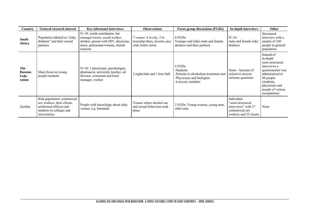| Country                                  | <b>General research interest</b>                                                                                                  | <b>Key informant interviews</b>                                                                                                                        | <b>Observations</b>                                                               | Focus group discussions (FGDs)                                                                                     | In-depth interviews                                                                               | Other                                                                                                                                                                               |
|------------------------------------------|-----------------------------------------------------------------------------------------------------------------------------------|--------------------------------------------------------------------------------------------------------------------------------------------------------|-----------------------------------------------------------------------------------|--------------------------------------------------------------------------------------------------------------------|---------------------------------------------------------------------------------------------------|-------------------------------------------------------------------------------------------------------------------------------------------------------------------------------------|
| South<br>Africa                          | Population labeled as "risky<br>drinkers" and their sexual<br>partners                                                            | $N=18$ : youth coordinator, bar<br>manager/owner, social worker,<br>drinker, person with HIV, physician,<br>nurse, policeman/woman, church<br>minister | 7 venues: 4 in city, 3 in<br>township (bars, taverns, jazz<br>club, bottle store) | 6 FGDs:<br>Younger and older male and female<br>drinkers and their partners                                        | $N=16$ :<br>male and female risky<br>drinkers                                                     | Structured<br>interview with a<br>sample of 160<br>people in general<br>population                                                                                                  |
| The<br><b>Russian</b><br>Fede-<br>ration | Main focus on young<br>people/students                                                                                            | N=10: 3 physicians, psychologist,<br>pharmacist, university teacher, art<br>director, restaurant and hotel<br>manager, worker                          | 2 nightclubs and 1 beer hall                                                      | 4 FGDs:<br>-Students<br>-Patients in alcoholism-treatment unit<br>-Physicians and biologists<br>-Lawyers, teachers | None—because of<br>refusal to answer<br>intimate questions                                        | Instead of<br>in-depth<br>semi-structured<br>interviews a<br>questionnaire was<br>administered to<br>88 people<br>(students,<br>physicians and<br>people of various<br>occupations) |
| Zambia                                   | Risk population: commercial<br>sex workers, their clients,<br>uniformed officers and<br>students in colleges and<br>universitites | People with knowledge about risky<br>venues, e.g. barmaids                                                                                             | Venues where alcohol use<br>and sexual behaviour took<br>place                    | 3 FGDs: Young women, young men,<br>older men                                                                       | Individual<br>"semi-structured<br>interviews" with 27<br>commercial sex<br>workers and 23 clients | None                                                                                                                                                                                |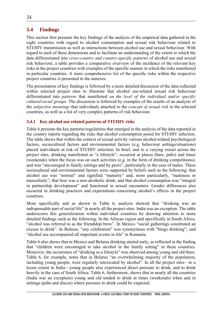# **3.4 Findings**

This section first presents the key findings of the analysis of the empirical data gathered in the eight countries with regard to alcohol consumption and sexual risk behaviour related to STI/HIV transmission as well as interactions between alcohol use and sexual behaviour. With regard to each of these dimensions and to facilitate an understanding of the extent to which the data differentiated into *cross-country and country-specific patterns* of alcohol use and sexual risk behaviour, a table provides a comparative overview of the incidence of the relevant key risks in the project countries with examples of the specific manner in which the risks manifested in particular countries. A more comprehensive list of the specific risks within the respective project countries is presented in the annexes.

The presentation of key findings is followed by a more detailed discussion of the data collected within selected project sites to illustrate that alcohol use-related sexual risk behaviour differentiated into *patterns* that manifested *on the level of the individual and/or specific cultural/social groups*. The discussion is followed by examples of the results of an analysis of the *subjective meanings* that individuals attached to the *concept of sexual risk* in the selected countries, as well as a list of very complex patterns of risk behaviour.

## **3.4.1 Key alcohol use-related patterns of STI/HIV risks**

Table 6 presents the key patterns/regularities that emerged in the analysis of the data reported in the country reports regarding the risks that alcohol consumption posed for STI/HIV infection. The table shows that within the context of sexual activity various alcohol-related psychological factors, sociocultural factors and environmental factors (e.g. behaviour settings/situations) placed individuals at risk of STI/HIV infection. In brief, and to a varying extent across the project sites, drinking manifested as "a lifestyle"; occurred at places (bars, pubs) and times (weekends) when the focus was on such activities (e.g. in the form of drinking competitions); and was "encouraged in family settings and by peers", particularly in the case of males. These sociocultural and environmental factors were supported by beliefs such as the following: that alcohol use was "normal" and signified "maturity" and, more particularly, "maleness or masculinity"; that beer was a non-alcoholic drink; and that alcohol consumption was "integral in partnership development" and functional in sexual encounters. Gender differences also occurred in drinking practices and expectations concerning alcohol's effects in the project countries.

More specifically and as shown in Table 6, analysis showed that "drinking was an indispensable part of social life" in nearly all the project sites. India was an exception. The table underscores this generalization within individual countries by drawing attention to more detailed findings such as the following: In the African region and specifically in South Africa, "alcohol was referred to as the friendship brew". In Mexico "social gatherings constituted an excuse to drink". In Belarus, "any celebration" was synonymous with "binge drinking"; and "alcohol use accompanied all important events in life" in Romania.

Table 6 also shows that in Mexico and Belarus drinking started early, as reflected in the finding that "children were encouraged to take alcohol in the family setting" in these countries. Moreover, the occurrence of "drinking as a lifestyle" was observed among young and old there. Table 6, for example, notes that in Belarus "an overwhelming majority of the population, including young people, were regularly intoxicated by alcohol". In all the project sites—to a lesser extent in India—young people also experienced direct pressure to drink, and to drink heavily in the case of South Africa. Table 6, furthermore, shows that in nearly all the countries (India was an exception) young and old tended to drink at times (weekends) when and in settings (pubs and discos) where pressure to drink could be expected.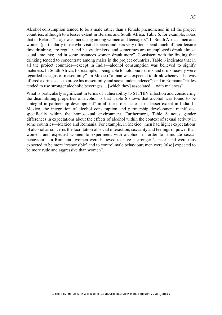Alcohol consumption tended to be a male rather than a female phenomenon in all the project countries, although to a lesser extent in Belarus and South Africa. Table 6, for example, notes that in Belarus "usage was increasing among women and teenagers". In South Africa "men and women (particularly those who visit shebeens and bars very often, spend much of their leisure time drinking, are regular and heavy drinkers, and sometimes are unemployed) drank almost equal amounts; and in some instances women drank more". Consistent with the finding that drinking tended to concentrate among males in the project countries, Table 6 indicates that in all the project countries—except in India—alcohol consumption was believed to signify maleness. In South Africa, for example, "being able to hold one's drink and drink heavily were regarded as signs of masculinity". In Mexico "a man was expected to drink whenever he was offered a drink so as to prove his masculinity and social independence"; and in Romania "males tended to use stronger alcoholic beverages ... [which they] associated ... with maleness".

What is particularly significant in terms of vulnerability to STI/HIV infection and considering the disinhibiting properties of alcohol, is that Table 6 shows that alcohol was found to be "integral in partnership development" in all the project sites, to a lesser extent in India. In Mexico, the integration of alcohol consumption and partnership development manifested specifically within the homosexual environment. Furthermore, Table 6 notes gender differences in expectations about the effects of alcohol within the context of sexual activity in some countries—Mexico and Romania. For example, in Mexico "men had higher expectations of alcohol as concerns the facilitation of social interaction, sexuality and feelings of power than women, and expected women to experiment with alcohool in order to stimulate sexual behaviour". In Romania "women were believed to have a stronger 'censor' and were thus expected to be more 'responsible' and to control male behaviour; men were [also] expected to be more rude and aggressive than women".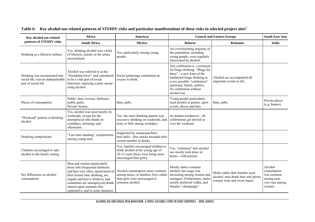| Key alcohol use-related                                                                    | Africa                                                                                                                                                                                                                                                                          | <b>Americas</b>                                                                                                                           | <b>Central and Eastern Europe</b>                                                                                                                                                                                                      |                                                                                                        | <b>South East Asia</b>                                                          |
|--------------------------------------------------------------------------------------------|---------------------------------------------------------------------------------------------------------------------------------------------------------------------------------------------------------------------------------------------------------------------------------|-------------------------------------------------------------------------------------------------------------------------------------------|----------------------------------------------------------------------------------------------------------------------------------------------------------------------------------------------------------------------------------------|--------------------------------------------------------------------------------------------------------|---------------------------------------------------------------------------------|
| patterns of STI/HIV risks                                                                  | <b>South Africa</b>                                                                                                                                                                                                                                                             | Mexico                                                                                                                                    | <b>Belarus</b>                                                                                                                                                                                                                         | Romania                                                                                                | India                                                                           |
| Drinking as a lifestyle (urban)                                                            | Yes, drinking alcohol was a kind<br>of lifestyle, mainly in the urban<br>environment.                                                                                                                                                                                           | Yes, particularly among young<br>people.                                                                                                  | An overwhelming majority of<br>the population, including<br>young people, were regularly<br>intoxicated by alcohol.                                                                                                                    |                                                                                                        |                                                                                 |
| Drinking was incorporated into<br>social life; was an undispensable<br>part of social life | Alcohol was referred to as the<br>"friendship brew", and considered<br>to be a vital part of social<br>functions; enjoying a party meant<br>using alcohol.                                                                                                                      | Social gatherings constituted an<br>excuse to drink.                                                                                      | Any celebration is a synonym<br>for binge drinking. "Binge for<br>three" - a new form of the<br>traditional binge drinking at<br>every possible "celebration"<br>(personal, family, public).<br>No celebration without<br>alcohol use. | Alcohol use accompanied all<br>important events in life.                                               |                                                                                 |
| Places of consumption                                                                      | Public: bars, taverns, shebeens,<br>public parks.<br>Private: homes.                                                                                                                                                                                                            | Bars, pubs.                                                                                                                               | Young people particularly<br>used alcohol at parties, sport<br>events, discos and bars.                                                                                                                                                | Bars, pubs.                                                                                            | Private places<br>(e.g. homes).                                                 |
| "Weekend" pattern of drinking<br>alcohol                                                   | Yes, alcohol was used mostly on<br>weekends, except for the<br>unemployed who drank on<br>weekdays, mornings and<br>afternoons.                                                                                                                                                 | Yes, the main drinking pattern was<br>excessive drinking on weekends, and<br>none or little during weekdays.                              | At student residences-all<br>celebrations get shoved in<br>over the weekend.                                                                                                                                                           |                                                                                                        |                                                                                 |
| Drinking competitions                                                                      | "Last man standing" competitions<br>among young men.                                                                                                                                                                                                                            | Supported by restaurants/bars/<br>beer halls-free snacks awarded after<br>certain number of drinks.                                       |                                                                                                                                                                                                                                        |                                                                                                        |                                                                                 |
| Children encouraged to take<br>alcohol in the family setting                               |                                                                                                                                                                                                                                                                                 | Yes, families encouraged children to<br>drink alcohol at the young age of<br>10-12 years (boys were being more<br>encouraged than girls). | Yes, "initiation" into alcohol<br>use mostly took place at<br>home-with parents.                                                                                                                                                       |                                                                                                        |                                                                                 |
| Sex differences in alcohol<br>consumption                                                  | Men and women (particularly<br>those who frequented shebeens<br>and bars very often, spend much of<br>their leisure time drinking, are<br>regular and heavy drinkers, and<br>sometimes are unemployed) drank<br>almost equal amounts (but<br>separately); and in some instances | Alcohol consumption more common<br>among males; in families, boys rather<br>than girls were encouraged to<br>consume alcohol.             | Mostly males consume<br>alcohol, but usage was<br>increasing among women and<br>teenagers. Furthermore, males<br>mostly preferred vodka, and<br>females "champaign".                                                                   | Males rather than females used<br>alcohol; men drank beer and spirits,<br>women wine and sweet liquor. | Alcohol<br>consumption<br>was common<br>among men,<br>very rare among<br>women. |

Table 6: Key alcohol use-related patterns of STI/HIV risks and particular manifestations of these risks in selected project sites<sup>x</sup>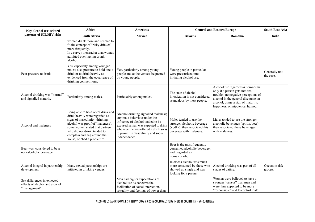| Key alcohol use-related                                                       | Africa                                                                                                                                                                                                                                                                     | <b>Americas</b>                                                                                                                                                                                                                                    |                                                                                                                    | <b>Central and Eastern Europe</b>                                                                                                                                                                                            | <b>South East Asia</b>     |
|-------------------------------------------------------------------------------|----------------------------------------------------------------------------------------------------------------------------------------------------------------------------------------------------------------------------------------------------------------------------|----------------------------------------------------------------------------------------------------------------------------------------------------------------------------------------------------------------------------------------------------|--------------------------------------------------------------------------------------------------------------------|------------------------------------------------------------------------------------------------------------------------------------------------------------------------------------------------------------------------------|----------------------------|
| patterns of STI/HIV risks                                                     | <b>South Africa</b>                                                                                                                                                                                                                                                        | <b>Mexico</b>                                                                                                                                                                                                                                      | <b>Belarus</b>                                                                                                     | Romania                                                                                                                                                                                                                      | India                      |
|                                                                               | women drank more and seemed to<br>fit the concept of "risky drinker"<br>more frequently.<br>In a survey men rather than women<br>admitted ever having drunk<br>alcohol.                                                                                                    |                                                                                                                                                                                                                                                    |                                                                                                                    |                                                                                                                                                                                                                              |                            |
| Peer pressure to drink                                                        | Yes, especially among younger<br>males; also pressure to hold one's<br>drink or to drink heavily as<br>evidenced from the occurrence of<br>drinking competitions.                                                                                                          | Yes, particularly among young<br>people and at the venues frequented<br>by young people.                                                                                                                                                           | Young people in particular<br>were pressurized into<br>initiating alcohol use.                                     |                                                                                                                                                                                                                              | Generally not<br>the case. |
| Alcohol drinking was "normal"<br>and signalled maturity                       | Particularly among males.                                                                                                                                                                                                                                                  | Particualrly among males.                                                                                                                                                                                                                          | The state of alcohol<br>intoxication is not considered<br>scandalous by most people.                               | Alcohol use regarded as non-normal<br>only if a person gets into real<br>trouble; no negative perceptions of<br>alcohol in the general discourse on<br>alcohol; usage a sign of maturity,<br>happiness, omnipotence, humour. |                            |
| Alcohol and maleness                                                          | Being able to hold one's drink and<br>drink heavily were regarded as<br>signs of masculinity; drinking<br>alcohol was proof of "maleness";<br>some women stated that partners<br>who did not drink, tended to<br>complain and nag around the<br>house, or "had a problem." | Alcohol drinking signalled maleness;<br>any male behaviour under the<br>influence of alcohol tended to be<br>excused; a man was expected to drink<br>whenever he was offered a drink so as<br>to prove his masculinity and social<br>independence. | Males tended to use the<br>stronger alcoholic beverage<br>(vodka); they associated this<br>beverage with maleness. | Males tended to use the stronger<br>alcoholic beverages (spirits, beer);<br>they associated these beverages<br>with maleness.                                                                                                |                            |
| Beer was considered to be a<br>non-alcoholic beverage                         |                                                                                                                                                                                                                                                                            |                                                                                                                                                                                                                                                    | Beer is the most frequently<br>consumed alcoholic beverage,<br>and regarded as<br>non-alcoholic.                   |                                                                                                                                                                                                                              |                            |
| Alcohol integral in partnership<br>development                                | Many sexual partnerships are<br>initiated in drinking venues.                                                                                                                                                                                                              |                                                                                                                                                                                                                                                    | In discos alcohol was much<br>more consumed by those who<br>showed up single and was<br>looking for a partner.     | Alcohol drinking was part of all<br>stages of dating.                                                                                                                                                                        | Occurs in risk<br>groups.  |
| Sex differences in expected<br>effects of alcohol and alcohol<br>"management" |                                                                                                                                                                                                                                                                            | Men had higher expectations of<br>alcohol use as concerns the<br>facilitation of social interaction,<br>sexuality and feelings of power than                                                                                                       |                                                                                                                    | Women were believed to have a<br>stronger "censor" than men and<br>were thus expected to be more<br>"responsible" and to control male                                                                                        |                            |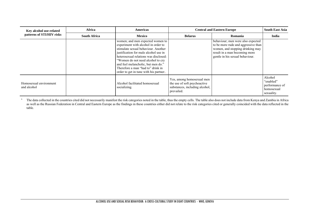| Key alcohol use-related               | Africa              | <b>Americas</b>                                                                                                                                                                                                                                                                                                                                           | <b>Central and Eastern Europe</b>                                                                         |                                                                                                                                                                                  | <b>South East Asia</b>                                             |
|---------------------------------------|---------------------|-----------------------------------------------------------------------------------------------------------------------------------------------------------------------------------------------------------------------------------------------------------------------------------------------------------------------------------------------------------|-----------------------------------------------------------------------------------------------------------|----------------------------------------------------------------------------------------------------------------------------------------------------------------------------------|--------------------------------------------------------------------|
| patterns of STI/HIV risks             | <b>South Africa</b> | <b>Mexico</b>                                                                                                                                                                                                                                                                                                                                             | <b>Belarus</b>                                                                                            | Romania                                                                                                                                                                          | India                                                              |
|                                       |                     | women; and men expected women to<br>experiment with alcohol in order to<br>stimulate sexual behaviour. Another<br>justification for male alcohol use in<br>heterosexual relations was disclosed:<br>"Women do not need alcohol to cry<br>and feel melancholic, but men do."<br>Therefore a man "had to" drink in<br>order to get in tune with his partner |                                                                                                           | behaviour; men were also expected<br>to be more rude and aggressive than<br>women, and stopping drinking may<br>result in a man becoming more<br>gentle in his sexual behaviour. |                                                                    |
| Homosexual environment<br>and alcohol |                     | Alcohol facilitated homosexual<br>socializing.                                                                                                                                                                                                                                                                                                            | Yes, among homosexual men<br>the use of soft psychoactive<br>substances, including alcohol,<br>prevailed. |                                                                                                                                                                                  | Alcohol<br>"enabled"<br>performance of<br>homosexual<br>sexuality. |

 $^{\circ}$  The data collected in the countries cited did not necessarily manifest the risk categories noted in the table, thus the empty cells. The table also does not include data from Kenya and Zambia in Africa as well as the Russian Federation in Central and Eastern Europe as the findings in these countries either did not relate to the risk categories cited or generally coincided with the data reflected in the table.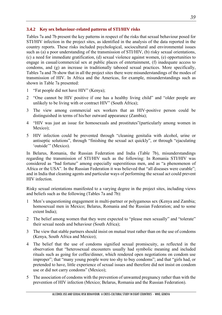#### **3.4.2 Key sex behaviour-related patterns of STI/HIV risks**

Tables 7a and 7b present the key patterns in respect of the risks that sexual behaviour posed for STI/HIV infection in the project sites, as identified in the analysis of the data reported in the country reports. These risks included psychological, sociocultural and environmental issues such as (a) a poor understanding of the transmission of STI/HIV, (b) risky sexual orientations, (c) a need for immediate gratification, (d) sexual violence against women, (e) opportunities to engage in casual/commercial sex at public places of entertainment, (f) inadequate access to condoms, and (g) an increase in traditionally tabooed sexual practices. More specifically, Tables 7a and 7b show that in all the project sites there were misunderstandings of the modes of transmission of HIV. In Africa and the Americas, for example, misunderstandings such as shown in Table 7a presented:

- 1 "Fat people did not have HIV" (Kenya);
- 2 "One cannot be HIV positive if one has a healthy living child" and "older people are unlikely to be living with or contract HIV" (South Africa);
- 3 The view among commercial sex workers that an HIV-positive person could be distinguished in terms of his/her outward appearance (Zambia);
- 4 "HIV was just an issue for homosexuals and prostitutes"(particularly among women in Mexico);
- 5 HIV infection could be prevented through "cleaning genitalia with alcohol, urine or antiseptic solutions", through "finishing the sexual act quickly", or through "ejaculating 'outside'" (Mexico).

In Belarus, Romania, the Russian Federation and India (Table 7b), misunderstandings regarding the transmission of STI/HIV such as the following: In Romania STI/HIV was considered as "bad fortune" among especially superstitious men, and as "a phenomenon of Africa or the USA". In the Russian Federation it was believed that "all diseases were curable"; and in India that cleaning agents and particular ways of performing the sexual act could prevent HIV infection.

Risky sexual orientations manifested to a varying degree in the project sites, including views and beliefs such as the following (Tables 7a and 7b):

- 1 Men's unquestioning engagement in multi-partner or polygamous sex (Kenya and Zambia; homosexual men in Mexico; Belarus, Romania and the Russian Federation; and to some extent India);
- 2 The belief among women that they were expected to "please men sexually" and "tolerate" their sexual needs and behaviour (South Africa);
- 3 The view that stable partners should insist on mutual trust rather than on the use of condoms (Kenya, South Africa and Mexico);
- 4 The belief that the use of condoms signified sexual promiscuity, as reflected in the observation that "heterosexual encounters usually had symbolic meaning and included rituals such as going for coffee/dinner, which rendered open negotiations on condom use improper"; that "many young people were too shy to buy condoms"; and that "girls had, or pretended to have, little experience of sexual issues and therefore did not insist on condom use or did not carry condoms" (Mexico);
- 5 The association of condoms with the prevention of unwanted pregnancy rather than with the prevention of HIV infection (Mexico; Belarus, Romania and the Russian Federation).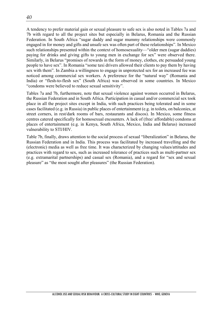A tendency to prefer material gain or sexual pleasure to safe sex is also noted in Tables 7a and 7b with regard to all the project sites but especially in Belarus, Romania and the Russian Federation. In South Africa "sugar daddy and sugar mummy relationships were commonly engaged in for money and gifts and unsafe sex was often part of these relationships". In Mexico such relationships presented within the context of homosexuality—"older men (sugar daddies) paying for drinks and giving gifts to young men in exchange for sex" were observed there. Similarly, in Belarus "promises of rewards in the form of money, clothes, etc persuaded young people to have sex". In Romania "some taxi drivers allowed their clients to pay them by having sex with them". In Zambia a willingness to engage in unprotected sex for an increased fee was noticed among commercial sex workers. A preference for the "natural way" (Romania and India) or "flesh-to-flesh sex" (South Africa) was observed in some countries. In Mexico "condoms were believed to reduce sexual sensitivity".

Tables 7a and 7b, furthermore, note that sexual violence against women occurred in Belarus, the Russian Federation and in South Africa. Participation in casual and/or commercial sex took place in all the project sites except in India, with such practices being tolerated and in some cases facilitated (e.g. in Russia) in public places of entertainment (e.g. in toilets, on balconies, at street corners, in rest/dark rooms of bars, restaurants and discos). In Mexico, some fitness centres catered specifically for homosexual encounters. A lack of (free/ affordable) condoms at places of entertainment (e.g. in Kenya, South Africa, Mexico, India and Belarus) increased vulnerability to STI/HIV.

Table 7b, finally, draws attention to the social process of sexual "liberalization" in Belarus, the Russian Federation and in India. This process was facilitated by increased travelling and the (electronic) media as well as free time. It was characterized by changing values/attitudes and practices with regard to sex, such as increased tolerance of practices such as multi-partner sex (e.g. extramarital partnerships) and casual sex (Romania), and a regard for "sex and sexual pleasure" as "the most sought after pleasures" (the Russian Federation).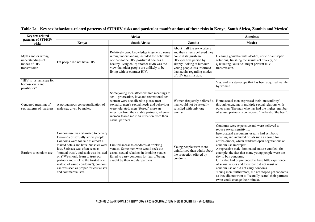| Key sex-related<br>patterns of STI/HIV                                  |                                                                                                                                                                                                                                                                                                                                                                                                                            | <b>Americas</b>                                                                                                                                                                                                                                                                                                                         |                                                                                                                                                                                                                                    |                                                                                                                                                                                                                                                                                                                                                                                                                                                                                                                                                                                                                                                                                                      |
|-------------------------------------------------------------------------|----------------------------------------------------------------------------------------------------------------------------------------------------------------------------------------------------------------------------------------------------------------------------------------------------------------------------------------------------------------------------------------------------------------------------|-----------------------------------------------------------------------------------------------------------------------------------------------------------------------------------------------------------------------------------------------------------------------------------------------------------------------------------------|------------------------------------------------------------------------------------------------------------------------------------------------------------------------------------------------------------------------------------|------------------------------------------------------------------------------------------------------------------------------------------------------------------------------------------------------------------------------------------------------------------------------------------------------------------------------------------------------------------------------------------------------------------------------------------------------------------------------------------------------------------------------------------------------------------------------------------------------------------------------------------------------------------------------------------------------|
| risks                                                                   | Kenya                                                                                                                                                                                                                                                                                                                                                                                                                      | <b>South Africa</b>                                                                                                                                                                                                                                                                                                                     | Zambia                                                                                                                                                                                                                             | Mexico                                                                                                                                                                                                                                                                                                                                                                                                                                                                                                                                                                                                                                                                                               |
| Myths and/or wrong<br>understandings of<br>modes of HIV<br>transmission | Fat people did not have HIV.                                                                                                                                                                                                                                                                                                                                                                                               | Relatively good knowledge in general; some<br>wrong understanding included the belief that<br>one cannot be HIV positive if one has a<br>healthy living child; another myth was the<br>view that older people are unlikely to be<br>living with or contract HIV.                                                                        | About half the sex workers<br>and their clients believed they<br>could distinguish an<br>HIV-positive person by<br>simply looking at him/her;<br>young people less informed<br>than adults regarding modes<br>of HIV transmission. | Cleaning genitalia with alcohol, urine or antiseptic<br>solutions, finishing the sexual act quickly, or<br>ejaculating "outside" might prevent HIV<br>transmission.                                                                                                                                                                                                                                                                                                                                                                                                                                                                                                                                  |
| "HIV is just an issue for<br>homosexuals and<br>prostitutes"            |                                                                                                                                                                                                                                                                                                                                                                                                                            |                                                                                                                                                                                                                                                                                                                                         |                                                                                                                                                                                                                                    | Yes, and is a stereotype that has been acquired mainly<br>by women.                                                                                                                                                                                                                                                                                                                                                                                                                                                                                                                                                                                                                                  |
| Gendered meaning of<br>sex patterns of partners                         | A polygamous conceptualization of<br>male sex given by males.                                                                                                                                                                                                                                                                                                                                                              | Some young men attached three meanings to<br>sex-procreation, love and recreational sex;<br>women were socialized to please men<br>sexually; men's sexual needs and behaviour<br>were tolerated; men "feared" more an<br>infection from their stable partners, whereas<br>women feared more an infection from their<br>casual partners. | Women frequently believed a<br>man could not be sexually<br>satisfied with only one<br>woman.                                                                                                                                      | Homosexual men expressed their "masculinity"<br>through engaging in multiple sexual relations with<br>other men. The man who has had the highest number<br>of sexual partners is considered "the best of the best".                                                                                                                                                                                                                                                                                                                                                                                                                                                                                  |
| Barriers to condom use                                                  | Condom use was estimated to be very<br>low—5% of sexually active people.<br>Condoms were for sale at almost all<br>visited hotels and bars, but sales were<br>low. Safe sex was often seen as<br>"mutual trust", and such was insisted<br>on ("We should learn to trust our<br>partners and stick to the trusted one<br>instead of using condoms"); condom<br>use was seen as proper for casual sex<br>and commercial sex. | Limited access to condoms at drinking<br>venues. Some men who would seek out<br>casual sexual relations in drinking venues<br>failed to carry condoms for fear of being<br>caught by their regular partners.                                                                                                                            | Young people were more<br>uninformed than adults about<br>the protection offered by<br>condoms.                                                                                                                                    | Condoms were expensive and were believed to<br>reduce sexual sensitivity;<br>heterosexual encounters usually had symbolic<br>meaning and included rituals such as going for<br>coffee/dinner, which rendered open negotiations on<br>condom use improper.<br>A repressive male-dominated culture entailed, for<br>example, the fact that many young people were too<br>shy to buy condoms.<br>Girls also had or pretended to have little experience<br>of sexual issues and therefore did not insist on<br>condom use or did not carry condoms.<br>Young men, furthermore, did not stop to get condoms<br>as they did not want to "sexually scare" their partners<br>(who could change their minds). |

**Table 7a: Key sex behaviour-related patterns of STI/HIV risks and particular manifestations of these risks in Kenya, South Africa, Zambia and Mexicox**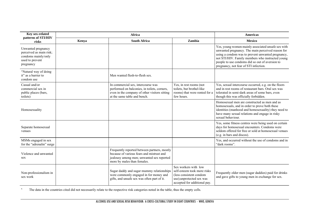| Key sex-related                                                                                      |       | <b>Americas</b>                                                                                                                                                       |                                                                                                                                            |                                                                                                                                                                                                                                                                                                              |
|------------------------------------------------------------------------------------------------------|-------|-----------------------------------------------------------------------------------------------------------------------------------------------------------------------|--------------------------------------------------------------------------------------------------------------------------------------------|--------------------------------------------------------------------------------------------------------------------------------------------------------------------------------------------------------------------------------------------------------------------------------------------------------------|
| patterns of STI/HIV<br>risks                                                                         | Kenya | <b>South Africa</b>                                                                                                                                                   | Zambia                                                                                                                                     | <b>Mexico</b>                                                                                                                                                                                                                                                                                                |
| Unwanted pregnancy<br>perceived as main risk;<br>condoms mainly/only<br>used to prevent<br>pregnancy |       |                                                                                                                                                                       |                                                                                                                                            | Yes, young women mainly associated unsafe sex with<br>unwanted pregnancy. The main perceived reason for<br>using a condom was to prevent unwanted pregnancy,<br>not STI/HIV. Family members who instructed young<br>people to use condoms did so out of aversion to<br>pregnancy, not fear of STI infection. |
| "Natural way of doing<br>it" as a barrier to<br>condom use                                           |       | Men wanted flesh-to-flesh sex.                                                                                                                                        |                                                                                                                                            |                                                                                                                                                                                                                                                                                                              |
| Casual and/or<br>commercial sex in<br>public places (bars,<br>toilets)                               |       | In commercial sex, intercourse was<br>performed on balconies, in toilets, corners,<br>even in the company of other visitors sitting<br>at the same table and bench.   | Yes, in rest rooms (not<br>toilets, but brothel-like<br>rooms) that were rented for a<br>few hours.                                        | Yes, sexual intercourse occurred, e.g. on the floors<br>and in rest rooms of restaurant bars. Oral sex was<br>tolerated in semi-dark areas of some bars, even<br>though this was officially forbidden.                                                                                                       |
| Homosexuality                                                                                        |       |                                                                                                                                                                       |                                                                                                                                            | Homosexual men are constructed as men and as<br>homosexuals, and in order to prove both these<br>identities (manhood and homosexuality) they need to<br>have many sexual relations and engage in risky<br>sexual behaviour.                                                                                  |
| Separate homosexual<br>venues                                                                        |       |                                                                                                                                                                       |                                                                                                                                            | Yes, some fitness centres were being used on certain<br>days for homosexual encounters. Condoms were<br>seldom offered for free or sold at homosexual venues<br>(e.g. in bars and discos).                                                                                                                   |
| MSMs engaged in sex<br>for the "adrenalin" surge                                                     |       |                                                                                                                                                                       |                                                                                                                                            | Yes, and occurred without the use of condoms and in<br>"dark rooms".                                                                                                                                                                                                                                         |
| Violence and unwanted<br>sex                                                                         |       | Frequently reported between partners, mostly<br>because of various fears and mistrust and<br>jealousy among men; unwanted sex reported<br>more by males than females. |                                                                                                                                            |                                                                                                                                                                                                                                                                                                              |
| Non-professionalism in<br>sex work                                                                   |       | Sugar daddy and sugar mummy relationships<br>were commonly engaged in for money and<br>gifts, and unsafe sex was often part of it.                                    | Sex workers with low<br>self-esteem took more risks<br>(less consistent condom<br>use);unprotected sex was<br>accepted for additional pay. | Frequently older men (sugar daddies) paid for drinks<br>and gave gifts to young men in exchange for sex.                                                                                                                                                                                                     |

<sup>x</sup> The data in the countries cited did not necessarily relate to the respective risk categories noted in the table, thus the empty cells.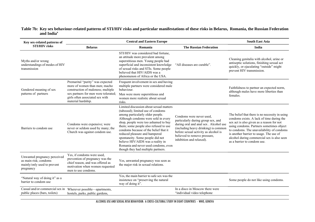**Table 7b: Key sex behaviour-related patterns of STI/HIV risks and particular manifestations of these risks in Belarus, Romania, the Russian Federation**  and India<sup>x</sup>

| Key sex-related patterns of                                                                       |                                                                                                                                                                                                          | <b>Central and Eastern Europe</b>                                                                                                                                                                                                                                                                                                                                                                                                                                         |                                                                                                                                                                                                                                                     | <b>South East Asia</b>                                                                                                                                                                                                                                                                                                                                    |
|---------------------------------------------------------------------------------------------------|----------------------------------------------------------------------------------------------------------------------------------------------------------------------------------------------------------|---------------------------------------------------------------------------------------------------------------------------------------------------------------------------------------------------------------------------------------------------------------------------------------------------------------------------------------------------------------------------------------------------------------------------------------------------------------------------|-----------------------------------------------------------------------------------------------------------------------------------------------------------------------------------------------------------------------------------------------------|-----------------------------------------------------------------------------------------------------------------------------------------------------------------------------------------------------------------------------------------------------------------------------------------------------------------------------------------------------------|
| <b>STI/HIV risks</b>                                                                              | <b>Belarus</b>                                                                                                                                                                                           | Romania                                                                                                                                                                                                                                                                                                                                                                                                                                                                   | <b>The Russian Federation</b>                                                                                                                                                                                                                       | India                                                                                                                                                                                                                                                                                                                                                     |
| Myths and/or wrong<br>understandings of modes of HIV<br>transmission                              |                                                                                                                                                                                                          | STI/HIV was considered bad fortune,<br>an attitude more prevalent among<br>superstitious men. Young people had<br>superficial and inconsistent knowledge<br>of sexual risks and STIs. Some people<br>believed that HIV/AIDS was a<br>phenomenon of Africa or the USA.                                                                                                                                                                                                     | "All diseases are curable".                                                                                                                                                                                                                         | Cleaning genitalia with alcohol, urine or<br>antiseptic solutions, finishing sexual act<br>quickly, or ejaculating "outside" might<br>prevent HIV transmission.                                                                                                                                                                                           |
| Gendered meaning of sex<br>patterns of partners                                                   | Premarital "purity" was expected<br>more of women than men; macho<br>construction of maleness; multiple<br>sex partners for men were tolerated;<br>girls often associated sex with<br>material hardship. | Frequent involvement in sex and having<br>multiple partners were considered male<br>behaviour.<br>Men were more superstitious and<br>women more realistic about sexual<br>risks.                                                                                                                                                                                                                                                                                          |                                                                                                                                                                                                                                                     | Faithfulness to partner an expected norm,<br>although males have more liberties than<br>females.                                                                                                                                                                                                                                                          |
| Barriers to condom use                                                                            | Condoms were expensive; were<br>never or seldom used by many; the<br>Church was against condom use.                                                                                                      | Limited discussion about sexual matters<br>(tabooed); limited use of condoms<br>among particularly older people.<br>Although condoms were sold in every<br>shop, people were too ashamed to buy<br>them; some people also refused to use<br>condoms because of the belief that it<br>reduced pleasure and hampered<br>spontaneity. Some people did not<br>believe HIV/AIDS was a reality in<br>Romania and never used condoms, even<br>though they had multiple partners. | Condoms were never used.<br>particularly during group sex, and<br>during oral and anal sex. Alcohol use<br>(including heavy drinking) is common<br>before sexual activity as alcohol is<br>believed to remove pressure,<br>inhibition and relaxed). | The belief that there is no necessity in using<br>condoms exists. A lack of time during the<br>sex act is also given as a reason for not<br>using condoms. Partners sometimes object<br>to condoms. The unavailability of condoms<br>is another barrier to usage. The use of<br>alcohol during commercial sex is also seen<br>as a barrier to condom use. |
| Unwanted pregnancy perceived<br>as main risk; condoms<br>mainly/only used to prevent<br>pregnancy | Yes, if condoms were used,<br>prevention of pregnancy was the<br>chief reason, and was offered as<br>motivation when women requested<br>men to use condoms.                                              | Yes, unwanted pregnancy was seen as<br>the major risk in sexual relations.                                                                                                                                                                                                                                                                                                                                                                                                |                                                                                                                                                                                                                                                     |                                                                                                                                                                                                                                                                                                                                                           |
| "Natural way of doing it" as a<br>barrier to condom use                                           |                                                                                                                                                                                                          | Yes, the main barrier to safe sex was the<br>insistence on "preserving the natural<br>way of doing it".                                                                                                                                                                                                                                                                                                                                                                   |                                                                                                                                                                                                                                                     | Some people do not like using condoms.                                                                                                                                                                                                                                                                                                                    |
| public places (bars, toilets)                                                                     | Casual and/or commercial sex in Wherever possible—apartments,<br>hostels, parks, public gardens,                                                                                                         |                                                                                                                                                                                                                                                                                                                                                                                                                                                                           | In a disco in Moscow there were<br>"individual video telephone"                                                                                                                                                                                     |                                                                                                                                                                                                                                                                                                                                                           |

ALCOHOL USE AND SEXUALRISK BEHAVIOUR: A CROSS-CULTURALSTUDYIN EIGHTCOUNTRIES - WHO, GENEVA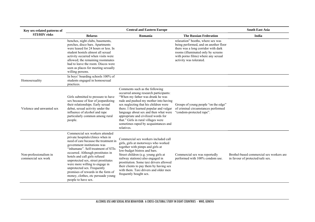| Key sex-related patterns of                   |                                                                                                                                                                                                                                                                                                                                                                                                                                                                     | <b>Central and Eastern Europe</b>                                                                                                                                                                                                                                                                                                                                                                                       |                                                                                                                                                                                                                          | <b>South East Asia</b>                                                       |
|-----------------------------------------------|---------------------------------------------------------------------------------------------------------------------------------------------------------------------------------------------------------------------------------------------------------------------------------------------------------------------------------------------------------------------------------------------------------------------------------------------------------------------|-------------------------------------------------------------------------------------------------------------------------------------------------------------------------------------------------------------------------------------------------------------------------------------------------------------------------------------------------------------------------------------------------------------------------|--------------------------------------------------------------------------------------------------------------------------------------------------------------------------------------------------------------------------|------------------------------------------------------------------------------|
| <b>STI/HIV risks</b>                          | <b>Belarus</b>                                                                                                                                                                                                                                                                                                                                                                                                                                                      | Romania                                                                                                                                                                                                                                                                                                                                                                                                                 | <b>The Russian Federation</b>                                                                                                                                                                                            | India                                                                        |
|                                               | benches, night clubs, basements,<br>porches, disco bars. Apartments<br>were leased for 24 hours or less. In<br>student hostels almost all sexual<br>activity occurred when visits were<br>allowed; the remaining roommates<br>had to leave the room. Discos were<br>seen as places for meeting sexually<br>willing persons.                                                                                                                                         |                                                                                                                                                                                                                                                                                                                                                                                                                         | relaxation" booths, where sex was<br>being performed, and on another floor<br>there was a long corridor with dark<br>rooms (illuminated only by screens<br>with porno films) where any sexual<br>activity was tolerated. |                                                                              |
| Homosexuality                                 | In boys' boarding schools 100% of<br>students engaged in homosexual<br>practices.                                                                                                                                                                                                                                                                                                                                                                                   |                                                                                                                                                                                                                                                                                                                                                                                                                         |                                                                                                                                                                                                                          |                                                                              |
| Violence and unwanted sex                     | Girls submitted to pressure to have<br>sex because of fear of jeopardizing<br>their relationships. Early sexual<br>debut, sexual activity under the<br>influence of alcohol and rape<br>particularly common among rural<br>people.                                                                                                                                                                                                                                  | Comments such as the following<br>occurred among research participants:<br>"When my father was drunk he was<br>rude and pushed my mother into having<br>sex neglecting that his children were<br>there. I first learned popular and vulgar<br>language about sex and then what were<br>appropriate and civilized words for<br>that." Girls in rural villages were<br>sometimes raped by acquaintances and<br>relatives. | Groups of young people "on the edge"<br>of criminal circumstances performed<br>"condom-protected rape".                                                                                                                  |                                                                              |
| Non-professionalism in<br>commercial sex work | Commercial sex workers attended<br>private hospitals/clinics when in<br>need of care because the treatment in<br>government institutions was<br>"inhumane". Self-treatment of STIs<br>occurred. Although prostitutes in<br>hotels and call girls refused<br>unprotected sex, street prostitutes<br>were more willing to engage in<br>unprotected sex. Frequently<br>promises of rewards in the form of<br>money, clothes, etc persuade young<br>people to have sex. | Commercial sex workers included call<br>girls, girls at motorways who worked<br>together with pimps and girls at<br>low-budget bistros and bars.<br>Street children (e.g. young girls at<br>railway stations) also engaged in<br>prostitution. Some taxi drivers allowed<br>their clients to pay them by having sex<br>with them. Taxi drivers and older men<br>frequently bought sex.                                  | Commercial sex was reportedly<br>performed with 100% condom use.                                                                                                                                                         | Brothel-based commercial sex workers are<br>in favour of protected/safe sex. |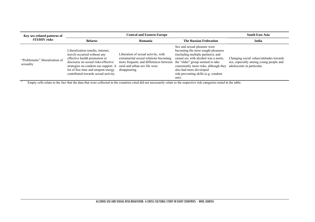| Key sex-related patterns of<br><b>STI/HIV</b> risks |                                                                                                                                                                                                                                                                | <b>South East Asia</b>                                                                                                                                                    |                                                                                                                                                                                                                                                                                                          |                                                                                                                  |
|-----------------------------------------------------|----------------------------------------------------------------------------------------------------------------------------------------------------------------------------------------------------------------------------------------------------------------|---------------------------------------------------------------------------------------------------------------------------------------------------------------------------|----------------------------------------------------------------------------------------------------------------------------------------------------------------------------------------------------------------------------------------------------------------------------------------------------------|------------------------------------------------------------------------------------------------------------------|
|                                                     | <b>Belarus</b>                                                                                                                                                                                                                                                 | Romania                                                                                                                                                                   | <b>The Russian Federation</b>                                                                                                                                                                                                                                                                            | India                                                                                                            |
| "Problematic" liberalization of<br>sexuality        | Liberalization (media, internet,<br>travel) occurred without any<br>effective health promotion or<br>discourse on sexual risks/effective<br>strategies on condom use support. A<br>lot of free time and unspent energy<br>contributed towards sexual activity. | Liberation of sexual activity, with<br>extramarital sexual relations becoming<br>more frequent; and differences between<br>rural and urban sex life were<br>disappearing. | Sex and sexual pleasure were<br>becoming the most sought pleasures<br>(including multiple partners), and<br>casual sex with alcohol was a norm;<br>the "older" group seemed to take<br>consistently more risks, although they<br>also had more developed<br>risk-preventing skills (e.g. condom<br>use). | Changing social values/attitudes towards<br>sex, especially among young people and<br>adolescents in particular. |

 $\overline{X}$  Empty cells relate to the fact that the data that were collected in the countries cited did not necessarily relate to the respective risk categories noted in the table.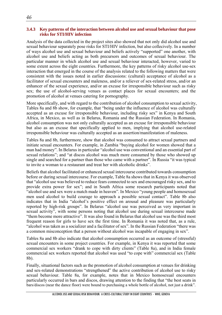#### **3.4.3 Key patterns of the interaction between alcohol use and sexual behaviour that pose risks for STI/HIV infection**

Analysis of the data collected in the project sites also showed that not only did alcohol use and sexual behaviour separately pose risks for STI/HIV infection, but also collecively. In a number of ways alcohol use and sexual behaviour and beliefs actively "supported" one another, with alcohol use and beliefs acting as both precursors and outcomes of sexual behaviour. The particular manner in which alcohol use and sexual behaviour interacted, however, varied to some extent across the eight countries. Furthermore, the key patterns of risky alcohol use-sex interaction that emerged in the course of the analysis related to the following matters that were consistent with the issues noted in earlier discussions: (cultural) acceptance of alcohol as a facilitator of sexual encounters and maleness, and/or a reliever of sex-related stress, and/or an enhancer of the sexual experience, and/or an excuse for irresponsible behaviour such as risky sex; the use of alcohol-serving venues as contact places for sexual encounters; and the promotion of alcohol at venues catering for pornography.

More specifically, and with regard to the contribution of alcohol consumption to sexual activity, Tables 8a and 8b show, for example, that "being under the influence of alcohol was culturally accepted as an excuse for irresponsible behaviour, including risky sex" in Kenya and South Africa, in Mexico, as well as in Belarus, Romania and the Russian Federation. In Romania, alcohol consumption was not only culturally accepted as an excuse for irresponsible behaviour but also as an excuse that specifically applied to men, implying that alcohol use-related irresponsible behaviour was culturally accepted as an assertion/manifestation of maleness.

Tables 8a and 8b, furthermore, show that alcohol was consumed to attract sexual partners and initiate sexual encounters. For example, in Zambia "buying alcohol for women showed that a man had money". In Belarus in particular "alcohol use was conventional and an essential part of sexual relations"; and "at discos alcohol was much more consumed by those who showed up single and searched for a partner than those who came with a partner". In Russia "it was typical to invite a woman to a restaurant and treat her with alcoholic drinks".

Beliefs that alcohol facilitated or enhanced sexual intercourse contributed towards consumption before or during sexual intercourse. For example, Table 8a shows that in Kenya it was observed that "alcohol use was believed to reduce fears connected to sex and encouraged risky sex, and to provide extra power for sex"; and in South Africa some research participants noted that "alcohol use and sex were a match made in heaven". In Mexico "young people and homosexual men used alcohol to build courage to approach a possible sexual contact". Table 8b also indicates that in India "alcohol's positive effect on arousal and pleasure was particularly reported by high-risk groups". In Belarus "alcohol use was perceived as very important in sexual activity", with some persons noting that alcohol use during sexual intercourse made "them become more attractive". It was also found in Belarus that alcohol use was the third most frequent reason for girls to have sex the first time. In Romania it was noted that, as a rule, "alcohol was taken as a socializer and a facilitator of sex". In the Russian Federation "there was a common misconception that a person without alcohol was incapable of engaging in sex".

Tables 8a and 8b also indicate that alcohol consumption occurred as an outcome of (stressful) sexual encounters in some project countries. For example, in Kenya it was reported that some commercial sex workers "drank to cope with dirty clients" (Table 8a), and in India female commercial sex workers reported that alcohol was used "to cope with" commercial sex (Table 8b).

Finally, situational factors such as the promotion of alcohol consumption at venues for drinking and sex-related demonstrations "strengthened" the active contribution of alcohol use to risky sexual behaviour. Table 8a, for example, notes that in Mexico homosexual encounters particularly occurred in bars and discos, drawing attention to the finding that "the best seats in bars/discos (near the dance floor) were bound to purchasing a whole bottle of alcohol, not just a drink".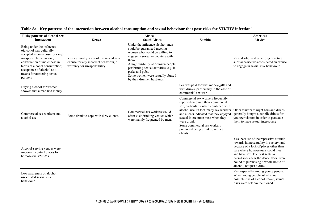| Risky patterns of alcohol-sex                                                                                                                                                                                                                                  |                                                                                                                     | Africa                                                                                                                                                                                                                                                                                                            |                                                                                                                                                                                                                                                                                                                                        | Americas                                                                                                                                                                                                                                                                                                             |
|----------------------------------------------------------------------------------------------------------------------------------------------------------------------------------------------------------------------------------------------------------------|---------------------------------------------------------------------------------------------------------------------|-------------------------------------------------------------------------------------------------------------------------------------------------------------------------------------------------------------------------------------------------------------------------------------------------------------------|----------------------------------------------------------------------------------------------------------------------------------------------------------------------------------------------------------------------------------------------------------------------------------------------------------------------------------------|----------------------------------------------------------------------------------------------------------------------------------------------------------------------------------------------------------------------------------------------------------------------------------------------------------------------|
| interaction                                                                                                                                                                                                                                                    | Kenya                                                                                                               | <b>South Africa</b>                                                                                                                                                                                                                                                                                               | Zambia                                                                                                                                                                                                                                                                                                                                 | <b>Mexico</b>                                                                                                                                                                                                                                                                                                        |
| Being under the influence<br>ofalcohol was culturally<br>accepted as an excuse for (any)<br>irresponsible behaviour;<br>construction of malenness in<br>terms of alcohol consumption;<br>acceptance of alcohol as a<br>means for attracting sexual<br>partners | Yes, culturally, alcohol use served as an<br>excuse for any incorrect behaviour, a<br>warranty for irresponsibility | Under the influence alcohol, men<br>could be guaranteed meeting<br>women who would be willing to<br>engage in sexual encounters with<br>them.<br>A high visibility of drunken people<br>performing sexual activities, e.g. in<br>parks and pubs.<br>Some women were sexually abused<br>by their drunken husbands. |                                                                                                                                                                                                                                                                                                                                        | Yes, alcohol and other psychoactive<br>substance use was considered an excuse<br>to engage in sexual risk behaviour                                                                                                                                                                                                  |
| Buying alcohol for women<br>showed that a man had money                                                                                                                                                                                                        |                                                                                                                     |                                                                                                                                                                                                                                                                                                                   | Sex was paid for with money/gifts and<br>with drinks, particularly in the case of<br>commercial sex work.                                                                                                                                                                                                                              |                                                                                                                                                                                                                                                                                                                      |
| Commercial sex workers and<br>alcohol use                                                                                                                                                                                                                      | Some drank to cope with dirty clients.                                                                              | Commercial sex workers would<br>often visit drinking venues which<br>were mainly frequented by men.                                                                                                                                                                                                               | Commercial sex workers frequently<br>reported enjoying their commercial<br>sex, particularly when combined with<br>alcohol use. In fact, many sex workers<br>and clients indicated that they enjoyed<br>sexual intercourse most when they<br>were drunk.<br>Some commercial sex workers<br>pretended being drunk to seduce<br>clients. | Older visitors to night bars and discos<br>generally bought alcoholic drinks for<br>younger visitors in order to persuade<br>them to have sexual intercourse                                                                                                                                                         |
| Alcohol-serving venues were<br>important contact places for<br>homosexuals/MSMs                                                                                                                                                                                |                                                                                                                     |                                                                                                                                                                                                                                                                                                                   |                                                                                                                                                                                                                                                                                                                                        | Yes, because of the repressive attitude<br>towards homosexuality in society; and<br>because of a lack of places other than<br>bars where homosexuals could meet<br>and have sex. The best seats in<br>bars/discos (near the dance floor) were<br>bound to purchasing a whole bottle of<br>alcohol, not just a drink. |
| Low awareness of alcohol<br>use-related sexual risk<br>behaviour                                                                                                                                                                                               |                                                                                                                     |                                                                                                                                                                                                                                                                                                                   |                                                                                                                                                                                                                                                                                                                                        | Yes, especially among young people.<br>When young people asked about<br>possible riks of alcohol intake, sexual<br>risks were seldom mentioned.                                                                                                                                                                      |

Table 8a: Key patterns of the interaction between alcohol consumption and sexual behaviour that pose risks for STI/HIV infection<sup>x</sup>

<u> 1989 - Johann Stoff, fransk politik (d. 1989)</u>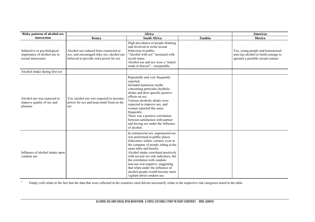| <b>Risky patterns of alcohol-sex</b>                                              |                                                                                                                                 | Americas                                                                                                                                                                                                                                                                                                                                                                                                                                  |        |                                                                                                              |
|-----------------------------------------------------------------------------------|---------------------------------------------------------------------------------------------------------------------------------|-------------------------------------------------------------------------------------------------------------------------------------------------------------------------------------------------------------------------------------------------------------------------------------------------------------------------------------------------------------------------------------------------------------------------------------------|--------|--------------------------------------------------------------------------------------------------------------|
| interaction                                                                       | Kenya                                                                                                                           | <b>South Africa</b>                                                                                                                                                                                                                                                                                                                                                                                                                       | Zambia | <b>Mexico</b>                                                                                                |
| Subjective or psychological<br>importance of alcohol use in<br>sexual intercourse | Alcohol use reduced fears connected to<br>sex, and encouraged risky sex; alcohol use<br>believed to provide extra power for sex | High prevalence of people drinking<br>and involved in erotic/sexual<br>behaviour in public.<br>"Alcohol with sex" increased with<br>social status.<br>Alcohol use and sex were a "match<br>made in heaven"-inseparable.                                                                                                                                                                                                                   |        | Yes, young people and homosexual<br>men use alcohol to build courage to<br>aproach a possible sexual contact |
| Alcohol intake during first sex                                                   |                                                                                                                                 |                                                                                                                                                                                                                                                                                                                                                                                                                                           |        |                                                                                                              |
| Alcohol use was expected to<br>improve quality of sex and<br>pleasure             | Yes, alcohol use was expected to increase<br>power for sex and keep mind fixed on the<br>act                                    | Repeatedly and very frequently<br>reported.<br>Included numerous myths<br>concerning particular alcoholic<br>drinks and their specific positive<br>effects on sex.<br>Various alcoholic drinks were<br>expected to improve sex, and<br>women reported this more<br>frequently.<br>There was a positive correlation<br>between satisfaction with partner<br>and having sex under the influence<br>of alcohol.                              |        |                                                                                                              |
| Influence of alcohol intake upon<br>condom use                                    |                                                                                                                                 | In commercial sex, unprotected sex<br>was performed in public places<br>(balconies, toilets, corners, even in<br>the company of people sitting at the<br>same table and bench).<br>Alcohol intake correlated positively<br>with several sex-risk indicators, but<br>the correlation with condom<br>non-use was negative, suggesting<br>that when under the influence of<br>alcohol people would become more<br>vigilant about condom use. |        |                                                                                                              |

<sup>x</sup> Empty cells relate to the fact that the data that were collected in the countries cited did not necessarily relate to the respective risk categories noted in the table.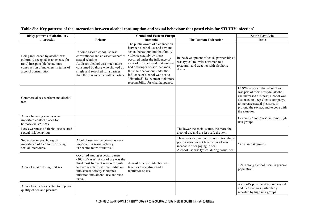| Table 8b: Key patterns of the interaction between alcohol consumption and sexual behaviour that posed risks for STI/HIV infection <sup>x</sup> |
|------------------------------------------------------------------------------------------------------------------------------------------------|
|                                                                                                                                                |

| <b>Risky patterns of alcohol-sex</b>                                                                                                                                     |                                                                                                                                                                                                                                               | <b>Cental and Eastern Europe</b>                                                                                                                                                                                                                                                                                                                                                               |                                                                                                                                                                | <b>South East Asia</b>                                                                                                                                                                                                                            |
|--------------------------------------------------------------------------------------------------------------------------------------------------------------------------|-----------------------------------------------------------------------------------------------------------------------------------------------------------------------------------------------------------------------------------------------|------------------------------------------------------------------------------------------------------------------------------------------------------------------------------------------------------------------------------------------------------------------------------------------------------------------------------------------------------------------------------------------------|----------------------------------------------------------------------------------------------------------------------------------------------------------------|---------------------------------------------------------------------------------------------------------------------------------------------------------------------------------------------------------------------------------------------------|
| interaction                                                                                                                                                              | <b>Belarus</b>                                                                                                                                                                                                                                | Romania                                                                                                                                                                                                                                                                                                                                                                                        | <b>The Russian Federation</b>                                                                                                                                  | India                                                                                                                                                                                                                                             |
| Being influenced by alcohol was<br>culturally accepted as an excuse for<br>(any) irresponsible behaviour;<br>construction of maleness in terms of<br>alcohol consumption | In some cases alcohol use was<br>conventional and an essential part of<br>sexual relations.<br>At discos alcohol was much more<br>consumed by those who showed up<br>single and searched for a partner<br>than those who came with a partner. | The public aware of a connection<br>between alcohol use and deviant<br>sexual behaviour and that family<br>violence (mainly by men)<br>occurred under the influence of<br>alcohol. It is believed that women<br>had a stronger censor than men,<br>thus their behaviour under the<br>influence of alcohol was not so<br>"disturbed", i.e. women took more<br>responsibility for what happened. | In the development of sexual partnerships it<br>was typical to invite a woman to a<br>restaurant and treat her with alcoholic<br>drinks.                       |                                                                                                                                                                                                                                                   |
| Commercial sex workers and alcohol<br>use                                                                                                                                |                                                                                                                                                                                                                                               |                                                                                                                                                                                                                                                                                                                                                                                                |                                                                                                                                                                | FCSWs reported that alcohol use<br>was part of their lifestyle; alcohol<br>use increased business; alcohol was<br>also used to keep clients company,<br>to increase sexual pleasure, to<br>prolong the sex act, and to cope with<br>the situation |
| Alcohol-serving venues were<br>important contact places for<br>homosexuals/MSMs                                                                                          |                                                                                                                                                                                                                                               |                                                                                                                                                                                                                                                                                                                                                                                                |                                                                                                                                                                | Generally "no"; "yes", in some high<br>risk groups                                                                                                                                                                                                |
| Low awareness of alcohol use-related<br>sexual risk behaviour                                                                                                            |                                                                                                                                                                                                                                               |                                                                                                                                                                                                                                                                                                                                                                                                | The lower the social status, the more the<br>alcohol use and the less safe the sex.                                                                            |                                                                                                                                                                                                                                                   |
| Subjective or psychological<br>importance of alcohol use during<br>sexual intercourse                                                                                    | Alcohol use was perceived as very<br>important in sexual activity.<br>"I become more attractive".                                                                                                                                             |                                                                                                                                                                                                                                                                                                                                                                                                | There was a common misconception that a<br>person who has not taken alcohol was<br>incapable of engaging in sex.<br>Alcohol use was typical during casual sex. | "Yes" in risk groups                                                                                                                                                                                                                              |
| Alcohol intake during first sex                                                                                                                                          | Occurred among especially men<br>(20% of cases). Alcohol use was the<br>third most frequent reason for girls<br>to have sex the first time. Initiation<br>into sexual activity facilitates<br>initiation into alcohol use and vice<br>versa.  | Almost as a rule. Alcohol was<br>taken as a socializer and a<br>facilitator of sex.                                                                                                                                                                                                                                                                                                            |                                                                                                                                                                | 12% among alcohol users in general<br>population                                                                                                                                                                                                  |
| Alcohol use was expected to improve<br>quality of sex and pleasure                                                                                                       |                                                                                                                                                                                                                                               |                                                                                                                                                                                                                                                                                                                                                                                                |                                                                                                                                                                | Alcohol's positive effect on arousal<br>and pleasure was particularly<br>reported by high risk groups                                                                                                                                             |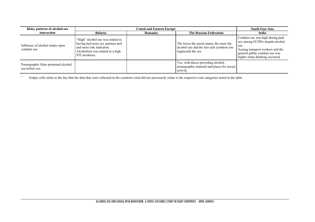| Risky patterns of alcohol-sex                         | <b>Cental and Eastern Europe</b>                                                                                                                         |         |                                                                                                                | <b>South East Asia</b>                                                                                                                                                           |
|-------------------------------------------------------|----------------------------------------------------------------------------------------------------------------------------------------------------------|---------|----------------------------------------------------------------------------------------------------------------|----------------------------------------------------------------------------------------------------------------------------------------------------------------------------------|
| interaction                                           | <b>Belarus</b>                                                                                                                                           | Romania | <b>The Russian Federation</b>                                                                                  | India                                                                                                                                                                            |
| Influence of alcohol intake upon<br>condom use        | "High" alcohol use was related to<br>having had more sex partners and<br>and more risk indicators.<br>Alcoholism was related to a high<br>STI incidence. |         | The lower the social status, the more the<br>alcohol use and the less safe (condom use)<br>neglected) the sex. | Condom use was high during paid<br>sex among FCSWs despite alcohol<br>use.<br>Among transport workers and the<br>general public condom use was<br>higher when drinking occurred. |
| Pornographic films promoted alcohol<br>use before sex |                                                                                                                                                          |         | Yes, with discos providing alcohol,<br>pornographic material and places for sexual<br>activity                 |                                                                                                                                                                                  |

<sup>x</sup> Empty cells relate to the fact that the data that were collected in the countries cited did not necessarily relate to the respective risk categories noted in the table.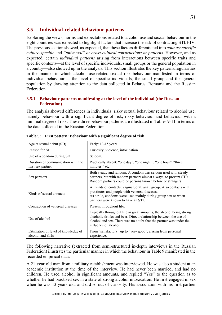## **3.5 Individual-related behaviour patterns**

Exploring the views, norms and expectations related to alcohol use and sexual behaviour in the eight countries was expected to highlight factors that increase the risk of contracting STI/HIV. The previous section showed, as expected, that these factors differentiated into *country-specific, culture-specific* and *"universal" or cross-cultural constructions or patterns*. However, and as expected, certain *individual patterns* arising from interactions between specific traits and specific contexts—at the level of specific individuals, small groups or the general population in a country—also showed up in the analysis. This section illustrates the key patterns/regularities in the manner in which alcohol use-related sexual risk behaviour manifested in terms of individual behaviour at the level of specific individuals, the small group and the general population by drawing attention to the data collected in Belarus, Romania and the Russian Federation.

#### **3.5.1 Behaviour patterns manifesting at the level of the individual (the Russian Federation)**

The analysis showed differences in individuals' risky sexual behaviour related to alcohol use, namely behaviour with a significant degree of risk, risky behaviour and behaviour with a minimal degree of risk. These three behaviour patterns are illustrated in Tables 9-11 in terms of the data collected in the Russian Federation.

| Age at sexual debut (SD)                                | Early: 13-15 years.                                                                                                                                                                                                                      |
|---------------------------------------------------------|------------------------------------------------------------------------------------------------------------------------------------------------------------------------------------------------------------------------------------------|
| Reason for SD                                           | Curiosity, violence, intoxication.                                                                                                                                                                                                       |
| Use of a condom during SD                               | Seldom.                                                                                                                                                                                                                                  |
| Duration of communication with the<br>first sex partner | Practically absent: "one day", "one night", "one hour", "three<br>minutes " etc.                                                                                                                                                         |
| Sex partners                                            | Both steady and random. A condom was seldom used with steady<br>partners, but with random partners almost always, to prevent STIs.<br>Random partners could be persons known before or strangers.                                        |
| Kinds of sexual contacts                                | All kinds of contacts: vaginal, oral, anal, group. Also contacts with<br>prostitutes and people with venereal diseases.<br>As a rule, condoms were used mainly during group sex or when<br>partners were known to have an STI.           |
| Contraction of venereal diseases                        | Present throughout life.                                                                                                                                                                                                                 |
| Use of alcohol                                          | Typically throughout life in great amounts, the alcohol being strong<br>alcoholic drinks and beer. Direct relationship between the use of<br>alcohol and sex. There was no doubt that the partner was under the<br>influence of alcohol. |
| Estimation of level of knowledge of<br>alcohol and STIs | From "satisfactory" up to "very good", arising from personal<br>experience.                                                                                                                                                              |

| Table 9: First pattern: Behaviour with a significant degree of risk |  |  |  |
|---------------------------------------------------------------------|--|--|--|
|                                                                     |  |  |  |

The following narrative (extracted from semi-structured in-depth interviews in the Russian Federation) illustrates the particular manner in which the behaviour in Table 9 manifested in the recorded empirical data:

A 21-year-old man from a military establishment was interviewed. He was also a student at an academic institution at the time of the interview. He had never been married, and had no children. He used alcohol in significant amounts, and replied "Yes" to the question as to whether he had practised sex in a state of strong alcohol intoxication. He first engaged in sex when he was 13 years old, and did so out of curiosity. His association with his first partner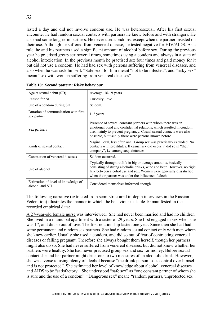lasted a day and did not involve condom use. He was heterosexual. After his first sexual encounter he had random sexual contacts with partners he knew before and with strangers. He also had some long-term partners. He never used condoms, except when the partner insisted on their use. Although he suffered from venereal disease, he tested negative for HIV/AIDS. As a rule, he and his partners used a significant amount of alcohol before sex. During the previous year he practised group sex several times, sometimes using a condom and always in a state of alcohol intoxication. In the previous month he practised sex four times and paid money for it but did not use a condom. He had had sex with persons suffering from venereal diseases, and also when he was sick himself. "Safe sex" for him meant "not to be infected", and "risky sex" meant "sex with women suffering from venereal diseases".

| Age at sexual debut (SD)                               | Average: 16-19 years.                                                                                                                                                                                                                                                      |
|--------------------------------------------------------|----------------------------------------------------------------------------------------------------------------------------------------------------------------------------------------------------------------------------------------------------------------------------|
| Reason for SD                                          | Curiosity, love.                                                                                                                                                                                                                                                           |
| Use of a condom during SD                              | Seldom.                                                                                                                                                                                                                                                                    |
| Duration of communication with first<br>sex partner    | $1-3$ years.                                                                                                                                                                                                                                                               |
| Sex partners                                           | Presence of several constant partners with whom there was an<br>emotional bond and confidential relations, which resulted in condom<br>use, mainly to prevent pregnancy. Casual sexual contacts were also<br>possible, but usually these were persons known before.        |
| Kinds of sexual contact                                | Vaginal, oral, less often anal. Group sex was practically excluded. No<br>contacts with prostitutes. If casual sex did occur, it did so in "their<br>company", i.e. among acquaintances.                                                                                   |
| Contraction of venereal diseases                       | Seldom occurred.                                                                                                                                                                                                                                                           |
| Use of alcohol                                         | Typically throughout life in big or average amounts, basically<br>consisting of strong alcoholic drinks, wine and beer. However, no rigid<br>link between alcohol use and sex. Women were generally dissatisfied<br>when their partner was under the influence of alcohol. |
| Estimation of level of knowledge of<br>alcohol and STI | Considered themselves informed enough.                                                                                                                                                                                                                                     |

| Table 10: Second pattern: Risky behaviour |  |  |  |  |  |
|-------------------------------------------|--|--|--|--|--|
|-------------------------------------------|--|--|--|--|--|

The following narrative (extracted from semi-structured in-depth interviews in the Russian Federation) illustrates the manner in which the behaviour in Table 10 manifested in the recorded empirical data:

A 27-year-old female nurse was interviewed. She had never been married and had no children. She lived in a municipal apartment with a sister of 29 years. She first engaged in sex when she was 17, and did so out of love. The first relationship lasted one year. Since then she had had some permanent and random sex partners. She had random sexual contact only with men whom she knew earlier. Usually she used a condom, and did so out of fear of contracting venereal diseases or falling pregnant. Therefore she always bought them herself, though her partners might also do so. She had never suffered from venereal diseases, but did not know whether her partners were healthy. She had never practised group sex and sex for money. Before sexual contact she and her partner might drink one to two measures of an alcoholic drink. However, she was averse to using plenty of alcohol because "the drunk person loses control over himself and is not protected". She estimated her level of knowledge about alcohol, venereal diseases and AIDS to be "satisfactory". She understood "safe sex" as "one constant partner of whom she is sure and the use of a condom". "Dangerous sex" meant "random partners, unprotected sex".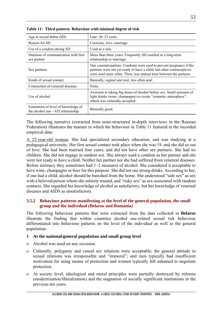| Age at sexual debut (SD)                                                | Late: 20-23 years.                                                                                                                                                                                                 |
|-------------------------------------------------------------------------|--------------------------------------------------------------------------------------------------------------------------------------------------------------------------------------------------------------------|
| Reason for SD                                                           | Curiosity, love, marriage.                                                                                                                                                                                         |
| Use of a condom during SD                                               | Used as a rule.                                                                                                                                                                                                    |
| Duration of communication with first<br>sex partner                     | More than three years. Frequently SD resulted in a long-term<br>relationship or marriage.                                                                                                                          |
| Sex partners                                                            | One constant partner. Condoms were used to prevent pregnancy if the<br>partners were not yet ready to have a child, but other contraceptives<br>were used more often. There was mutual trust between the partners. |
| Kinds of sexual contact                                                 | Basically vaginal and oral, less often anal.                                                                                                                                                                       |
| Contraction of venereal diseases                                        | None.                                                                                                                                                                                                              |
| Use of alcohol                                                          | Aversion to taking big doses of alcohol before sex. Small amounts of<br>light drinks (wine, champagne) to create "romantic atmosphere",<br>which was culturally accepted.                                          |
| Estimation of level of knowledge of<br>the alcohol use-STI relationship | Basically good.                                                                                                                                                                                                    |

**Table 11: Third pattern: Behaviour with minimal degree of risk** 

The following narrative (extracted from semi-structured in-depth interviews in the Russian Federation) illustrates the manner in which the behaviour in Table 11 featured in the recorded empirical data:

A 22-year-old woman. She had specialized secondary education, and was studying at a pedagogical university. Her first sexual contact took place when she was 19, and she did so out of love. She had been married four years, and did not have other sex partners. She had no children. She did not engage in random sex. She always used a condom as her partner and she were not ready to have a child. Neither her partner nor she had suffered from venereal diseases. Before intimacy they sometimes had 1–2 measures of alcohol. She considered it acceptable to have wine, champagne or beer for this purpose. She did not use strong drinks. According to her, if one had a child, alcohol should be banished from the home. She understood "safe sex" as sex with a beloved person whom she entirely trusted, and "risky sex" as sex associated with random contacts. She regarded her knowledge of alcohol as satisfactory, but her knowledge of venereal diseases and AIDS as unsatisfactory.

#### **3.5.2 Behaviour patterns manifesting at the level of the general population, the small group and the individual (Belarus and Romania)**

The following behaviour patterns that were extracted from the data collected in **Belarus** illustrate the finding that within countries alcohol use-related sexual risk behaviour differentiated into behaviour patterns on the level of the individual as well as the general population:

#### **1 At the national/general population and small group level**

- o Alcohol was used on any occasion.
- o Culturally, polygamy and casual sex relations were acceptable; the general attitude to sexual relations was irresponsible and "immoral"; and men typically had insufficient motivation for using means of protection and women typically felt ashamed to negotiate protection.
- o At society level, ideological and moral principles were partially destroyed by reforms (modernization/liberalization) and the stagnation of socially significant institutions in the previous ten years.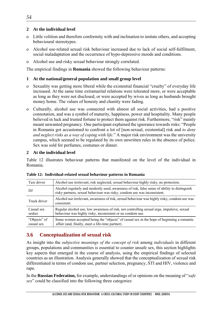## **2 At the individual level**

- o Little volition and therefore conformity with and inclination to imitate others, and accepting behavioural stereotypes.
- o Alcohol use-related sexual risk behaviour increased due to lack of social self-fulfilment, social maladaptation and the occurrence of hypo-depressive moods and conditions.
- o Alcohol use and risky sexual behaviour strongly correlated.

The empirical findings in **Romania** showed the following behaviour patterns:

## **1 At the national/general population and small group level**

- o Sexuality was getting more liberal while the existential financial "cruelty" of everyday life increased. At the same time extramarital relations were tolerated more, or were acceptable as long as they were not disclosed, or were accepted by wives as long as husbands brought money home. The values of honesty and chastity were fading.
- o Culturally, alcohol use was connected with almost all social activities, had a positive connotation, and was a symbol of maturity, happiness, power and hospitality. Many people believed in luck and trusted fortune to protect them against risk. Furthermore, "risk" mainly meant unwanted pregnancy. One participant explained the ignorance towards risks: "People in Romania got accustomed to confront a lot of [non-sexual, existential] risk and *to deny and neglect risks as a way of coping with life*." A major risk environment was the university campus, which seemed to be regulated by its own unwritten rules in the absence of police. Sex was sold for perfumes, costumes or dinner.

#### **2 At the individual level**

Table 12 illustrates behaviour patterns that manifested on the level of the individual in Romania.

| Taxi driver                | Alcohol use irrelevant, risk neglected, sexual behaviour highly risky, no protection.                                                                                     |
|----------------------------|---------------------------------------------------------------------------------------------------------------------------------------------------------------------------|
| DJ                         | Alcohol regularly and modestly used, awareness of risk, false sense of ability to distinguish<br>risky partners, sexual behaviour was risky, condom use was inconsistent. |
| Truck driver               | Alcohol use irrelevant, awareness of risk, sexual behaviour was highly risky, condom use was<br>consistent.                                                               |
| Casual sex<br>seeker       | Regular alcohol use, low awareness of risk, not controlling sexual urge, impulsive, sexual<br>behaviour was highly risky, inconsistent or no condom use.                  |
| "Objects" of<br>casual sex | Some women accepted being the "objects" of casual sex in the hope of beginning a romantic<br>affair (and, finally, meet a life-time partner).                             |

|  |  |  | Table 12: Individual-related sexual behaviour patterns in Romania |
|--|--|--|-------------------------------------------------------------------|
|--|--|--|-------------------------------------------------------------------|

# **3.6 Conceptualization of sexual risk**

As insight into the *subjective meanings of the concept of risk* among *individuals* in different groups, populations and communities is essential to counter unsafe sex, this section highlights key aspects that emerged in the course of analysis, using the empirical findings of selected countries as an illustration. Analysis generally showed that the conceptualization of sexual risk differentiated in terms of condom use, partner selection, pregnancy, STI and HIV, violence and rape.

In the **Russian Federation,** for example, understandings of or opinions on the meaning of "*safe sex*" could be classified into the following three categories: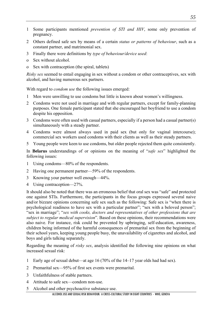- 1 Some participants mentioned *prevention of STI and HIV*, some only prevention of pregnancy.
- 2 Others defined safe sex by means of a certain *status or patterns of behaviour*, such as a constant partner, and matrimonial sex.
- 3 Finally there were definitions by *type of behaviour/device used*:
- o Sex without alcohol.
- o Sex with contraception (the spiral, tablets)

*Risky sex* seemed to entail engaging in sex without a condom or other contraceptives, sex with alcohol, and having numerous sex partners.

With regard to *condom use* the following issues emerged:

- 1 Men were unwilling to use condoms but little is known about women's willingness.
- 2 Condoms were not used in marriage and with regular partners, except for family-planning purposes. One female participant stated that she encouraged her boyfriend to use a condom despite his opposition.
- 3 Condoms were often used with casual partners, especially if a person had a casual partner(s) simultaneously with a steady partner.
- 4 Condoms were almost always used in paid sex (but only for vaginal intercourse); commercial sex workers used condoms with their clients as well as their steady partners.
- 5 Young people were keen to use condoms, but older people rejected them quite consistently.

In **Belarus** understandings of or opinions on the meaning of "*safe sex*" highlighted the following issues:

- 1 Using condoms—80% of the respondents.
- 2 Having one permanent partner—59% of the respondents.
- 3 Knowing your partner well enough—44%.
- 4 Using contraception—27%.

It should also be noted that there was an erroneous belief that oral sex was "safe" and protected one against STIs. Furthermore, the participants in the focus groups expressed several naive and/or bizzare opinions concerning safe sex such as the following: Safe sex is "when there is psychological readiness to have sex with a particular partner"; "sex with a beloved person"; "sex in marriage"; "*sex with cooks, doctors and representatives of other professions that are subject to regular medical supervision*". Based on these opinions, their recommendations were also naive. For instance, risk could be prevented by upbringing, self-education, awareness, children being informed of the harmful consequences of premarital sex from the beginning of their school years, keeping young people busy, the unavailability of cigarettes and alcohol, and boys and girls talking separately.

Regarding the meaning of *risky sex*, analysis identified the following nine opinions on what increased sexual risk:

- 1 Early age of sexual debut—at age 16 (70% of the 14–17 year olds had had sex).
- 2 Premarital sex—95% of first sex events were premarital.
- 3 Unfaithfulness of stable partners.
- 4 Attitude to safe sex—condom non-use.
- 5 Alcohol and other psychoactive substance use.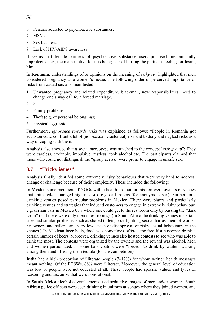- 6 Persons addicted to psychoactive substances.
- 7 MSMs.
- 8 Sex business.
- 9 Lack of HIV/AIDS awareness.

It seems that female partners of psychoactive substance users practised predominantly unprotected sex, the main motive for this being fear of hurting the partner's feelings or losing him.

In **Romania,** understandings of or opinions on the meaning of *risky sex* highlighted that men considered pregnancy as a women's issue. The following order of perceived importance of risks from casual sex also manifested:

- 1 Unwanted pregnancy and related expenditure, blackmail, new responsibilities, need to change one's way of life, a forced marriage.
- 2 STI.
- 3 Family problems.
- 4 Theft (e.g. of personal belongings).
- 5 Physical aggression.

Furthermore, *ignorance towards risks* was explained as follows: "People in Romania got accustomed to confront a lot of [non-sexual, existential] risk and to deny and neglect risks as a way of coping with them."

Analysis also showed that a social stereotype was attached to the concept "*risk group*": They were careless, excitable, impulsive, restless, took alcohol etc. The participants claimed that those who could not distinguish the "group at risk" were prone to engage in unsafe sex.

## **3.7 "Tricky issues"**

Analysis finally identifed some extremely risky behaviours that were very hard to address, change or challenge because of their complexity. These included the following:

In **Mexico** some members of NGOs with a health promotion mission were owners of venues that animated/encouraged high-risk sex, e.g. dark rooms (for anonymous sex). Furthermore, drinking venues posed particular problems in Mexico. There were places and particularly drinking venues and strategies that induced customers to engage in extremely risky behaviour, e.g. certain bars in Mexico City where one could get to the rest room only by passing the "dark room" (and there were only men's rest rooms). (In South Africa the drinking venues in certain sites had similar problems, such as shared toilets, poor lighting, sexual harrassment of women by owners and sellers, and very low levels of disapproval of risky sexual behaviours in the venues.) In Mexican beer halls, food was sometimes offered for free if a customer drank a certain number of beers. Moreover, drinking venues also hosted contests to see who was able to drink the most. The contests were organized by the owners and the reward was alcohol. Men and women participated. In some bars visitors were "forced" to drink by waiters walking among them and offering them tequila (for the competition).

**India** had a high proportion of illiterate people (7–17%) for whom written health messages meant nothing. Of the FCSWs, 68% were illiterate. Moreover, the general level of education was low or people were not educated at all. These people had specific values and types of reasoning and discourse that were non-rational.

In **South Africa** alcohol advertisements used seductive images of men and/or women. South African police officers were seen drinking in uniform at venues where they joined women, and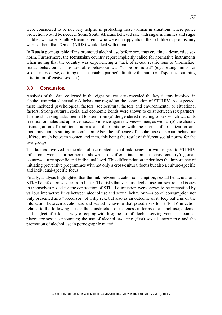were considered to be not very helpful in protecting these women in situations where police protection would be needed. Some South Africans believed sex with sugar mummies and sugar daddies was safe. South African parents who were unhappy about their children's promiscuity warned them that "Omo" (AIDS) would deal with them.

In **Russia** pornographic films promoted alcohol use before sex, thus creating a destructive sex norm. Furthermore, the **Romanian** country report implicitly called for normative instruments when noting that the country was experiencing a "lack of sexual restrictions to 'normalize' sexual behaviour". Thus desirable behaviour was "to be promoted" (e.g. setting limits for sexual intercourse, defining an "acceptable partner", limiting the number of spouses, outlining criteria for offensive sex etc.).

# **3.8 Conclusion**

Analysis of the data collected in the eight project sites revealed the key factors involved in alcohol use-related sexual risk behaviour regarding the contraction of STI/HIV. As expected, these included psychological factors, sociocultural factors and environmental or situational factors. Strong cultural, social and economic bonds were shown to exist between sex partners. The most striking risks seemed to stem from (a) the gendered meaning of sex which warrants free sex for males and approves sexual violence against wives/women, as well as (b) the chaotic disintegration of traditional norms and their mixing with the norms of urbanization and modernization, resulting in confusion. Also, the influence of alcohol use on sexual behaviour differed much between women and men, this being the result of different social norms for the two groups.

The factors involved in the alcohol use-related sexual risk behaviour with regard to STI/HIV infection were, furthermore, shown to differentiate on a cross-country/regional, country/culture-specific and individual level. This differentiation underlines the importance of initiating preventive programmes with not only a cross-cultural focus but also a culture-specific and individual-specific focus.

Finally, analysis highlighted that the link between alcohol consumption, sexual behaviour and STI/HIV infection was far from linear. The risks that various alcohol use and sex-related issues in themselves posed for the contraction of STI/HIV infection were shown to be intensified by various interactive links between alcohol use and sexual behaviour—alcohol consumption not only presented as a "precursor" of risky sex, but also as an outcome of it. Key patterns of the interaction between alcohol use and sexual behaviour that posed risks for STI/HIV infection related to the following issues: the construction of maleness in terms of alcohol use; a denial and neglect of risk as a way of coping with life; the use of alcohol-serving venues as contact places for sexual encounters; the use of alcohol at/during (first) sexual encounters; and the promotion of alcohol use in pornographic material.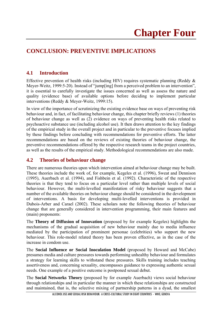# **CONCLUSION: PREVENTIVE IMPLICATIONS**

# **4.1 Introduction**

Effective prevention of health risks (including HIV) requires systematic planning (Reddy  $\&$ Meyer-Weitz, 1999:5-20). Instead of "jump[ing] from a perceived problem to an intervention", it is essential to carefully investigate the issues concerned as well as assess the nature and quality (evidence base) of available options before deciding to implement particular interventions (Reddy & Meyer-Weitz, 1999:15).

In view of the importance of scrutinizing the existing evidence base on ways of preventing risk behaviour and, in fact, of facilitating behaviour change, this chapter briefly reviews (1) theories of behaviour change as well as (2) evidence on ways of preventing health risks related to psychoactive substance use (including alcohol use). It then draws attention to the key findings of the empirical study in the overall project and in particular to the preventive focuses implied by these findings before concluding with recommendations for preventive efforts. The latter recommendations are based on the reviews of existing theories of behaviour change, the preventive recommendations offered by the respective research teams in the project countries, as well as the results of the empirical study. Methodological recommendations are also made.

# **4.2 Theories of behaviour change**

There are numerous theories upon which intervention aimed at behaviour change may be built. These theories include the work of, for example, Kegeles et al. (1996), Sweat and Dennison (1995), Auerbach et al. (1994), and Fishbein et al. (1992). Characteristic of the respective theories is that they tend to focus on a particular level rather than multiple levels of social behaviour. However, the multi-levelled manifestation of risky behaviour suggests that a number of the available theories on behaviour change should be considered in the development of interventions. A basis for developing multi-levelled interventions is provided in Dubois-Arber and Carael (2002). These scholars note the following theories of behaviour change that are generally considered in intervention programming, their main features and (main) proponents:

The **Theory of Diffusion of Innovation** (proposed by for example Kegeles) highlights the mechanisms of the gradual acquisition of new behaviour mainly due to media influence mediated by the participation of prominent personae (celebrities) who support the new behaviour. This role-model related theory has been proven effective, as in the case of the increase in condom use.

The **Social Influence or Social Inoculation Model** (proposed by Howard and McCabe) presumes media and culture pressures towards performing unhealthy behaviour and formulates a strategy for learning skills to withstand these pressures. Skills training includes teaching assertiveness and, concerning sexuality, encompasses guidance to expressing authentic sexual needs. One example of a positive outcome is postponed sexual debut.

The **Social Networks Theory** (proposed by for example Auerbach) views social behaviour through relationships and in particular the manner in which these relationships are constructed and maintained, that is, the selective mixing of partnership patterns in a dyad, the smallest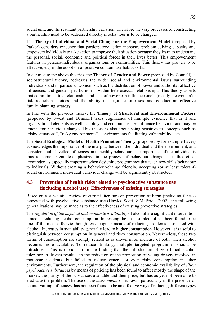social unit, and the resultant partnership variation. Therefore the very processes of constructing a partnership need to be addressed directly if behaviour is to be changed.

The **Theory of Individual and Social Change or the Empowerment Model** (proposed by Parker) considers evidence that participatory action increases problem-solving capacity and empowers individuals to take action to improve their situation because they learn to understand the personal, social, economic and political forces in their lives better. This empowerment features in persons/individuals, organisations or communities. This theory has proven to be effective, e.g. in the adoption of positive condom use habits/skills.

In contrast to the above theories, the **Theory of Gender and Power** (proposed by Connell), a sociostructural theory, addresses the wider social and environmental issues surrounding individuals and in particular women, such as the distribution of power and authority, affective influences, and gender-specific norms within heterosexual relationships. This theory asserts that commitment to a relationship and lack of power can influence one's (mostly the woman's) risk reduction choices and the ability to negotiate safe sex and conduct an effective family-planning strategy.

In line with the previous theory, the **Theory of Structural and Environmental Factors** (proposed by Sweat and Denison) takes cognizance of multiple evidence that civil and organisational elements as well as policy and economic issues influence behaviour and may be crucial for behaviour change. This theory is also about being sensitive to concepts such as "risky situations", "risky environments", "environments facilitating vulnerability" etc.

The **Social Ecological Model of Health Promotion Theory** (proposed by for example Laver) acknowledges the importance of the interplay between the individual and the environment, and considers multi-levelled influences on unhealthy behaviour. The importance of the individual is thus to some extent de-emphasized in the process of behaviour change. This theoretical "reminder" is especially important when designing programmes that teach new skills/behaviour to indivuals. Without creating a behaviour-change friendly, accepting (or at least tolerant) social environment, individual behaviour change will be significantly obstructed.

## **4.3 Prevention of health risks related to psychoactive substance use (including alcohol use): Effectiveness of existing strategies**

Based on a substantial review of current literature on prevention of harm (including illness) associated with psychoactive substance use (Hawks, Scott & McBride, 2002), the following generalizations may be made as to the effectiveness of existing preventive strategies:

The *regulation of the physical and economic availability* of alcohol is a significant intervention aimed at reducing alcohol consumption. Increasing the costs of alcohol has been found to be one of the most effectvie though least popular means of reducing problems associated with alcohol. Increases in availability generally lead to higher consumption. However, it is useful to distinguish between consumption in general and risky consumption. Nevertheless, these two forms of consumption are strongly related as is shown in an increase of both when alcohol becomes more available. To reduce drinking, multiple targeted programmes should be introduced. This is obvious from the finding that the introduction of zero blood alcohol tolerance in drivers resulted in the reduction of the proportion of young drivers involved in motorcar accidents, but failed to reduce general or even risky consumption in other environments. Furthermore, the regulation of the physical and economic availability of *illicit psychoactive substances* by means of policing has been found to affect mostly the shape of the market, the purity of the substances available and their price, but has as yet not been able to eradicate the problem. The use of the *mass media* on its own, particularly in the presence of countervailing influences, has not been found to be an effective way of reducing different types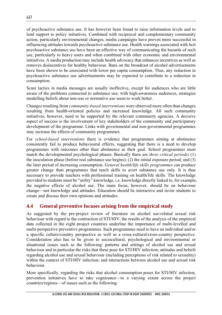of psychoactive substance use. It has however been found to raise information levels and to lend support to policy initiatives. Combined with reciprocal and complementary community action, particularly environmental changes, media campaigns have proven more successful in influencing attitudes towards psychoactive substance use. Health warnings associated with licit psychoactive substance use have been an effective way of communicating the hazards of such use, particularly to heavy users and when combined with other economic and environmental initiatives. A media production may include health advocacy that enhances incentives as well as removes disincentives for healthy behaviour. Bans on the broadcast of alcohol advertisements have been shown to be associated with lower per capita consumption. Thus, any reduction in psychoactive substance use advertisements may be expected to contribute to a reduction in consumption.

Scare tactics in media messages are usually ineffective, except for audiences who are little aware of the problems connected to substance use; with high-awareness audiences, strategies modelling beliefs about non-use or normative use seem to work better.

Changes resulting from *community-based interventions* were observed more often than changes resulting from health-oriented policies and increased knowledge. All such community initiatives, however, need to be supported by the relevant community agencies. A decisive aspect of success is the involvement of key stakeholders of the community and participatory development of the programme. Links with governmental and non-governmental programmes may increase the effects of community programmes.

For *school-based interventions* there is evidence that programmes aiming at abstinence consistently fail to produce behavioural effects, suggesting that there is a need to develop programmes with outcomes other than abstinence as their goal. School programmes must match the developmental psychological phases. Basically there are *three critical periods***:** (1) the inoculation phase (before real substance use begins); (2) the initial exposure period; and (3) the later period of increasing consumption. *General health/life skills programmes* can produce greater change than programmes that teach skills to avert substance use only. It is thus necessary to provide teachers with professional training on health/life skills. The knowledge provided to students must be "utility" knowledge, i.e. knowledge directly linked to, for example, the negative effects of alcohol use. The main focus, however, should be on behaviour change—not knowledge and attitudes. Education should be interactive and invite students to create and discuss their own opinions and attitudes.

# **4.4 General preventive focuses arising from the empirical study**

As suggested by the pre-project review of literature on alcohol use-related sexual risk behaviour with regard to the contraction of STI/HIV, the results of the analysis of the empirical data collected in the eight project countries underline the importance of multi-levelled and multi-perspective preventive programmes. Such programmes need to have an individual and/or a specific culture/country perspective as well as a cross-cultural/cross-country perspective. Consideration also has to be given to sociocultural, psychological and environmental or situational issues such as the following: patterns and settings of alcohol use and sexual behaviour and in particular the risks that these pose for STI/HIV infection; attitudes and beliefs regarding alcohol use and sexual behaviour (including perceptions of risk related to sexuality) within the context of STI/HIV infection; and interactions between alcohol use and sexual risk behaviour.

More specifically, regarding the risks that alcohol consumption poses for STI/HIV infection, prevention initiatives have to take cognizance—to a varying extent across the project countries/regions—of issues such as the following: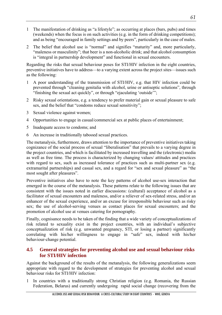- 1 The manifestation of drinking as "a lifestyle"; as occurring at places (bars, pubs) and times (weekends) when the focus is on such activities (e.g. in the form of drinking competitions); and as being "encouraged in family settings and by peers", particularly in the case of males.
- 2 The belief that alcohol use is "normal" and signifies "maturity" and, more particularly, "maleness or masculinity"; that beer is a non-alcoholic drink; and that alcohol consumption is "integral in partnership development" and functional in sexual encounters.

Regarding the risks that sexual behaviour poses for STI/HIV infection in the eight countries, preventive initiatives have to address—to a varying extent across the project sites—issues such as the following:

- 1 A poor understanding of the transmission of STI/HIV, e.g. that HIV infection could be prevented through "cleaning genitalia with alcohol, urine or antiseptic solutions", through "finishing the sexual act quickly", or through "ejaculating 'outside'";
- 2 Risky sexual orientations, e.g. a tendency to prefer material gain or sexual pleasure to safe sex, and the belief that "condoms reduce sexual sensitivity";
- 3 Sexual violence against women;
- 4 Opportunities to engage in casual/commercial sex at public places of entertainment;
- 5 Inadequate access to condoms; and
- 6 An increase in traditionally tabooed sexual practices.

The metanalysis, furthermore, draws attention to the importance of preventive initiatives taking cognizance of the social process of sexual "liberalisation" that prevails to a varying degree in the project countries, and which is facilitated by increased travelling and the (electronic) media as well as free time. The process is characterized by changing values/ attitudes and practices with regard to sex, such as increased tolerance of practices such as multi-partner sex (e.g. extramarital partnerships) and casual sex, and a regard for "sex and sexual pleasure" as "the most sought after pleasures".

Preventive initiatives also have to note the key patterns of alcohol use-sex interaction that emerged in the course of the metanalysis. These patterns relate to the following issues that are consistent with the issues noted in earlier discussions: (cultural) acceptance of alcohol as a facilitator of sexual encounters and maleness, and/or a reliever of sex-related stress, and/or an enhancer of the sexual experience, and/or an excuse for irresponsible behaviour such as risky sex; the use of alcohol-serving venues as contact places for sexual encounters; and the promotion of alcohol use at venues catering for pornography.

Finally, cognisance needs to be taken of the finding that a wide variety of conceptualizations of risk related to sexuality exist in the project countries, with an individual's subjective conceptualization of risk (e.g. unwanted pregnancy, STI, or losing a partner) significantly correlating with his/her willingness to engage in "safe" sex, indeed with his/her behaviour-change potential.

### **4.5 General strategies for preventing alcohol use and sexual behaviour risks for STI/HIV infection**

Against the background of the results of the metanalysis, the following generalizations seem appropriate with regard to the development of strategies for preventing alcohol and sexual behaviour risks for STI/HIV infection:

1 In countries with a traditionally strong Christian religion (e.g. Romania, the Russian Federation, Belarus) and currently undergoing rapid social change (recovering from the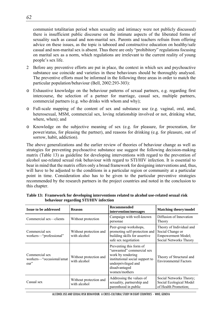communist totalitarian period when sexuality and intimacy were not publicly discussed) there is insufficient public discourse on the intimate aspects of the liberated forms of sexuality such as casual and non-marital sex. Parents and teachers refrain from offering advice on these issues, as the topic is tabooed and constructive education on healthy/safe casual and non-marital sex is absent. Thus there are only "prohibitory" regulations focusing on marital sex as a norm, which regulations are irrelevant to the current reality of young people's sex life.

- 2 Before any preventive efforts are put in place, the context in which sex and psychoactive substance use coincide and varieties in these behaviours should be thoroughly analysed. The preventive efforts must be informed in the following three areas in order to match the particular population/behaviour (Bell, 2002:293-303):
- o Exhaustive knowledge on the behaviour patterns of sexual partners, e.g. regarding first intercourse, the selection of a partner for marriage, casual sex, multiple partners, commercial partners (e.g. who drinks with whom and why);
- o Full-scale mapping of the content of sex and substance use (e.g. vaginal, oral, anal, heterosexual, MSM, commercial sex, loving relationship involved or not, drinking what, where, when); and
- o Knowledge on the subjective meaning of sex (e.g. for pleasure, for procreation, for power/status, for pleasing the partner), and reasons for drinking (e.g. for pleasure, out of sorrow, habit, addiction).

The above generalizations and the earlier review of theories of behaviour change as well as strategies for preventing psychoactive substance use suggest the following decision-making matrix (Table 13) as guideline for developing interventions with regard to the prevention of alcohol use-related sexual risk behaviour with regard to STI/HIV infection. It is essential to bear in mind that the matrix offers only a broad framework for designing interventions and, thus, will have to be adjusted to the conditions in a particular region or community at a particular point in time. Consideration also has to be given to the particular preventive strategies recommended by the research partners in the project countries and noted in the conclusion to this chapter.

| <b>Issue to be addressed</b>                      | <b>Reason</b>                          | <b>Recommended</b><br>intervention/messages                                                                                                                           | <b>Matching theory/model</b>                                                                        |
|---------------------------------------------------|----------------------------------------|-----------------------------------------------------------------------------------------------------------------------------------------------------------------------|-----------------------------------------------------------------------------------------------------|
| Commercial sex—clients                            | Without protection                     | Campaign with well-known<br>personae                                                                                                                                  | Diffusion of Innovation<br>Theory                                                                   |
| Commercial sex<br>workers—"professional"          | Without protection and<br>with alcohol | Peer-group workshops,<br>promoting self-protection and<br>building skills for assertive<br>safe sex negotiation                                                       | Theory of Individual and<br>Social Change or<br><b>Empowerment Model;</b><br>Social Networks Theory |
| Commercial sex<br>workers—"occasional/amat<br>eur | Without protection and<br>with alcohol | Preventing this form of<br>"unwanted" commercial sex<br>work by rendering<br>institutional social support to<br>underprivileged and<br>disadvantaged<br>women/mothers | Theory of Structural and<br><b>Environmental Factors</b>                                            |
| Casual sex                                        | Without protection and<br>with alcohol | Addressing the values of<br>sexuality, partnership and<br>parenthood in public                                                                                        | Social Networks Theory;<br>Social Ecological Model<br>of Health Promotion;                          |

**Table 13: Framework for developing interventions related to alcohol use-related sexual risk behaviour regarding STI/HIV infection**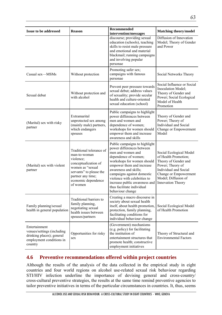| <b>Issue to be addressed</b>                                                                                    | <b>Reason</b>                                                                                                                                                                        | <b>Recommended</b><br>intervention/messages                                                                                                                                                                                                                                                                                                  | <b>Matching theory/model</b>                                                                                                                                                              |
|-----------------------------------------------------------------------------------------------------------------|--------------------------------------------------------------------------------------------------------------------------------------------------------------------------------------|----------------------------------------------------------------------------------------------------------------------------------------------------------------------------------------------------------------------------------------------------------------------------------------------------------------------------------------------|-------------------------------------------------------------------------------------------------------------------------------------------------------------------------------------------|
|                                                                                                                 |                                                                                                                                                                                      | discourse; providing sexual<br>education (schools), teaching<br>skills to resist male pressure<br>and emotional and material<br>blackmail; running campaigns<br>and involving popular<br>personae                                                                                                                                            | Diffusion of Innovation<br>Model; Theory of Gender<br>and Power                                                                                                                           |
| Casual sex-MSMs                                                                                                 | Without protection                                                                                                                                                                   | Promoting safer sex;<br>campaigns with famous<br>personae                                                                                                                                                                                                                                                                                    | Social Networks Theory                                                                                                                                                                    |
| Sexual debut                                                                                                    | Without protection and<br>with alcohol                                                                                                                                               | Prevent peer pressure towards<br>sexual debut; address values<br>of sexuality; provide secular<br>health and culture-oriented<br>sexual education (school)                                                                                                                                                                                   | Social Influence or Social<br>Inoculation Model;<br>Theory of Gender and<br>Power; Social Ecological<br>Model of Health<br>Promotion                                                      |
| (Marital) sex with risky<br>partner                                                                             | Extramarital<br>unprotected sex among<br>(mainly male) partners,<br>which endangers<br>spouses                                                                                       | Public campaigns to highlight<br>power differences between<br>men and women and<br>dependence of women;<br>workshops for women should<br>empower them and increase<br>awareness and skills                                                                                                                                                   | Theory of Gender and<br>Power; Theory of<br>Individual and Social<br>Change or Empowerment<br>Model                                                                                       |
| (Marital) sex with violent<br>partner                                                                           | Traditional tolerance of<br>man-to-woman<br>violence;<br>conceptualization of<br>women as "sexual<br>servants" to please the<br>partner any time;<br>economic dependence<br>of women | Public campaigns to highlight<br>power differences between<br>men and women and<br>dependence of women;<br>workshops for women should<br>empower them and increase<br>awareness and skills;<br>campaigns against domestic<br>violence with celebrities to<br>increase public awareness and<br>thus facilitate individual<br>behaviour change | Social Ecological Model<br>of Health Promotion;<br>Theory of Gender and<br>Power; Theory of<br>Individual and Social<br>Change or Empowerment<br>Model; Diffusion of<br>Innovation Theory |
| Family planning/sexual<br>health in general population                                                          | Traditional barriers to<br>family planning,<br>negotiating sexual<br>health issues between<br>spouses/partners                                                                       | Creating a macro discourse in<br>society about sexual health<br>itself, about health promotion,<br>protection, family planning,<br>facilitating conditions for<br>individual behaviour change                                                                                                                                                | Social Ecological Model<br>of Health Promotion                                                                                                                                            |
| Entertainment<br>venues/settings (including<br>drinking places); general<br>employment conditions in<br>country | Opportunities for risky<br>sex                                                                                                                                                       | (Government) mechanisms<br>(e.g. policy) for facilitating<br>the institution of<br>entertainment structures that<br>promote health; constructive<br>employment initiatives                                                                                                                                                                   | Theory of Structural and<br><b>Environmental Factors</b>                                                                                                                                  |

# **4.6 Preventive recommendations offered within project countries**

Although the results of the analysis of the data collected in the empirical study in eight countries and four world regions on alcohol use-related sexual risk behaviour regarding STI/HIV infection underline the importance of devising general and cross-country/ cross-cultural preventive strategies, the results at the same time remind preventive agencies to tailor preventive initiatives in terms of the particular circumstances in countries. It, thus, seems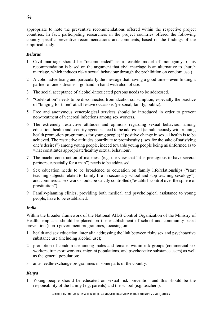appropriate to note the preventive recommendations offered within the respective project countries. In fact, participating researchers in the project countries offered the following country-specific preventive recommendations and comments, based on the findings of the empirical study:

### *Belarus*

- 1 Civil marriage should be "recommended" as a feasible model of monogamy. (This recommendation is based on the argument that civil marriage is an alternative to church marriage, which induces risky sexual behaviour through the prohibition on condom use.)
- 2 Alcohol advertising and particularly the message that having a good time—even finding a partner of one's dreams—go hand in hand with alcohol use.
- 3 The social acceptance of alcohol-intoxicated persons needs to be addressed.
- 4 "Celebration" needs to be disconnected from alcohol consumption, especially the practice of "binging for three" at all festive occasions (personal, family, public).
- 5 Free and anonymous venerological services should be introduced in order to prevent non-treatment of venereal infections among sex workers.
- 6 The extremely restrictive attitudes and opinions regarding sexual behaviour among education, health and security agencies need to be addressed (simultaneously with running health promotion programmes for young people) if positive change in sexual health is to be achieved. The restrictive attitudes contribute to promiscuity ("sex for the sake of satisfying one's desires") among young people, indeed towards young people being misinformed as to what constitutes appropriate/healthy sexual behaviour.
- 7 The macho construction of maleness (e.g. the view that "it is prestigious to have several partners, especially for a man") needs to be addressed.
- 8 Sex education needs to be broadened to education on family life/relationships ("start teaching subjects related to family life in secondary school and stop teaching sexology"), and commercial sex work should be strictly controlled ("establish control over the sphere of prostitution").
- 9 Family-planning clinics, providing both medical and psychological assistance to young people, have to be established.

### *India*

Within the broader framework of the National AIDS Control Organization of the Ministry of Health, emphasis should be placed on the establishment of school and community-based prevention (non-) government programmes, focusing on:

- 1 health and sex education, inter alia addressing the link between risky sex and psychoactive substance use (including alcohol use);
- 2 promotion of condom use among males and females within risk groups (commercial sex workers, transport workers, migrant populations, and psychoactive substance users) as well as the general population;
- 3 anti-needle-exchange programmes in some parts of the country.

### *Kenya*

1 Young people should be educated on sexual risk prevention and this should be the responsibility of the family (e.g. parents) and the school (e.g. teachers).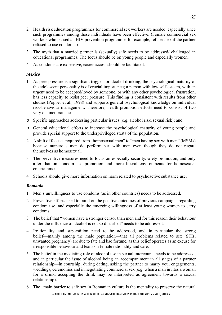- 2 Health risk education programmes for commercial sex workers are needed, especially since such programmes among these individuals have been effective. (Female commercial sex workers who passed an HIV prevention programme, for example, refused sex if the partner refused to use condoms.)
- 3 The myth that a married partner is (sexually) safe needs to be addressed/ challenged in educational programmes. The focus should be on young people and especially women.
- 4 As condoms are expensive, easier access should be facilitated.

### *Mexico*

- 1 As peer pressure is a signifcant trigger for alcohol drinking, the psychological maturity of the adolescent personality is of crucial importance; a person with low self-esteem, with an urgent need to be accepted/loved by someone, or with any other psychological frustration, has less capacity to resist peer pressure. This finding is consistent with results from other studies (Popper et al., 1998) and supports general psychological knowledge on individual risk-behaviour management. Therefore, health promotion efforts need to consist of two very distinct branches:
- o Specific approaches addressing particular issues (e.g. alcohol risk, sexual risk); and
- o General educational efforts to increase the psychological maturity of young people and provide special support to the underprivileged strata of the population.
- 2 A shift of focus is required from "homosexual men" to "men having sex with men" (MSMs) because numerous men do perform sex with men even though they do not regard themselves as homosexual.
- 3 The preventive measures need to focus on especially security/safety promotion, and only after that on condom use promotion and more liberal environments for homosexual entertainment.
- 4 Schools should give more information on harm related to psychoactive substance use.

### *Romania*

- 1 Men's unwillingness to use condoms (as in other countries) needs to be addressed.
- 2 Preventive efforts need to build on the positive outcomes of previous campaigns regarding condom use, and especially the emerging willingness of at least young women to carry condoms.
- 3 The belief that "women have a stronger censor than men and for this reason their behaviour under the influence of alcohol is not so disturbed" needs to be addressed.
- 4 Irrationality and superstition need to be addressed, and in particular the strong belief—mainly among the male population—that all problems related to sex (STIs, unwanted pregnancy) are due to fate and bad fortune, as this belief operates as an excuse for irresponsible behaviour and leans on female rationality and care.
- 5 The belief in the mediating role of alcohol use in sexual intercourse needs to be addressed, and in particular the issue of alcohol being an accompaniment in all stages of a partner relationship—in courtship, during dating, asking the partner to marry you, engagements, weddings, ceremonies and in negotiating commercial sex (e.g. when a man invites a woman for a drink, accepting the drink may be interpreted as agreement towards a sexual relationship).
- 6 The "main barrier to safe sex in Romanian culture is the mentality to preserve the natural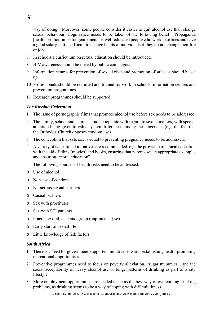way of doing". Moreover, some people consider it easier to quit alcohol use than change sexual behaviour. Cognizance needs to be taken of the following belief: "Propaganda [health promotion] is for gentlemen, i.e. well-educated people who work in offices and have a good salary ... It is difficult to change habits of individuals if they do not change their life or jobs."

- 7 In schools a curriculum on sexual education should be introduced.
- 8 HIV awareness should be raised by public campaigns.
- 9 Information centres for prevention of sexual risks and promotion of safe sex should be set up.
- 10 Professionals should be recruited and trained for work in schools, information centres and prevention programmes.
- 11 Research programmes should be supported.

### *The Russian Federation*

- 1 The issue of pornographic films that promote alcohol use before sex needs to be addressed.
- 2 The family, school and church should cooperate with regard to sexual matters, with special attention being given to value system differences among these agencies (e.g. the fact that the Orthodox Church opposes condom use).
- 3 The conception that safe sex is equal to preventing pregnancy needs to be addressed.
- 4 A variety of educational initiatives are recommended, e.g. the provision of ethical education with the aid of films (movies) and books, ensuring that parents set an appropriate example, and ensuring "moral education".
- 5 The following sources of health risks need to be addressed:
- o Use of alcohol
- o Non-use of condoms
- o Numerous sexual partners
- o Casual partners
- o Sex with prostitutes
- o Sex with STI patients
- o Practising oral, anal and group (unprotected) sex
- o Early start of sexual life
- o Little knowledge of risk factors

### *South Africa*

- 1 There is a need for government-supported initiatives towards establishing health-promoting recreational opportunities.
- 2 Preventive programmes need to focus on poverty alleviation, "sugar mummies", and the social acceptability of heavy alcohol use or binge patterns of drinking as part of a city lifestyle.
- 3 More employment opportunities are needed (seen as the best way of overcoming drinking problems, as drinking seems to be a way of coping with difficult times).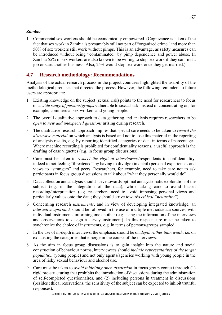### *Zambia*

1 Commercial sex workers should be economically empowered. (Cognizance is taken of the fact that sex work in Zambia is presumably still not part of "organized crime" and more than 50% of sex workers still work without pimps. This is an advantage, as safety measures can be introduced without being "contaminated" by pimp dependence and power abuse. In Zambia 55% of sex workers are also known to be willing to stop sex work if they can find a job or start another business. Also, 25% would stop sex work once they get married.)

# **4.7 Research methodology: Recommendations**

Analysis of the actual research process in the project countries highlighted the usability of the methodological premises that directed the process. However, the following reminders to future users are appropriate:

- 1 Existing knowledge on the subject (sexual risk) points to the need for researchers to focus on a *wide range of persons/groups* vulnerable to sexual risk, instead of concentrating on, for example, commercial sex workers and young people.
- 2 The overall qualitative approach to data gathering and analysis requires researchers to be *open to new and unexpected questions* arising during research.
- 3 The qualitative research approach implies that special care needs to be taken to *record the discursive material* on which analysis is based and not to lose this material in the reporting of analysis results, e.g. by reporting identified categories of data in terms of percentages. Where machine recording is prohibited for confidentiality reasons, a useful approach is the drafting of case vignettes (e.g. in focus group discussions).
- 4 Care must be taken to *respect the right of interviewees*/respondents to confidentiality, indeed to not feeling "threatened" by having to divulge (in detail) personal experiences and views to "strangers" and peers. Researchers, for example, need to take care not to ask participants in focus group discussions to talk about "what they personally would do".
- 5 Data collection and analysis should strive towards optimal and systematic exploration of the subject (e.g. in the integration of the data), while taking care to avoid biased recording/interpretation (e.g. researchers need to avoid imposing personal views and particularly values onto the data; they should strive towards *ethical "neutrality"*).
- 6 Concerning research *instruments*, and in view of developing integrated knowledge, an *interactive approach* should be followed in the use of multiple methods/data sources, with individual instruments informing one another (e.g. using the information of the interviews and observations to design a survey instrument). In this respect care must be taken to synchronize the choice of instruments, e.g. in terms of persons/groups sampled.
- 7 In the use of in-depth interviews, the emphasis should be on *depth rather than width*, i.e. on exhausting the categories that emerge in the course of the interviews.
- 8 As the aim in focus group discussions is to gain insight into the nature and social construction of behaviour norms, interviewees should *include representatives of the target population* (young people) and not only agents/agencies working with young people in the area of risky sexual behaviour and alcohol use.
- 9 Care must be taken to *avoid inhibiting open discussion* in focus group context through (1) rigid pre-structuring that prohibits the introduction of discussions during the administration of self-completed questionnaires, and (2) including persons in treatment in discussions (besides ethical reservations, the sensitivity of the subject can be expected to inhibit truthful responses).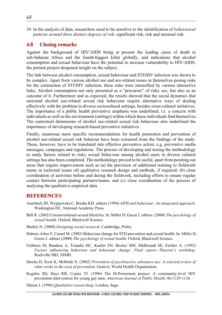10 In the analysis of data, researchers need to be sensitive to the identification of *behavioural patterns around three distinct degrees of risk*: significant risk, risk and minimal risk.

### **4.8 Closing remarks**

Against the background of HIV/AIDS being at present the leading cause of death in sub-Saharan Africa and the fourth-biggest killer globally, and indications that alcohol consumption and sexual behaviour have the potential to increase vulnerability to HIV/AIDS, the present project deepened insight on the subject.

The link between alcohol consumption, sexual behaviour and STI/HIV infection was shown to be complex. Apart from various alcohol use and sex-related issues in themselves posing risks for the contraction of STI/HIV infection, these risks were intensified by various interactive links. Alcohol consumption not only presented as a "precursor" of risky sex, but also as an outcome of it. Furthermore and as expected, the results showed that the social dynamics that surround alcohol use-related sexual risk behaviour require alternative ways of dealing effectively with the problem in diverse sociocultural settings, besides cross-cultural initiatives. The importance of a public health preventive emphasis was underlined, i.e. a concern with individuals as well as the environment (settings) within which these individuals find themselves. The contextual dimensions of alcohol use-related sexual risk behaviour also underlined the importance of developing research-based preventive initiatives.

Finally, numerous more specific recommendations for health promotion and prevention of alcohol use-related sexual risk behaiour have been extracted from the findings of the study. These, however, have to be translated into effective preventive action, e.g. preventive media messages, campaigns and regulations. The process of developing and testing the methodology to study factors related to risky sexual behaviour among alcohol users in diverse cultural settings has also been completed. The methodology proved to be useful, apart from pointing out areas that require improvement such as (a) the provision of additional training to fieldwork teams in (selected issues of) qualitative research design and methods, if required; (b) close coordination of activities before and during the fieldwork, including efforts to ensure regular contact between participating partners/teams; and (c) close coordination of the process of analysing the qualitative empirical data.

### **REFERENCES**

- Auerbach JD, Wypijewska C, Brodie KH. editors (1994) *AIDS and behaviour: An integrated approach*. Washington DC, National Academy Press.
- Bell R. (2002) Unconventional sexual lifestyles. In: Miller D, Green J. editors. (2000) *The psychology of sexual health*. Oxford, Blackwell Science.
- Blaikie N. (2000) *Designing social research*. Cambridge, Polity.
- Dubois-Arber F, Carael M. (2002) Behaviour change for STD prevention and sexual health. In: Miller D, Green J. editors (2000) *The psychology of sexual health*. Oxford, Blackwell Science.
- Fishbein M, Bandura A, Triandis HC, Kanfer FH, Becker MH, Midlestadt SE, Eichler A. (1992) *Factors influencing behaviour and behaviour change: Final report—Theorist's workshop*. Rockville MD, NIMH.
- Hawks D, Scott K, McBride N. (2002) *Prevention of psychoactive substance use: A selected review of what works in the area of prevention*. Geneva, World Health Organization.
- Kegeles SD, Hays RB, Coates TJ. (1996) The M-Powernent project: A community-level HIV prevention intervention for young gay men. *American Journal of Public Health*, 86:1129-1136.

Mason J. (1996) *Qualitative researching*. London, Sage.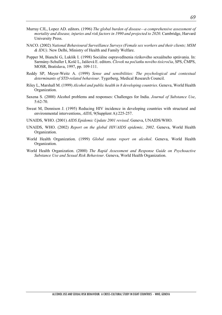- Murray CJL, Lopez AD. editors. (1996) *The global burden of disease—a comprehensive assessment of mortality and disease, injuries and risk factors in 1990 and projected to 2020*. Cambridge, Harvard University Press.
- NACO. (2002) *National Behavioural Surveillance Surveys (Female sex workers and their clients; MSM & IDU)*. New Delhi, Ministry of Health and Family Welfare.
- Popper M, Bianchi G, Lukšík I. (1998) Sociálne ospravedlnenia rizikového sexuálneho správania. In: Sarmány-Schuller I, Košč L, Jaššová E. editors. *Človek na počiatku nového tisícročia*, SPS, ČMPS, MOSR, Bratislava, 1997, pp. 109-111.
- Reddy SP, Meyer-Weitz A. (1999) *Sense and sensibilities: The psychological and contextual determinants of STD-related behaviour*. Tygerberg, Medical Research Council.
- Riley L, Marshall M. (1999) *Alcohol and public health in 8 developing countries*. Geneva, World Health Organization.
- Saxena S. (2000) Alcohol problems and responses: Challenges for India. *Journal of Substance Use*, 5:62-70.
- Sweat M, Dennison J. (1995) Reducing HIV incidence in developing countries with structural and environmental interventions, *AIDS*, 9(Supplent A):225-257.
- UNAIDS, WHO. (2001) *AIDS Epidemic Update 2001 revised*. Geneva, UNAIDS/WHO.
- UNAIDS, WHO. (2002) *Report on the global HIV/AIDS epidemic, 2002*. Geneva, World Health Organization.
- World Health Organization. (1999) *Global status report on alcohol*. Geneva, World Health Organization.
- World Health Organization. (2000) *The Rapid Assessment and Response Guide on Psychoactive Substance Use and Sexual Risk Behaviour*. Geneva, World Health Organization.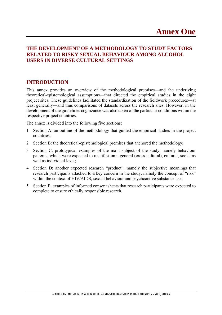## **THE DEVELOPMENT OF A METHODOLOGY TO STUDY FACTORS RELATED TO RISKY SEXUAL BEHAVIOUR AMONG ALCOHOL USERS IN DIVERSE CULTURAL SETTINGS**

### **INTRODUCTION**

This annex provides an overview of the methodological premises—and the underlying theoretical-epistemological assumptions—that directed the empirical studies in the eight project sites. These guidelines facilitated the standardization of the fieldwork procedures—at least generally—and thus comparisons of datasets across the research sites. However, in the development of the guidelines cognizance was also taken of the particular conditions within the respective project countries.

The annex is divided into the following five sections:

- 1 Section A: an outline of the methodology that guided the empirical studies in the project countries;
- 2 Section B: the theoretical-epistemological premises that anchored the methodology;
- 3 Section C: prototypical examples of the main subject of the study, namely behaviour patterns, which were expected to manifest on a general (cross-cultural), cultural, social as well as individual level;
- 4 Section D: another expected research "product", namely the subjective meanings that research participants attached to a key concern in the study, namely the concept of "risk" within the context of HIV/AIDS, sexual behaviour and psychoactive substance use;
- 5 Section E: examples of informed consent sheets that research participants were expected to complete to ensure ethically responsible research.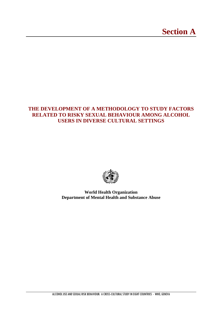# **Section A**

## **THE DEVELOPMENT OF A METHODOLOGY TO STUDY FACTORS RELATED TO RISKY SEXUAL BEHAVIOUR AMONG ALCOHOL USERS IN DIVERSE CULTURAL SETTINGS**



**World Health Organization Department of Mental Health and Substance Abuse**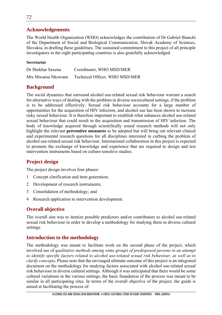# **Acknowledgements**

The World Health Organization (WHO) acknowledges the contribution of Dr Gabriel Bianchi of the Department of Social and Biological Communication, Slovak Academy of Sciences, Slovakia, in drafting these guidelines. The sustained commitment to this project of all principle investigators in the eight participating countries is also gratefully acknowledged.

### **Secretariat**

| Dr Shekhar Saxena  | Coordinator, WHO MSD/MER       |
|--------------------|--------------------------------|
| Mrs Mwansa Nkowane | Technical Officer, WHO MSD/MER |

# **Background**

The social dynamics that surround alcohol use-related sexual risk behaviour warrant a search for alternative ways of dealing with the problem in diverse sociocultural settings, if the problem is to be addressed effectively. Sexual risk behaviour accounts for a large number of opportunities for the acquisition of HIV infection, and alcohol use has been shown to increase risky sexual behaviour. It is therefore important to establish what enhances alcohol use-related sexual behaviour that could result in the acquisition and transmission of HIV infection. The body of knowledge acquired through scientifically sound research methods will not only highlight the relevant **preventive measures** to be adopted but will bring out relevant clinical and experimental research questions for all disciplines interested in curbing the problem of alcohol use-related sexual risk behaviour. International collaboration in this project is expected to promote the exchange of knowledge and experience that are required to design and test intervention instruments based on culture-sensitive studies.

# **Project design**

The project design involves four phases:

- 1 Concept clarification and item generation;
- 2 Development of research instruments;
- 3 Consolidation of methodology; and
- 4 Research application to intervention development.

# **Overall objective**

The overall aim was to itemize possible predictors and/or contributors to alcohol use-related sexual risk behaviour in order to develop a methodology for studying them in diverse cultural settings.

# **Introduction to the methodology**

The methodology was meant to facilitate work on the second phase of the project, which involved use of *qualitative methods among some groups of predisposed persons in an attempt to identify specific factors related to alcohol use-related sexual risk behaviour, as well as to clarify concepts.* Please note that the envisaged ultimate outcome of this project is an integrated document on the methodology for studying factors associated with alcohol use-related sexual risk behaviour in diverse cultural settings. Although it was anticipated that there would be some cultural variations in the various settings, the basic foundation of the process was meant to be similar in all participating sites. In terms of the overall objective of the project, the guide is aimed at facilitating the process of: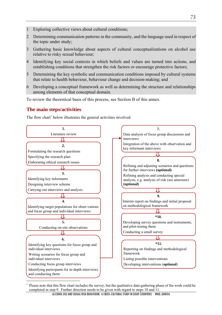- 1 Exploring collective views about cultural conditions;
- 2 Determining communication patterns in the community, and the language used in respect of the topic under study;
- 3 Gathering basic knowledge about aspects of cultural conceptualizations on alcohol use relative to risky sexual behaviour;
- 4 Identifying key social contexts in which beliefs and values are turned into actions, and establishing conditions that strengthen the risk factors or encourage protective factors;
- 5 Determining the key symbolic and communication conditions imposed by cultural systems that relate to health behaviour, behaviour change and decision-making; and
- 6 Developing a conceptual framework as well as determining the structure and relationships among elements of that conceptual domain.

To review the theoretical basis of this process, see Section B of this annex.

# **The main steps/activities**

The flow chart<sup>\*</sup> below illustrates the general activities involved.



<sup>∗</sup> Please note that this flow chart includes the survey, but the qualitative data-gathering phase of the work could be completed in step 9. Further direction needs to be given with regard to steps 10 and 11.

ALCOHOL USE AND SEXUALRISK BEHAVIOUR: A CROSS-CULTURALSTUDYIN EIGHTCOUNTRIES - WHO, GENEVA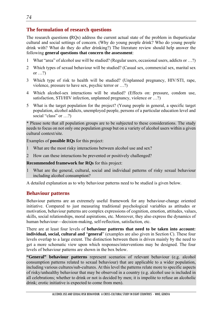### **The formulation of research questions**

The research questions **(**RQs) address the current actual state of the problem in theparticular cultural and social settings of concern. (Why do young people drink? Who do young people drink with? What do they do after drinking?) The literature review should help answer the following **general questions that concern the assessment**:

- 1 What "area" of alcohol use will be studied? (Regular users, occasional users, addicts or …?)
- 2 Which types of sexual behaviour will be studied? (Casual sex, commercial sex, marital sex or …?)
- 3 Which type of risk to health will be studied? (Unplanned pregnancy, HIV/STI, rape, violence, pressure to have sex, psychic terror or …?)
- 4 Which alcohol-sex interactions will be studied? (Effects on: pressure, condom use, satisfaction, STI/HIV infection, unplanned pregnancy, violence or …?)
- 5 What is the target population for the project? (Young people in general, a specific target population, alcohol addicts, unemployed people, persons of a particular education level and social "class" or ...?)

\* Please note that all population groups are to be subjected to these considerations. The study needs to focus on not only one population group but on a variety of alcohol users within a given cultural context/site.

Examples of **possible RQs** for this project:

- 1 What are the most risky interactions between alcohol use and sex?
- 2 How can these interactions be prevented or positively challenged?

**Recommended framework for RQs** for this project:

1 What are the general, cultural, social and individual patterns of risky sexual behaviour including alcohol consumption?

A detailed explanation as to why behaviour patterns need to be studied is given below.

### **Behaviour patterns**

Behaviour patterns are an extremely useful framework for any behaviour-change oriented initiative. Compared to just measuring traditional psychological variables as attitudes or motivation, behaviour patterns are complex expressions of cognition, emotion, attitudes, values, skills, social relationships, moral aspirations, etc. Moreover, they also express the dynamics of human behaviour—decision-making, self-reflection, satisfaction, etc.

There are at least four levels of **behaviour patterns that need to be taken into account: individual, social, cultural and** "**general**" (examples are also given in Section C). These four levels overlap to a large extent. The distinction between them is driven mainly by the need to get a more schematic view upon which responses/interventions may be designed. The four levels of behaviour patterns are shown in the box below.

**"General" behaviour patterns** represent scenarios of relevant behaviour (e.g. alcohol consumption patterns related to sexual behaviour) that are applicable to a wider population, including various cultures/sub-cultures. At this level the patterns relate more to specific aspects of risky/unhealthy behaviour that may be observed in a country (e.g. alcohol use is included in all celebrations; whether to drink or not is decided by men; it is impolite to refuse an alcoholic drink; erotic initiative is expected to come from men).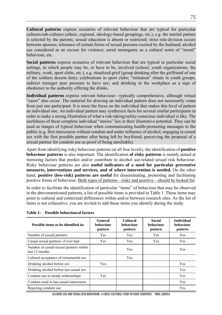**Cultural patterns** express scenarios of relevant behaviour that are typical for particular cultures/sub-cultures (ethnic, regional, ideology-based groupings, etc.), e.g. the marital partner is selected by the parents; sexual education is absent or restricted; strict role-division occurs between spouses; tolerance of certain forms of sexual pressure exerted by the husband; alcohol use considered as an excuse for violence; serial monogamy as a cultural norm of "moral" behaviour, etc.

**Social patterns** express scenarios of relevant behaviour that are typical in particular social settings, in which people may be, or have to be, involved (school, youth organizations, the military, work, sport clubs, etc.), e.g. ritualized grief (group drinking after the girlfriend of one of the soldiers deserts him); celebrations in sport clubs; "initiation" rituals in youth groups; indirect teenager peer pressure to have sex; and drinking in the workplace as a sign of obedience to the authority offering the drinks.

**Individual patterns** express relevant behaviour—typically comprehensive, although virtual "cases" also occur. The material for drawing an individual pattern does not necessarily come from just one participant. It is more the focus on the individual that makes this level of pattern an individual one. An individual pattern may synthesize facts for several similar participants in order to make a strong illustration of what a risk-taking/safety-conscious individual is like. The usefulness of these complete individual "stories" lies in their illustrative potential. They can be used as images of typical behaviour when communicating health-promoting messages to the public (e.g. first intercourse without condom and under influence of alcohol; engaging in casual sex with the first possible partner after being left by boyfriend; perceiving the proposal of a sexual partner for condom use as proof of being unreliable).

Apart from identifying risky behaviour patterns (at all four levels), the identification of **positive behaviour patterns** is also important. The identification **of risky patterns** is mainly aimed at itemizing factors that predict and/or contribute to alcohol use-related sexual risk behaviour. Risky behaviour patterns are also **useful indicators of a need for particular preventive measures, interventions and services, and of where intervention is needed.** On the other hand, **positive (low-risk) patterns are useful** for disseminating, promoting and facilitating positive forms of behaviour. Both types of patterns—risky and positive—should be looked for.

In order to facilitate the identification of particular "items" of behaviour that may be observed in the abovementioned patterns, a list of possible items is provided in Table 1. These items may point to cultural and contextual differences within and/or between research sites. As the list of items is not exhaustive, you are invited to add those items you identify during the study.

| Possible items to be identified in:                       | <b>General</b><br>behaviour<br>pattern | <b>Cultural</b><br><b>behaviour</b><br>pattern | <b>Social</b><br><b>behaviour</b><br>pattern | <b>Individual</b><br>behaviour<br>pattern |
|-----------------------------------------------------------|----------------------------------------|------------------------------------------------|----------------------------------------------|-------------------------------------------|
| Number of sexual partners                                 | <b>Yes</b>                             | <b>Yes</b>                                     | <b>Yes</b>                                   | Yes                                       |
| Casual sexual partners-if ever had                        | <b>Yes</b>                             | <b>Yes</b>                                     | Yes                                          | Yes                                       |
| Number of casual sexual partners within<br>last 12 months |                                        | <b>Yes</b>                                     |                                              | Yes                                       |
| Cultural acceptance of extramarital sex                   |                                        | Yes                                            |                                              |                                           |
| Drinking alcohol before sex                               | Yes                                    |                                                |                                              | Yes                                       |
| Drinking alcohol before last casual sex                   |                                        |                                                |                                              | Yes                                       |
| Condom use in steady relationships                        | Yes                                    |                                                |                                              | Yes                                       |
| Condom used in last casual intercourse                    |                                        |                                                |                                              | Yes                                       |
| Rejecting condom use                                      |                                        |                                                |                                              | Yes                                       |

#### **Table 1: Possible behavioural factors**

ALCOHOL USE AND SEXUALRISK BEHAVIOUR: A CROSS-CULTURALSTUDYIN EIGHTCOUNTRIES - WHO, GENEVA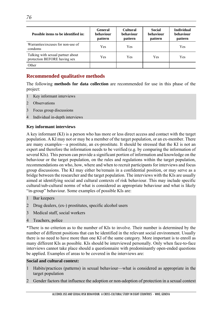| Possible items to be identified in:                               | <b>General</b><br>behaviour<br>pattern | <b>Cultural</b><br><b>behaviour</b><br>pattern | <b>Social</b><br><b>behaviour</b><br>pattern | <b>Individual</b><br><b>behaviour</b><br>pattern |
|-------------------------------------------------------------------|----------------------------------------|------------------------------------------------|----------------------------------------------|--------------------------------------------------|
| Warranties/excuses for non-use of<br>condoms                      | Yes                                    | Yes                                            |                                              | Yes                                              |
| Talking with sexual partner about<br>protection BEFORE having sex | Yes                                    | Yes                                            | Yes                                          | Yes                                              |
| Other                                                             |                                        |                                                |                                              |                                                  |

# **Recommended qualitative methods**

The following **methods for data collection** are recommended for use in this phase of the project:

- 1 Key informant interviews
- 2 Observations
- 3 Focus group discussions
- 4 Individual in-depth interviews

### **Key informant interviews**

A key informant (KI) is a person who has more or less direct access and contact with the target population. A KI may not or may be a member of the target population, or an ex-member. There are many examples—a prostitute, an ex-prostitute. It should be stressed that the KI is not an expert and therefore the information needs to be verified (e.g. by comparing the information of several KIs). This person can provide a significant portion of information and knowledge on the behaviour or the target population, on the rules and regulations within the target population, recommendations on who, how, where and when to recruit participants for interviews and focus group discussions. The KI may either be/remain in a confidential position, or may serve as a bridge between the researcher and the target population. The interviews with the KIs are usually aimed at identifying social and cultural contexts of risk behaviour. This may include specific cultural/sub-cultural norms of what is considered as appropriate behaviour and what is likely "in-group" behaviour. Some examples of possible KIs are:

- 1 Bar keepers
- 2 Drug dealers, (ex-) prostitutes, specific alcohol users
- 3 Medical staff, social workers
- 4 Teachers, police

\*There is no criterion as to the number of KIs to involve. Their number is determined by the number of different positions that can be identified in the relevant social environment. Usually there is no need to have more than one KI of the same category. More important is to enroll as many different KIs as possible. KIs should be interviewed personally. Only when face-to-face interviews cannot take place should a questionnaire with predominantly open-ended questions be applied. Examples of areas to be covered in the interviews are:

#### **Social and cultural context:**

- 1 Habits/practices (patterns) in sexual behaviour—what is considered as appropriate in the target population
- 2 Gender factors that influence the adoption or non-adoption of protection in a sexual context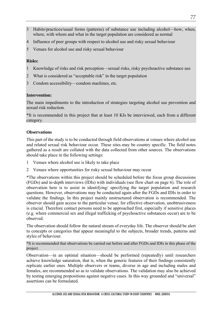- 3 Habits/practices/usual forms (patterns) of substance use including alcohol—how, when, where, with whom and what in the target population are considered as normal
- 4 Influence of peer groups with respect to alcohol use and risky sexual behaviour
- 5 Venues for alcohol use and risky sexual behaviour

### **Risks:**

- 1 Knowledge of risks and risk perception—sexual risks, risky psychoactive substance use
- 2 What is considered as "acceptable risk" in the target population
- 3 Condom accessibility—condom machines, etc.

### **Intervention:**

The main impediments to the introduction of strategies targeting alcohol use prevention and sexual risk reduction.

\*It is recommended in this project that at least 10 KIs be interviewed, each from a different category.

### **Observations**

This part of the study is to be conducted through field observations at venues where alcohol use and related sexual risk behaviour occur. These sites may be country specific. The field notes gathered as a result are collated with the data collected from other sources. The observations should take place in the following settings:

- 1 Venues where alcohol use is likely to take place
- 2 Venues where opportunities for risky sexual behaviour may occur

\*The observations within this project should be scheduled before the focus group discussions (FGDs) and in-depth interviews (IDIs) with individuals (see flow chart on page 6). The role of observation here is to assist in identifying/ specifying the target population and research questions. However, observations may be conducted again after the FGDs and IDIs in order to validate the findings. In this project mainly unstructured observation is recommended. The observer should gain access to the particular venue; for effective observation, unobtrusiveness is crucial. Therefore contact persons need to be approached first, especially if sensitive places (e.g. where commercial sex and illegal trafficking of psychoactive substances occur) are to be observed.

The observation should follow the natural stream of everyday life. The observer should be alert to concepts or categories that appear meaningful to the subjects, broader trends, patterns and styles of behaviour.

\*It is recommended that observations be carried out before and after FGDs and IDIs in this phase of the project.

Observation—in an optimal situation—should be performed (repeatedly) until researchers achieve knowledge saturation, that is, when the generic features of their findings consistently replicate earlier ones. Multiple observers or teams, diverse in age and including males and females, are recommended so as to validate observations. The validation may also be achieved by testing emerging propositions against negative cases. In this way grounded and "universal" assertions can be formulated.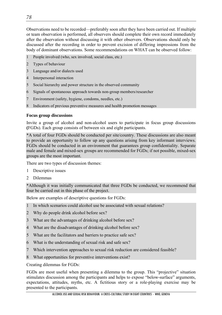Observations need to be recorded—preferably soon after they have been carried out. If multiple or team observation is performed, all observers should complete their own record immediately after the observation without discussing it with other observers. Observations should only be discussed after the recording in order to prevent excision of differing impressions from the body of dominant observations. Some recommendations on WHAT can be observed follow:

- 1 People involved (who, sex involved, social class, etc.)
- 2 Types of behaviour
- 3 Language and/or dialects used
- 4 Interpersonal interaction
- 5 Social hierarchy and power structure in the observed community
- 6 Signals of spontaneous approach towards non-group members/researcher
- 7 Environment (safety, hygiene, condoms, needles, etc.)
- 8 Indicators of previous preventive measures and health promotion messages

### **Focus group discussions**

Invite a group of alcohol and non-alcohol users to participate in focus group discussions **(**FGDs). Each group consists of between six and eight participants.

\*A total of four FGDs should be conducted per site/country. These discussions are also meant to provide an opportunity to follow up any questions arising from key informant interviews. FGDs should be conducted in an environment that guarantees group confidentiality. Separate male and female and mixed-sex groups are recommended for FGDs; if not possible, mixed-sex groups are the most important.

There are two types of discussion themes:

- 1 Descriptive issues
- 2 Dilemmas

\*Although it was initially communicated that three FGDs be conducted, we recommend that four be carried out in this phase of the project.

Below are examples of descriptive questions for FGDs:

- 1 In which scenarios could alcohol use be associated with sexual relations?
- 2 Why do people drink alcohol before sex?
- 3 What are the advantages of drinking alcohol before sex?
- 4 What are the disadvantages of drinking alcohol before sex?
- 5 What are the facilitators and barriers to practice safe sex?
- 6 What is the understanding of sexual risk and safe sex?
- 7 Which intervention approaches to sexual risk reduction are considered feasible?
- 8 What opportunities for preventive interventions exist?

Creating dilemmas for FGDs:

FGDs are most useful when presenting a dilemma to the group. This "projective" situation stimulates discussion among the participants and helps to expose "below-surface" arguments, expectations, attitudes, myths, etc. A fictitious story or a role-playing exercise may be presented to the participants.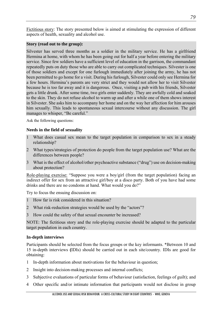Fictitious story: The story presented below is aimed at stimulating the expression of different aspects of health, sexuality and alcohol use.

### **Story (read out to the group):**

Silvester has served three months as a soldier in the military service. He has a girlfriend Hermina at home, with whom he has been going out for half a year before entering the military service. Since few soldiers have a sufficient level of education in the garrison, the commandant repeatedly puts on duty those who are able to carry out complicated techniques. Silvester is one of those soldiers and except for one furlough immediately after joining the army, he has not been permitted to go home for a visit. During his furlough, Silvester could only see Hermina for a few hours. Hermina's parents are very strict and they would not allow her to visit Silvester because he is too far away and it is dangerous. Once, visiting a pub with his friends, Silvester gets a little drunk. After some time, two girls enter suddenly. They are awfully cold and soaked to the skin. They do not refuse alcohol to warm up and after a while one of them shows interest in Silvester. She asks him to accompany her home and on the way her affection for him arouses him sexually. This leads to spontaneous sexual intercourse without any discussion. The girl manages to whisper, "Be careful."

Ask the following questions:

### **Needs in the field of sexuality**

- 1 What does casual sex mean to the target population in comparison to sex in a steady relationship?
- 2 What types/strategies of protection do people from the target population use? What are the differences between people?
- 3 What is the effect of alcohol/other psychoactive substance ("drug") use on decision-making about protection?

Role-playing exercise: "Suppose you were a boy/girl (from the target population) facing an indirect offer for sex from an attractive girl/boy at a disco party. Both of you have had some drinks and there are no condoms at hand. What would you do?"

Try to focus the ensuing discussion on:

- 1 How far is risk considered in this situation?
- 2 What risk-reduction strategies would be used by the "actors"?
- 3 How could the safety of that sexual encounter be increased?

NOTE: The fictitious story and the role-playing exercise should be adapted to the particular target population in each country.

### **In-depth interviews**

Participants should be selected from the focus groups or the key informants. \*Between 10 and 15 in-depth interviews **(**IDIs) should be carried out in each site/country. IDIs are good for obtaining:

- 1 In-depth information about motivations for the behaviour in question;
- 2 Insight into decision-making processes and internal conflicts;
- 3 Subjective evaluations of particular forms of behaviour (satisfaction, feelings of guilt); and
- 4 Other specific and/or intimate information that participants would not disclose in group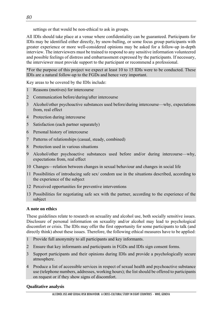settings or that would be non-ethical to ask in groups.

All IDIs should take place at a venue where confidentiality can be guaranteed. Participants for IDIs may be identified either directly, by snow-balling, or some focus group participants with greater experience or more well-considered opinions may be asked for a follow-up in-depth interview. The interviewers must be trained to respond to any sensitive information volunteered and possible feelings of distress and embarrassment expressed by the participants. If necessary, the interviewer must provide support to the participant or recommend a professional.

\*For the purpose of this project we expect at least 10 to 15 IDIs were to be conducted. These IDIs are a natural follow-up to the FGDs and hence very important.

Key areas to be covered by the IDIs include:

- 1 Reasons (motives) for intercourse
- 2 Communication before/during/after intercourse
- 3 Alcohol/other psychoactive substances used before/during intercourse—why, expectations from, real effect
- 4 Protection during intercourse
- 5 Satisfaction (each partner separately)
- 6 Personal history of intercourse
- 7 Patterns of relationships (casual, steady, combined)
- 8 Protection used in various situations
- 9 Alcohol/other psychoactive substances used before and/or during intercourse—why, expectations from, real effect
- 10 Changes—relation between changes in sexual behaviour and changes in social life
- 11 Possibilities of introducing safe sex/ condom use in the situations described, according to the experience of the subject
- 12 Perceived opportunities for preventive interventions
- 13 Possibilities for negotiating safe sex with the partner, according to the experience of the subject

### **A note on ethics**

These guidelines relate to research on sexuality and alcohol use, both socially sensitive issues. Disclosure of personal information on sexuality and/or alcohol may lead to psychological discomfort or crisis. The IDIs may offer the first opportunity for some participants to talk (and directly think) about these issues. Therefore, the following ethical measures have to be applied:

- 1 Provide full anonymity to all participants and key informants.
- 2 Ensure that key informants and participants in FGDs and IDIs sign consent forms.
- 3 Support participants and their opinions during IDIs and provide a psychologically secure atmosphere.
- 4 Produce a list of accessible services in respect of sexual health and psychoactive substance use (telephone numbers, addresses, working hours); the list should be offered to participants on request or if they show signs of discomfort.

#### **Qualitative analysis**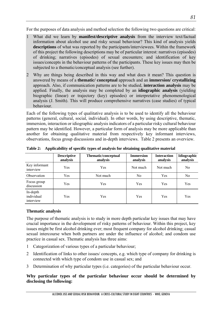For the purposes of data analysis and method selection the following two questions are critical:

- 1 What did we learn by **manifest/descriptive analysis** from the interview text/factual information about alcohol use and risky sexual behaviour? This kind of analysis yields **descriptions** of what was reported by the participants/interviewees. Within the framework of this project the following descriptions may be of particular interest: narratives (episodes) of drinking; narratives (episodes) of sexual encounters; and identification of key issues/concepts in the behaviour patterns of the participants. These key issues may then be subjected to a thematic/conceptual analysis (see further).
- 2 Why are things being described in this way and what does it mean? This question is answered by means of a **thematic/ conceptual** approach and an **immersion/ crystallizing**  approach. Also, if communication patterns are to be studied, **interaction analysis** may be applied. Finally, the analysis may be completed by an **idiographic analysis** (yielding biographic (linear) or trajectory (key) episodes) or interpretative phenomenological analysis (J. Smith). This will produce comprehensive narratives (case studies) of typical behaviour.

Each of the following types of qualitative analysis is to be used to identify all the behaviour patterns (general, cultural, social, individual). In other words, by using descriptive, thematic, immersion, interaction or idiographic analysis indicators of a particular risky cultural behaviour pattern may be identified. However, a particular form of analysis may be more applicable than another for obtaining qualitative material from respectively key informant interviews, observations, focus group discussions and in-depth interviews. Table 2 presents an overview.

|                                     | <b>Descriptive</b><br>analysis | Thematic/conceptual<br>analysis | <b>Immersion</b><br>analysis | <b>Interaction</b><br>analysis | <b>Idiographic</b><br>analysis |
|-------------------------------------|--------------------------------|---------------------------------|------------------------------|--------------------------------|--------------------------------|
| Key informant<br>interview          | Yes                            | Yes                             | Not much                     | Not much                       | N <sub>0</sub>                 |
| Observation                         | Yes                            | Not much                        | N <sub>0</sub>               | Yes                            | N <sub>0</sub>                 |
| Focus group<br>discussion           | Yes                            | Yes                             | Yes                          | Yes                            | Yes                            |
| In-depth<br>individual<br>interview | Yes                            | Yes                             | Yes                          | Yes                            | Yes                            |

**Table 2: Applicability of specific types of analysis for obtaining qualitative material** 

### **Thematic analysis**

The purpose of thematic analysis is to study in more depth particular key issues that may have crucial importance in the development of risky patterns of behaviour. Within this project, key issues might be first alcohol drinking ever; most frequent company for alcohol drinking; casual sexual intercourse when both partners are under the influence of alcohol; and condom use practice in casual sex. Thematic analysis has three aims:

- 1 Categorization of various types of a particular behaviour;
- 2 Identification of links to other issues/ concepts, e.g. which type of company for drinking is connected with which type of condom use in casual sex; and
- 3 Determination of why particular types (i.e. categories) of the particular behaviour occur.

### **Why particular types of the particular behaviour occur should be determined by disclosing the following:**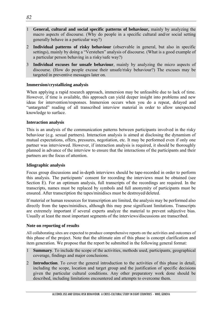- 1 **General, cultural and social specific patterns of behaviour,** mainly by analyzing the macro aspects of discourse. (Why do people in a specific cultural and/or social setting generally behave in a particular way?)
- 2 **Individual patterns of risky behaviour** (observable in general, but also in specific settings), mainly by doing a "Verstehen" analysis of discourse. (What is a good example of a particular person behaving in a risky/safe way?)
- 3 **Individual excuses for unsafe behaviour**, mainly by analyzing the micro aspects of discourse. (How do people excuse their unsafe/risky behaviour?) The excuses may be targeted in preventive messages later on.

#### **Immersion/crystallizing analysis**

When applying a rapid research approach, immersion may be unfeasible due to lack of time. However, if time is available, this approach can yield deeper insight into problems and new ideas for intervention/responses. Immersion occurs when you do a repeat, delayed and "untargeted" reading of all transcribed interview material in order to allow unexpected knowledge to surface.

### **Interaction analysis**

This is an analysis of the communication patterns between participants involved in the risky behaviour (e.g. sexual partners). Interaction analysis is aimed at disclosing the dynamism of mutual expectations, offers, pressures, negotiation, etc. It may be performed even if only one partner was interviewed. However, if interaction analysis is required, it should be thoroughly planned in advance of the interview to ensure that the interactions of the participants and their partners are the focus of attention.

### **Idiographic analysis**

Focus group discussions and in-depth interviews should be tape-recorded in order to perform this analysis. The participants' consent for recording the interviews must be obtained (see Section E). For an optimum analysis, full transcripts of the recordings are required. In the transcripts, names must be replaced by symbols and full anonymity of participants must be ensured. After transcription the tapes/minidiscs must be destroyed/deleted.

If material or human resources for transcription are limited, the analysis may be performed also directly from the tapes/minidiscs, although this may pose significant limitations. Transcripts are extremely important if several experts analyze the material to prevent subjective bias. Usually at least the most important segments of the interviews/discussions are transcribed.

#### **Note on reporting of results**

All collaborating sites are expected to produce comprehensive reports on the activities and outcomes of this phase of the project. Note that the ultimate aim of this phase is concept clarification and item generation. We propose that the report be submitted in the following general format:

- 1 **Summary**. To include the scope of the activities, methods used, participants, geographical coverage, findings and major conclusions.
- 2 **Introduction**. To cover the general introduction to the activities of this phase in detail, including the scope, location and target group and the justification of specific decisions given the particular cultural conditions. Any other preparatory work done should be described, including limitations encountered and attempts to overcome them.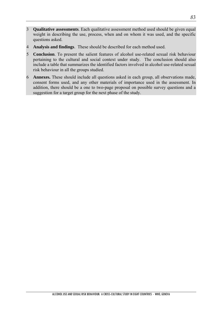- 3 **Qualitative assessments**. Each qualitative assessment method used should be given equal weight in describing the use, process, when and on whom it was used, and the specific questions asked.
- 4 **Analysis and findings**. These should be described for each method used.
- 5 **Conclusion**. To present the salient features of alcohol use-related sexual risk behaviour pertaining to the cultural and social context under study. The conclusion should also include a table that summarizes the identified factors involved in alcohol use-related sexual risk behaviour in all the groups studied.
- 6 **Annexes.** These should include all questions asked in each group, all observations made, consent forms used, and any other materials of importance used in the assessment. In addition, there should be a one to two-page proposal on possible survey questions and a suggestion for a target group for the next phase of the study.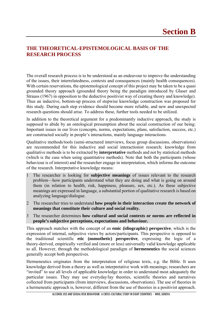# **THE THEORETICAL-EPISTEMOLOGICAL BASIS OF THE RESEARCH PROCESS**

The overall research process is to be understood as an endeavour to improve the understanding of the issues, their interrelatedness, contexts and consequences (mainly health consequences). With certain reservations, the epistemological concept of this project may be taken to be a quasi grounded theory approach (grounded theory being the paradigm introduced by Glaser and Strauss (1967) in opposition to the deductive positivist way of creating theory and knowledge). Thus an inductive, bottom-up process of stepwise knowledge construction was proposed for this study. During each step evidence should become more reliable, and new and unexpected research questions should arise. To address these, further tools needed to be utilized.

In addition to the theoretical argument for a predominantly inductive approach, the study is supposed to abide by an ontological presumption about the social construction of our being: Important issues in our lives (concepts, norms, expectations, plans, satisfaction, success, etc.) are constructed socially in people's interactions, mainly language interactions.

Qualitative methods/tools (semi-structured interviews, focus group discussions, observations) are recommended for this inductive and social interactionist research; knowledge from qualitative methods is to be extracted by **interpretative** methods and not by statistical methods (which is the case when using quantitative methods). Note that both the participants (whose behaviour is of interest) and the researcher engage in interpretation, which informs the outcome of the research. Interpretative knowledge means:

- 1 The researcher is looking for **subjective meanings** of issues relevant to the research problem—how participants understand what they are doing and what is going on around them (in relation to health, risk, happiness, pleasure, sex, etc.). As these subjective meanings are expressed in language, a substantial portion of qualitative research is based on analyzing language/dialogue.
- 2 The researcher tries to understand **how people in their interaction create the network of meanings that constitute their culture and social reality.**
- 3 The researcher determines **how cultural and social contexts or norms are reflected in people's subjective perceptions, expectations and behaviour.**

This approach matches with the concept of an **emic (idiographic) perspective**, which is the expression of internal, subjective views by actors/participants. This perspective is opposed to the traditional scientific **etic (nomothetic) perspective**, expressing the logic of a theory-derived, empirically verified and (more or less) universally valid knowledge applicable to all. However, through the methodological paradigm of **hermeneutics** the social sciences generally accept both perspectives.

Hermeneutics originates from the interpretation of religious texts, e.g. the Bible. It uses knowledge derived from a theory as well as interpretative work with meanings; researchers are "invited" to use all levels of applicable knowledge in order to understand most adequately the particular issues. They may use everyday/lay theories, scientific theories and narratives collected from participants (from interviews, discussions, observations). The use of theories in a hermeneutic approach is, however, different from the use of theories in a positivist approach.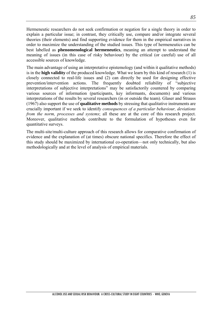Hermeneutic researchers do not seek confirmation or negation for a single theory in order to explain a particular issue; in contrast, they critically use, compare and/or integrate several theories (their elements) and find supporting evidence for them in the empirical narratives in order to maximize the understanding of the studied issues. This type of hermeneutics can be best labelled as **phenomenological hermeneutics**, meaning an attempt to understand the meaning of issues (in this case of risky behaviour) by the critical (or careful) use of all accessible sources of knowledge.

The main advantage of using an interpretative epistemology (and within it qualitative methods) is in the **high validity** of the produced knowledge. What we learn by this kind of research (1) is closely connected to real-life issues and (2) can directly be used for designing effective prevention/intervention actions. The frequently doubted reliability of "subjective interpretations of subjective interpretations" may be satisfactorily countered by comparing various sources of information (participants, key informants, documents) and various interpretations of the results by several researchers (in or outside the team). Glaser and Strauss (1967) also support the use of **qualitative methods** by stressing that qualitative instruments are crucially important if we seek to identify *consequences of a particular behaviour, deviations from the norm, processes and systems*; all these are at the core of this research project. Moreover, qualitative methods contribute to the formulation of hypotheses even for quantitative surveys.

The multi-site/multi-culture approach of this research allows for comparative confirmation of evidence and the explanation of (at times) obscure national specifics. Therefore the effect of this study should be maximized by international co-operation—not only technically, but also methodologically and at the level of analysis of empirical materials.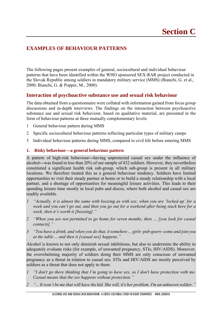# **EXAMPLES OF BEHAVIOUR PATTERNS**

The following pages present examples of general, sociocultural and individual behaviour patterns that have been identified within the WHO sponsored SEX-RAR project conducted in the Slovak Republic among soldiers in mandatory military service (MMS) (Bianchi, G. et al., 2000; Bianchi, G. & Popper, M., 2000).

### **Interaction of psychoactive substance use and sexual risk behaviour**

The data obtained from a questionnaire were collated with information gained from focus group discussions and in-depth interviews. The findings on the interaction between psychoactive substance use and sexual risk behaviour, based on qualitative material, are presented in the form of behaviour patterns at three mutually complementary levels:

- 1 General behaviour pattern during MMS
- 2 Specific sociocultural behaviour patterns reflecting particular types of military camps
- 3 Individual behaviour patterns during MMS, compared to civil life before entering MMS

### **1. Risky behaviour—a general behaviour pattern**

A pattern of high-risk behaviour**—**having unprotected casual sex under the influence of alcohol**—**was found in less than 20% of our sample of 432 soldiers. However, they nevertheless constituted a significant health risk sub-group, which sub-group is present in all military locations. We therefore treated this as a general behaviour tendency. Soldiers have limited opportunities to visit their steady partner at home or to build a steady relationship with a local partner, and a shortage of opportunities for meaningful leisure activities. This leads to their spending leisure time mostly in local pubs and discos, where both alcohol and casual sex are readily available.

- *1 "Actually, it is almost the same with boozing as with sex; when you are 'locked up' for a week and you can't go out, and then you go out for a weekend after being stuck here for a week, then it's worth it [boozing]."*
- *2 "When you are not permitted to go home for seven months, then … [you look for casual contacts]."*
- *3 "You have a drink, and when you do that, it somehow ... girls–pub-goers–come and join you at the table ... and then it [casual sex] happens."*

Alcohol is known to not only diminish sexual inhibitions, but also to undermine the ability to adequately evaluate risks (for example, of unwanted pregnancy, STIs, HIV/AIDS). Moreover, the overwhelming majority of soldiers doing their MMS are only conscious of unwanted pregnancy as a threat in relation to casual sex. STIs and HIV/AIDS are mostly perceived by soldiers as a threat that does not apply to them:

- *1 "I don't go there thinking that I'm going to have sex, so I don't have protection with me. Casual means that the sex happens without protection."*
- *2 "... It won't be me that will have the kid. She will, it's her problem. I'm an unknown soldier."*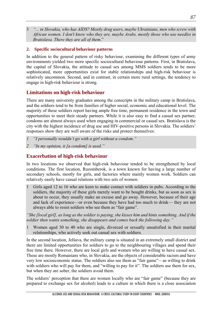3 *"... in Slovakia, who has AIDS? Mostly drug users, maybe Ukrainians, men who screw with African women. I don't know who they are, maybe Arabs, mostly those who use needles in Bratislava. There they are all of them*."

### **2. Specific sociocultural behaviour patterns**

In addition to the general pattern of risky behaviour, examining the different types of army environments yielded two more specific sociocultural behaviour patterns. First, in Bratislava, the capital of Slovakia, the attitude to casual sex among MMS soldiers tends to be more sophisticated, more opportunities exist for stable relationships and high-risk behaviour is relatively uncommon. Second, and in contrast, in certain more rural settings, the tendency to engage in high-risk behaviour is strong.

# **Limitations on high-risk behaviour**

There are many university graduates among the conscripts in the military camp in Bratislava, and the soldiers tend to be from families of higher social, economic and educational level. The majority of these soldiers report having ample free time, permanent residence in the town and opportunities to meet their steady partners. While it is also easy to find a casual sex partner, condoms are almost always used when engaging in commercial or casual sex. Bratislava is the city with the highest incidence of drug use and HIV-positive persons in Slovakia. The soldiers' responses show they are well aware of the risks and protect themselves:

- *1 "I personally wouldn't go with a girl without a condom."*
- *2 "In my opinion, it [a condom] is used."*

# **Exacerbation of high-risk behaviour**

In two locations we observed that high-risk behaviour tended to be strengthened by local conditions. The first location, Ruzomberok, is a town known for having a large number of secondary schools, mostly for girls, and factories where mainly women work. Soldiers can relatively easily have casual relations with two sets of women:

Girls aged 12 to 16 who are keen to make contact with soldiers in pubs. According to the soldiers, the majority of these girls merely want to be bought drinks, but as soon as sex is about to occur, they usually make an excuse and go away. However, because of their age and lack of experience—or even because they have had too much to drink— they are not always able to resist soldiers who see them as "fair game".

*"She [local girl], as long as the soldier is paying, she kisses him and hints something. And if the soldier then wants something, she disappears and comes back the following day."* 

1 Women aged 30 to 40 who are single, divorced or sexually unsatisfied in their marital relationships, who actively seek out casual sex with soldiers.

In the second location, Jelšava, the military camp is situated in an extremely small district and there are limited opportunities for soldiers to go to the neighbouring villages and spend their free time there. However, there are local girls and women who are willing to have casual sex. These are mostly Romanians who, in Slovakia, are the objects of considerable racism and have very low socioeconomic status. The soldiers also see them as "fair game"—as willing to drink with soldiers who will pay for them, and "willing to pay for it". The soldiers use them for sex, but when they are sober, the soldiers avoid them.

The soldiers' perception that there are women locally who are "fair game" (because they are prepared to exchange sex for alcohol) leads to a culture in which there is a close association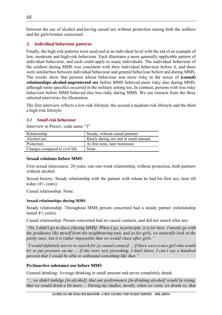between the use of alcohol and having casual sex without protection among both the soldiers and the girls/women concerned.

### **3. Individual behaviour patterns**

Finally, the high-risk patterns were analyzed at an individual level with the aid of an example of low, moderate and high-risk behaviour. Each illustrates a more generally applicable pattern of individual behaviour, and each could apply to many individuals. The individual behaviour of the soldiers during MMS was consistent with their individual behaviour before it, and there were similarities between individual behaviour and general behaviour before and during MMS. The results show that persons whose behaviour was more risky in the nexus of **(casual) relationships-alcohol-unprotected sex** before MMS behaved more risky also during MMS, although some specifics occurred in the military setting too**.** In contrast, persons with less risky behaviour before MMS behaved also less risky during MMS. We use extracts from the three selected interviews for illustration.

The first interview reflects a low-risk lifestyle, the second a medium-risk lifestyle and the third a high-risk lifestyle.

### *3.1 Small-risk behaviour*

Interview in Presov, code name "3"

| Relationship                   | Steady, without casual partners       |
|--------------------------------|---------------------------------------|
| Alcohol use                    | Rarely during sex and in small amount |
| Protection                     | At first none, later hormones         |
| Changes compared to civil life | None                                  |

#### **Sexual relations before MMS**

First sexual intercourse: 20 years, one one-week relationship, without protection, both partners without alcohol.

Sexual history: Steady relationship with the partner with whom he had his first sex; lasts till today  $(4\frac{1}{2}$  years).

Casual relationship: None.

### **Sexual relationships during MMS**

Steady relationship: Throughout MMS person concerned had a steady partner (relationship lasted  $4\frac{1}{2}$  years).

Casual relationship: Person concerned had no casual contacts, and did not search after any.

*"No, I didn't go to disco [during MMS]. When I go, in principle, it is for beer. I mostly go with the graduates like myself from the neighbouring unit, and as for girls, we naturally look at the pretty ones, but it is rather impossible that we would chase after girls."*

*"I would definitely not try to search for [a casual contact] ... if there were a nice girl who would try to put pressure on me … if she were very provoking, I don't know, I can't say a hundred percent that I would be able to withstand something like that."*

### **Pychoactive substance use before MMS**

General drinking: Average drinking in small amount and never completely drunk.

*"... we didn't indulge [in alcohol], that our performance [in drinking alcohol] would be rising, that we would drink a bit more ... During my studies, mostly, when we went, we drank so, that*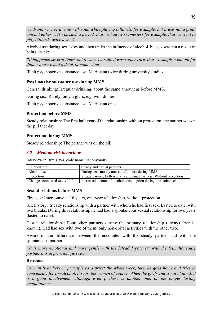*we drank wine or a wine with soda while playing billiards, for example, but it was not a great amount either ... It was such a period, that we had two semesters for example, that we went to play billiards twice a week."* 

Alcohol use during sex: Now and then under the influence of alcohol, but sex was not a result of being drunk:

*"It happened several times, but it wasn't a rule, it was rather rare, that we simply went out for dinner and we had a drink or some wine."* 

Illicit psychoactive substance use: Marijuana twice during university studies.

#### **Psychoactive substance use during MMS**

General drinking: Irregular drinking, about the same amount as before MMS.

During sex: Rarely, only a glass, e.g. with dinner.

Illicit psychoactive substance use: Marijuana once.

#### **Protection before MMS**

Steady relationship: The first half year of the relationship without protection, the partner was on the pill that day.

#### **Protection during MMS**

Steady relationship: The partner was on the pill.

#### *3.2 Medium-risk behaviour*

Interview in Bratislava, code name "Anonymous"

| Relationship                   | Steady and casual partners                                           |
|--------------------------------|----------------------------------------------------------------------|
| Alcohol use                    | During sex (mostly non-coital), more during MMS                      |
| Protection                     | Steady partner: Different kinds. Casual partners: Without protection |
| Changes compared to civil life | Increased amount of alcohol consumption during non-coital sex        |

#### **Sexual relations before MMS**

First sex: Intercourse at 16 years, one-year relationship, without protection.

Sex history: Steady relationship with a partner with whom he had first sex. Lasted to date, with two breaks. During this relationship he had had a spontaneous sexual relationship for two years (lasted to date).

Casual relationships: Four other partners during the primary relationship (always friends, known). Had had sex with two of them, only non-coital activities with the other two.

Aware of the difference between the encounter with the steady partner and with the spontaneous partner:

*"It is more emotional and more gentle with the [steady] partner; with the [simultaneous] partner it is in principle just sex."* 

#### **Reasons:**

*"A man lives here in principle as a priest the whole week, then he goes home and tries to compensate for it—alcohol, discos, the women of course. When the girlfriend is not at hand, it is a good involvement, although even if there is another one, or the longer lasting acquaintance."*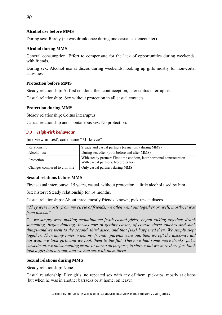### **Alcohol use before MMS**

During sex**:** Rarely (he was drunk once during one casual sex encounter).

#### **Alcohol during MMS**

General consumption: Effort to compensate for the lack of opportunities during weekends**,**  with friends.

During sex: Alcohol use at discos during weekends, looking up girls mostly for non-coital activities.

### **Protection before MMS**

Steady relationship: At first condom, then contraception, later coitus interruptus.

Casual relationship: Sex without protection in all casual contacts.

#### **Protection during MMS**

Steady relationship: Coitus interruptus.

Casual relationship and spontaneous sex: No protection.

### *3.3 High-risk behaviour*

Interview in Lešť, code name "Mirkovce"

| Relationship                   | Steady and casual partners (casual only during MMS)                                                         |
|--------------------------------|-------------------------------------------------------------------------------------------------------------|
| Alcohol use                    | During sex often (both before and after MMS)                                                                |
| Protection                     | With steady partner: First time condom, later hormonal contraception<br>With casual partners: No protection |
| Changes compared to civil life | Only casual partners during MMS                                                                             |

#### **Sexual relations before MMS**

First sexual intercourse: 15 years, casual, without protection, a little alcohol used by him.

Sex history: Steady relationship for 14 months.

Casual relationships: About three, mostly friends, known, pick-ups at discos.

*"They were mostly from my circle of friends, we often went out together or, well, mostly, it was from discos."* 

*"... we simply were making acquaintance [with casual girls], began talking together, drank something, began dancing. It was sort of getting closer, of course–those touches and such things–and we went to the second, third disco, and that [sex] happened then. We simply slept together. Then many times, when my friends' parents were out, then we left the disco–we did not wait, we took girls and we took them to the flat. There we had some more drinks, put a cassette on, we put something erotic or porno on purpose, to show what we were there for. Each took a girl into a room, and we had sex with them there."* 

#### **Sexual relations during MMS**

Steady relationship: None.

Casual relationship: Five girls, no repeated sex with any of them, pick-ups, mostly at discos (but when he was in another barracks or at home, on leave).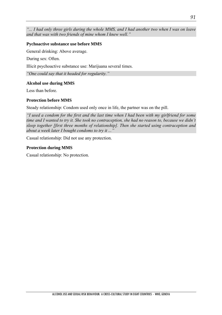*"... I had only three girls during the whole MMS, and I had another two when I was on leave and that was with two friends of mine whom I knew well."* 

#### **Pychoactive substance use before MMS**

General drinking: Above average.

During sex: Often.

Illicit psychoactive substance use: Marijuana several times.

*"One could say that it headed for regularity."* 

#### **Alcohol use during MMS**

Less than before.

#### **Protection before MMS**

Steady relationship: Condom used only once in life, the partner was on the pill.

*"I used a condom for the first and the last time when I had been with my girlfriend for some time and I wanted to try it. She took no contraception, she had no reason to, because we didn't sleep together [first three months of relationship]. Then she started using contraception and about a week later I bought condoms to try it ..."* 

Casual relationship: Did not use any protection.

#### **Protection during MMS**

Casual relationship: No protection.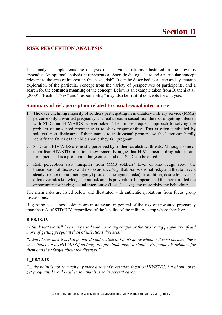# **RISK PERCEPTION ANALYSIS**

This analysis supplements the analysis of behaviour patterns illustrated in the previous appendix. An optional analysis, it represents a "Socratic dialogue" around a particular concept relevant to the area of interest, in this case "risk". It can be described as a deep and systematic exploration of the particular concept from the variety of perspectives of participants, and a search for the **common meaning** of the concept. Below is an example taken from Bianchi et al. (2000). "Health", "sex" and "responsibility" may also be fruitful concepts for analysis.

### **Summary of risk perception related to casual sexual intercourse**

- 1 The overwhelming majority of soldiers participating in mandatory military service (MMS) perceive only unwanted pregnancy as a real threat in casual sex; the risk of getting infected with STDs and HIV/AIDS is overlooked. Their more frequent approach to solving the problem of unwanted pregnancy is to shirk responsibility. This is often facilitated by soldiers' non-disclosure of their names to their casual partners, so the latter can hardly identify the father of the child should they fall pregnant.
- 2 STDs and HIV/AIDS are mostly perceived by soldiers as abstract threats. Although some of them fear HIV/STD infection, they generally argue that HIV concerns drug addicts and foreigners and is a problem in large cities, and that STD can be cured.
- 3 Risk perception also transpires from MMS soldiers' level of knowledge about the transmission of diseases and risk avoidance (e.g. that oral sex is not risky and that to have a steady partner (serial monogamy) protects one against risks). In addition, desire to have sex often overrides knowledge about risk and its prevention. It appears that the more limited the opportunity for having sexual intercourse (Lest, Jelsava), the more risky the behaviour.

The main risks are listed below and illustrated with authentic quotations from focus group discussions.

Regarding casual sex, soldiers are more aware in general of the risk of unwanted pregnancy than the risk of STD/HIV, regardless of the locality of the military camp where they live.

#### **B FB/13/15**

*"I think that we still live in a period when a young couple or the two young people are afraid more of getting pregnant than of infectious diseases."* 

*"I don't know how it is that people do not realize it. I don't know whether it is so because there was silence on it [HIV/AIDS] so long. People think about it simply. Pregnancy is primary for them and they forget about the diseases."* 

### **L\_FB/12/18**

*"... the point is not so much any more a sort of protection [against HIV/STD], but about not to get pregnant. I would rather say that it is so in several cases."*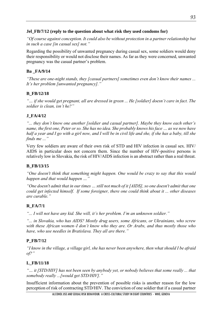### **Jel\_FB/7/12 (reply to the question about what risk they used condoms for)**

*"Of course against conception. It could also be without protection in a partner relationship but in such a case [in casual sex] not."*

Regarding the possibility of unwanted pregnancy during casual sex, some soldiers would deny their responsibility or would not disclose their names. As far as they were concerned, unwanted pregnancy was the casual partner's problem.

### **Ba \_FA/9/14**

*"These are one-night stands, they [casual partners] sometimes even don't know their names ... It's her problem [unwanted pregnancy]."*

# **B\_FB/12/18**

*"… if she would get pregnant, all are dressed in green ... He [soldier] doesn't care in fact. The soldier is clean, isn't he?"*

# **J\_FA/4/12**

*"... they don't know one another [soldier and casual partner]. Maybe they know each other's name, the first one, Peter or so. She has no idea. She probably knows his face … as we now have half a year and I go with a girl now, and I will be in civil life and she, if she has a baby, till she finds me ..."*

Very few soldiers are aware of their own risk of STD and HIV infection in casual sex. HIV/ AIDS in particular does not concern them. Since the number of HIV-positive persons is relatively low in Slovakia, the risk of HIV/AIDS infection is an abstract rather than a real threat.

# **B\_FB/13/15**

*"One doesn't think that something might happen. One would be crazy to say that this would happen and that would happen …"* 

*"One doesn't admit that in our times … still not much of it [AIDS], so one doesn't admit that one could get infected himself. If some foreigner, there one could think about it ... other diseases are curable."*

# **R\_FA/7/1**

*"... I will not have any kid. She will, it's her problem. I'm an unknown soldier."* 

*"... in Slovakia, who has AIDS? Mostly drug users, some Africans, or Ukrainians, who screw with these African women–I don't know who they are. Or Arabs, and thus mostly those who have, who use needles in Bratislava. They all are there."*

# **P\_FB/7/12**

*"I know in the village, a village girl, she has never been anywhere, then what should I be afraid of?"*

# **L\_FB/11/18**

*"… it [STD/HIV] has not been seen by anybody yet, or nobody believes that some really ... that somebody really ...[would get STD/HIV]."*

Insufficient information about the prevention of possible risks is another reason for the low perception of risk of contracting STD/HIV. The conviction of one soldier that if a casual partner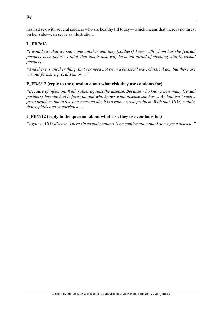has had sex with several soldiers who are healthy till today—which means that there is no threat on her side—can serve as illustration.

### **L\_FB/8/18**

*"I would say that we know one another and they [soldiers] know with whom has she [casual partner] been before. I think that this is also why he is not afraid of sleeping with [a casual partner]."*

*"And there is another thing, that sex need not be in a classical way, classical act, but there are various forms, e.g. oral sex, or ..."*

### **P\_FB/6/12 (reply to the question about what risk they use condoms for)**

*"Because of infection. Well, rather against the disease. Because who knows how many [sexual partners] has she had before you and who knows what disease she has ... A child isn't such a great problem, but to live one year and die, it is a rather great problem. With that AIDS, mainly, that syphilis and gonorrhoea ..."*

### **J\_FB/7/12 (reply to the question about what risk they use condoms for)**

*"Against AIDS disease. There [in casual contact] is no confirmation that I don't get a disease."*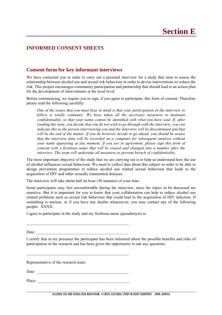### **INFORMED CONSENT SHEETS**

### **Consent form for key informant interviews**

We have contacted you in order to carry out a personal interview for a study that aims to assess the relationship between alcohol use and sexual risk behaviour in order to devise interventions to reduce the risk. This project encourages community participation and partnership that should lead to an action plan for the development of interventions at the local level.

Before commencing, we require you to sign, if you agree to participate, this form of consent. Therefore please read the following carefully:

*One of the issues that you must bear in mind is that your participation in the interview to follow is totally voluntary. We have taken all the necessary measures to maintain confidentiality, so that your name cannot be identified with what you have said. If, after reading this note, you decide that you do not wish to go through with the interview, you can indicate this to the person interviewing you and the interview will be discontinued and that will be the end of the matter. If you do however decide to go ahead, you should be aware that the interview data will be recorded on a computer for subsequent analysis without your name appearing at any moment. If you are in agreement, please sign this form of consent with a fictitious name that will be erased and changed into a number after the interview. The team will undertake all measures to prevent breach of confidentiality.*

The most important objective of the study that we are carrying out is to help us understand how the use of alcohol influences sexual behaviour. We need to collect data about this subject in order to be able to design prevention programmes to reduce alcohol use related sexual behaviour that leads to the acquisition of HIV and other sexually transmitted diseases.

The interview will take about half an hour (30 minutes) of your time.

Some participants may feel uncomfortable during the interview, since the topics to be discussed are sensitive. But it is important for you to know that your collaboration can help to reduce alcohol use related problems such as sexual risk behaviour that could lead to the acquisition of HIV infection. If something is unclear, or if you have any doubts whatsoever, you may contact any of the following people: XXXX.

I agree to participate in the study and my fictitious name (pseudonym) is:

 $\mathcal{L}_\text{max}$  and the contract of the contract of the contract of the contract of the contract of the contract of the contract of the contract of the contract of the contract of the contract of the contract of the contrac

 $\text{Date}^{\cdot}$ 

I certify that in my presence the participant has been informed about the possible benefits and risks of participation in the research and has been given the opportunity to ask any questions.

Representative of the research team:

Date:

Place: \_\_\_\_\_\_\_\_\_\_\_\_\_\_\_\_\_\_\_\_\_\_\_\_\_\_\_\_\_\_\_\_\_\_\_\_\_\_\_\_\_\_\_\_\_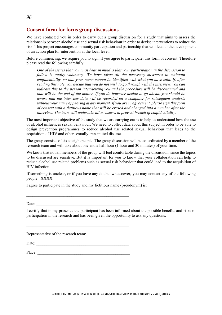We have contacted you in order to carry out a group discussion for a study that aims to assess the relationship between alcohol use and sexual risk behaviour in order to devise interventions to reduce the risk. This project encourages community participation and partnership that will lead to the development of an action plan for intervention at the local level.

Before commencing, we require you to sign, if you agree to participate, this form of consent. Therefore please read the following carefully:

*One of the issues that you must bear in mind is that your participation in the discussion to follow is totally voluntary. We have taken all the necessary measures to maintain confidentiality, so that your name cannot be identified with what you have said. If, after reading this note, you decide that you do not wish to go through with the interview, you can indicate this to the person interviewing you and the procedure will be discontinued and that will be the end of the matter. If you do however decide to go ahead, you should be aware that the interview data will be recorded on a computer for subsequent analysis without your name appearing at any moment. If you are in agreement, please sign this form of consent with a fictitious name that will be erased and changed into a number after the interview. The team will undertake all measures to prevent breach of confidentiality.*

The most important objective of the study that we are carrying out is to help us understand how the use of alcohol influences sexual behaviour. We need to collect data about this subject in order to be able to design prevention programmes to reduce alcohol use related sexual behaviour that leads to the acquisition of HIV and other sexually transmitted diseases.

The group consists of six to eight people. The group discussion will be co-ordinated by a member of the research team and will take about one and a half hour (1 hour and 30 minutes) of your time.

We know that not all members of the group will feel comfortable during the discussion, since the topics to be discussed are sensitive. But it is important for you to know that your collaboration can help to reduce alcohol use related problems such as sexual risk behaviour that could lead to the acquisition of HIV infection.

If something is unclear, or if you have any doubts whatsoever, you may contact any of the following people: XXXX.

I agree to participate in the study and my fictitious name (pseudonym) is:

 $\mathcal{L}_\text{max}$  and the contract of the contract of the contract of the contract of the contract of the contract of the contract of the contract of the contract of the contract of the contract of the contract of the contrac

 $\mathcal{L}_\text{max}$  and the contract of the contract of the contract of the contract of the contract of the contract of the contract of the contract of the contract of the contract of the contract of the contract of the contrac

 $\text{Date}^{\cdot}$ 

I certify that in my presence the participant has been informed about the possible benefits and risks of participation in the research and has been given the opportunity to ask any questions.

Representative of the research team:

Date:

Place: \_\_\_\_\_\_\_\_\_\_\_\_\_\_\_\_\_\_\_\_\_\_\_\_\_\_\_\_\_\_\_\_\_\_\_\_\_\_\_\_\_\_\_\_\_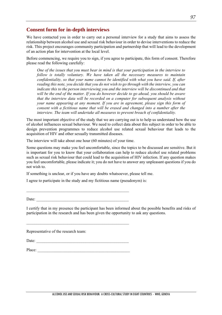## **Consent form for in-depth interviews**

We have contacted you in order to carry out a personal interview for a study that aims to assess the relationship between alcohol use and sexual risk behaviour in order to devise interventions to reduce the risk. This project encourages community participation and partnership that will lead to the development of an action plan for intervention at the local level.

Before commencing, we require you to sign, if you agree to participate, this form of consent. Therefore please read the following carefully:

*One of the issues that you must bear in mind is that your participation in the interview to follow is totally voluntary. We have taken all the necessary measures to maintain confidentiality, so that your name cannot be identified with what you have said. If, after reading this note, you decide that you do not wish to go through with the interview, you can indicate this to the person interviewing you and the interview will be discontinued and that will be the end of the matter. If you do however decide to go ahead, you should be aware that the interview data will be recorded on a computer for subsequent analysis without your name appearing at any moment. If you are in agreement, please sign this form of consent with a fictitious name that will be erased and changed into a number after the interview. The team will undertake all measures to prevent breach of confidentiality.*

The most important objective of the study that we are carrying out is to help us understand how the use of alcohol influences sexual behaviour. We need to collect data about this subject in order to be able to design prevention programmes to reduce alcohol use related sexual behaviour that leads to the acquisition of HIV and other sexually transmitted diseases.

The interview will take about one hour (60 minutes) of your time.

Some questions may make you feel uncomfortable, since the topics to be discussed are sensitive. But it is important for you to know that your collaboration can help to reduce alcohol use related problems such as sexual risk behaviour that could lead to the acquisition of HIV infection. If any question makes you feel uncomfortable, please indicate it; you do not have to answer any unpleasant questions if you do not wish to.

If something is unclear, or if you have any doubts whatsoever, please tell me.

I agree to participate in the study and my fictitious name (pseudonym) is:

Date:

 $\mathcal{L}_\text{max}$  and the contract of the contract of the contract of the contract of the contract of the contract of the contract of the contract of the contract of the contract of the contract of the contract of the contrac

I certify that in my presence the participant has been informed about the possible benefits and risks of participation in the research and has been given the opportunity to ask any questions.

Representative of the research team:

Date:

Place: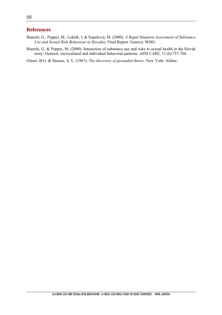## **References**

- Bianchi, G., Popper, M., Lukšík, I. & Supeková, M. (2000). *A Rapid Situation Assessment of Substance Use and Sexual Risk Behaviour in Slovakia*. Final Report. Geneva: WHO.
- Bianchi, G. & Popper, M. (2000). Interaction of substance use and risks to sexual health in the Slovak army: General, sociocultural and individual behaviour patterns. *AIDS CARE*, 12 (6):757-766.

Glaser, B.G. & Strauss, A. L. (1967). *The discovery of grounded theory*. New York: Aldine.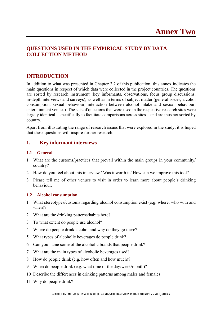# **QUESTIONS USED IN THE EMPIRICAL STUDY BY DATA COLLECTION METHOD**

## **INTRODUCTION**

In addition to what was presented in Chapter 3.2 of this publication, this annex indicates the main questions in respect of which data were collected in the project countries. The questions are sorted by research instrument (key informants, observations, focus group discussions, in-depth interviews and surveys), as well as in terms of subject matter (general issues, alcohol consumption, sexual behaviour, interaction between alcohol intake and sexual behaviour, entertainment venues). The sets of questions that were used in the respective research sites were largely identical—specifically to facilitate comparisons across sites—and are thus not sorted by country.

Apart from illustrating the range of research issues that were explored in the study, it is hoped that these questions will inspire further research.

## **1. Key informant interviews**

#### **1.1 General**

- 1 What are the customs/practices that prevail within the main groups in your community/ country?
- 2 How do you feel about this interview? Was it worth it? How can we improve this tool?
- 3 Please tell me of other venues to visit in order to learn more about people's drinking behaviour.

#### **1.2 Alcohol consumption**

- 1 What stereotypes/customs regarding alcohol consumption exist (e.g. where, who with and when)?
- 2 What are the drinking patterns/habits here?
- 3 To what extent do people use alcohol?
- 4 Where do people drink alcohol and why do they go there?
- 5 What types of alcoholic beverages do people drink?
- 6 Can you name some of the alcoholic brands that people drink?
- 7 What are the main types of alcoholic beverages used?
- 8 How do people drink (e.g. how often and how much)?
- 9 When do people drink (e.g. what time of the day/week/month)?
- 10 Describe the differences in drinking patterns among males and females.
- 11 Why do people drink?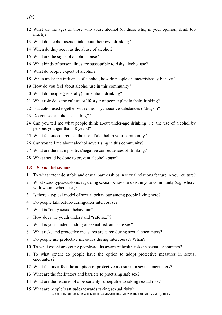- What are the ages of those who abuse alcohol (or those who, in your opinion, drink too much)?
- What do alcohol users think about their own drinking?
- When do they see it as the abuse of alcohol?
- What are the signs of alcohol abuse?
- What kinds of personalities are susceptible to risky alcohol use?
- What do people expect of alcohol?
- When under the influence of alcohol, how do people characteristically behave?
- How do you feel about alcohol use in this community?
- What do people (generally) think about drinking?
- What role does the culture or lifestyle of people play in their drinking?
- Is alcohol used together with other psychoactive substances ("drugs")?
- Do you see alcohol as a "drug"?
- Can you tell me what people think about under-age drinking (i.e. the use of alcohol by persons younger than 18 years)?
- What factors can reduce the use of alcohol in your community?
- Can you tell me about alcohol advertising in this community?
- What are the main positive/negative consequences of drinking?
- What should be done to prevent alcohol abuse?

## **1.3 Sexual behaviour**

- To what extent do stable and casual partnerships in sexual relations feature in your culture?
- What stereotypes/customs regarding sexual behaviour exist in your community (e.g. where, with whom, when, etc.)?
- Is there a typical model of sexual behaviour among people living here?
- Do people talk before/during/after intercourse?
- What is "risky sexual behaviour"?
- How does the youth understand "safe sex"?
- What is your understanding of sexual risk and safe sex?
- What risks and protective measures are taken during sexual encounters?
- Do people use protective measures during intercourse? When?
- To what extent are young people/adults aware of health risks in sexual encounters?
- To what extent do people have the option to adopt protective measures in sexual encounters?
- What factors affect the adoption of protective measures in sexual encounters?
- What are the facilitators and barriers to practising safe sex?
- What are the features of a personality susceptible to taking sexual risk?
- What are people's attitudes towards taking sexual risks?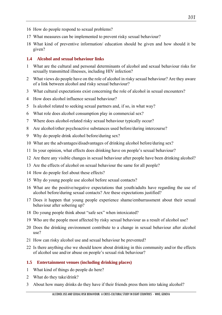- How do people respond to sexual problems?
- What measures can be implemented to prevent risky sexual behaviour?
- What kind of preventive information/ education should be given and how should it be given?

### **1.4 Alcohol and sexual behaviour links**

- What are the cultural and personal determinants of alcohol and sexual behaviour risks for sexually transmitted illnesses, including HIV infection?
- What views do people have on the role of alcohol in risky sexual behaviour? Are they aware of a link between alcohol and risky sexual behaviour?
- What cultural expectations exist concerning the role of alcohol in sexual encounters?
- How does alcohol influence sexual behaviour?
- Is alcohol related to seeking sexual partners and, if so, in what way?
- What role does alcohol consumption play in commercial sex?
- Where does alcohol-related risky sexual behaviour typically occur?
- Are alcohol/other psychoactive substances used before/during intercourse?
- Why do people drink alcohol before/during sex?
- What are the advantages/disadvantages of drinking alcohol before/during sex?
- In your opinion, what effects does drinking have on people's sexual behaviour?
- Are there any visible changes in sexual behaviour after people have been drinking alcohol?
- Are the effects of alcohol on sexual behaviour the same for all people?
- How do people feel about these effects?
- Why do young people use alcohol before sexual contacts?
- What are the positive/negative expectations that youth/adults have regarding the use of alcohol before/during sexual contacts? Are these expectations justified?
- Does it happen that young people experience shame/embarrassment about their sexual behaviour after sobering up?
- Do young people think about "safe sex" when intoxicated?
- Who are the people most affected by risky sexual behaviour as a result of alcohol use?
- Does the drinking environment contribute to a change in sexual behaviour after alcohol use?
- How can risky alcohol use and sexual behaviour be prevented?
- Is there anything else we should know about drinking in this community and/or the effects of alcohol use and/or abuse on people's sexual risk behaviour?

#### **1.5 Entertainment venues (including drinking places)**

- What kind of things do people do here?
- What do they take/drink?
- About how many drinks do they have if their friends press them into taking alcohol?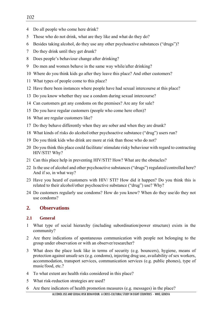- Do all people who come here drink?
- Those who do not drink, what are they like and what do they do?
- Besides taking alcohol, do they use any other psychoactive substances ("drugs")?
- Do they drink until they get drunk?
- Does people's behaviour change after drinking?
- Do men and women behave in the same way while/after drinking?
- Where do you think kids go after they leave this place? And other customers?
- What types of people come to this place?
- Have there been instances where people have had sexual intercourse at this place?
- Do you know whether they use a condom during sexual intercourse?
- Can customers get any condoms on the premises? Are any for sale?
- Do you have regular customers (people who come here often)?
- What are regular customers like?
- Do they behave differently when they are sober and when they are drunk?
- What kinds of risks do alcohol/other psychoactive substance ("drug") users run?
- Do you think kids who drink are more at risk than those who do not?
- Do you think this place could facilitate/ stimulate risky behaviour with regard to contracting HIV/STI? Why?
- Can this place help in preventing HIV/STI? How? What are the obstacles?
- Is the use of alcohol and other psychoactive substances ("drugs") regulated/controlled here? And if so, in what way?
- Have you heard of customers with HIV/ STI? How did it happen? Do you think this is related to their alcohol/other psychoactive substance ("drug") use? Why?
- Do customers regularly use condoms? How do you know? When do they use/do they not use condoms?

# **2. Observations**

## **2.1 General**

- What type of social hierarchy (including subordination/power structure) exists in the community?
- Are there indications of spontaneous communication with people not belonging to the group under observation or with an observer/researcher?
- What does the place look like in terms of security (e.g. bouncers), hygiene, means of protection against unsafe sex (e.g. condoms), injecting drug use, availability of sex workers, accommodation, transport services, communication services (e.g. public phones), type of music/food, etc.?
- To what extent are health risks considered in this place?
- What risk-reduction strategies are used?
- ALCOHOL USE AND SEXUALRISK BEHAVIOUR: A CROSS-CULTURALSTUDYIN EIGHTCOUNTRIES WHO, GENEVA Are there indicators of health promotion measures (e.g. messages) in the place?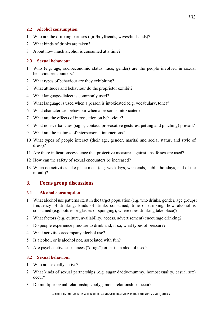#### **2.2 Alcohol consumption**

- Who are the drinking partners (girl/boyfriends, wives/husbands)?
- What kinds of drinks are taken?
- About how much alcohol is consumed at a time?

## **2.3 Sexual behaviour**

- Who (e.g. age, socioeconomic status, race, gender) are the people involved in sexual behaviour/encounters?
- What types of behaviour are they exhibiting?
- What attitudes and behaviour do the proprietor exhibit?
- What language/dialect is commonly used?
- What language is used when a person is intoxicated (e.g. vocabulary, tone)?
- What characterizes behaviour when a person is intoxicated?
- What are the effects of intoxication on behaviour?
- What non-verbal cues (signs, contact, provocative gestures, petting and pinching) prevail?
- What are the features of interpersonal interactions?
- What types of people interact (their age, gender, marital and social status, and style of dress)?
- Are there indications/evidence that protective measures against unsafe sex are used?
- How can the safety of sexual encounters be increased?
- When do activities take place most (e.g. weekdays, weekends, public holidays, end of the month)?

## **3. Focus group discussions**

## **3.1 Alcohol consumption**

- What alcohol use patterns exist in the target population (e.g. who drinks, gender, age groups; frequency of drinking, kinds of drinks consumed, time of drinking, how alcohol is consumed (e.g. bottles or glasses or sponging), where does drinking take place)?
- What factors (e.g. culture, availability, access, advertisement) encourage drinking?
- Do people experience pressure to drink and, if so, what types of pressure?
- What activities accompany alcohol use?
- Is alcohol, or is alcohol not, associated with fun?
- Are psychoactive substances ("drugs") other than alcohol used?

## **3.2 Sexual behaviour**

- Who are sexually active?
- What kinds of sexual partnerships (e.g. sugar daddy/mummy, homosexuality, casual sex) occur?
- Do multiple sexual relationships/polygamous relationships occur?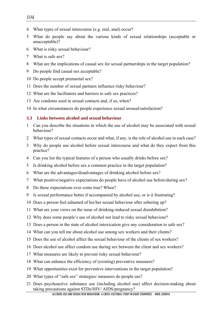- What types of sexual intercourse (e.g. oral, anal) occur?
- What do people say about the various kinds of sexual relationships (acceptable or unacceptable)?
- What is risky sexual behaviour?
- What is safe sex?
- What are the implications of casual sex for sexual partnerships in the target population?
- Do people find casual sex acceptable?
- Do people accept premarital sex?
- Does the number of sexual partners influence risky behaviour?
- What are the facilitators and barriers to safe sex practices?
- Are condoms used in sexual contacts and, if so, when?
- In what circumstances do people experience sexual arousal/satisfaction?

### **3.3 Links between alcohol and sexual behaviour**

- Can you describe the situations in which the use of alcohol may be associated with sexual behaviour?
- What types of sexual contacts occur and what, if any, is the role of alcohol use in each case?
- Why do people use alcohol before sexual intercourse and what do they expect from this practice?
- Can you list the typical features of a person who usually drinks before sex?
- Is drinking alcohol before sex a common practice in the target population?
- What are the advantages/disadvantages of drinking alcohol before sex?
- What positive/negative expectations do people have of alcohol use before/during sex?
- Do these expectations ever come true? When?
- Is sexual performance better if accompanied by alcohol use, or is it frustrating?
- Does a person feel ashamed of his/her sexual behaviour after sobering up?
- What are your views on the issue of drinking-induced sexual disinhibition?
- Why does some people's use of alcohol not lead to risky sexual behaviour?
- Does a person in the state of alcohol intoxication give any consideration to safe sex?
- What can you tell me about alcohol use among sex workers and their clients?
- Does the use of alcohol affect the sexual behaviour of the clients of sex workers?
- Does alcohol use affect condom use during sex between the client and sex workers?
- What measures are likely to prevent risky sexual behaviour?
- What can enhance the efficiency of (existing) preventive measures?
- What opportunities exist for preventive interventions in the target population?
- What types of "safe sex" strategies/ measures do people use?
- Does psychoactive substance use (including alcohol use) affect decision-making about taking precautions against STDs/HIV/ AIDS/pregnancy?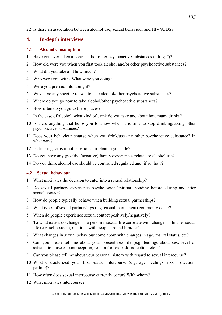Is there an association between alcohol use, sexual behaviour and HIV/AIDS?

## **4. In-depth interviews**

## **4.1 Alcohol consumption**

- Have you ever taken alcohol and/or other psychoactive substances ("drugs")?
- How old were you when you first took alcohol and/or other psychoactive substances?
- What did you take and how much?
- Who were you with? What were you doing?
- Were you pressed into doing it?
- Was there any specific reason to take alcohol/other psychoactive substances?
- Where do you go now to take alcohol/other psychoactive substances?
- How often do you go to these places?
- In the case of alcohol, what kind of drink do you take and about how many drinks?
- Is there anything that helps you to know when it is time to stop drinking/taking other psychoactive substances?
- Does your behaviour change when you drink/use any other psychoactive substance? In what way?
- Is drinking, or is it not, a serious problem in your life?
- Do you have any (positive/negative) family experiences related to alcohol use?
- Do you think alcohol use should be controlled/regulated and, if so, how?

## **4.2 Sexual behaviour**

- What motivates the decision to enter into a sexual relationship?
- Do sexual partners experience psychological/spiritual bonding before, during and after sexual contact?
- How do people typically behave when building sexual partnerships?
- What types of sexual partnerships (e.g. casual, permanent) commonly occur?
- When do people experience sexual contact positively/negatively?
- To what extent do changes in a person's sexual life correlate with changes in his/her social life (e.g. self-esteem, relations with people around him/her)?
- What changes in sexual behaviour come about with changes in age, marital status, etc?
- Can you please tell me about your present sex life (e.g. feelings about sex, level of satisfaction, use of contraception, reason for sex, risk protection, etc.)?
- Can you please tell me about your personal history with regard to sexual intercourse?
- What characterized your first sexual intercourse (e.g. age, feelings, risk protection, partner)?
- How often does sexual intercourse currently occur? With whom?
- What motivates intercourse?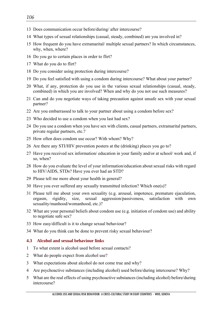- Does communication occur before/during/ after intercourse?
- What types of sexual relationships (casual, steady, combined) are you involved in?
- How frequent do you have extramarital/ multiple sexual partners? In which circumstances, why, when, where?
- Do you go to certain places in order to flirt?
- What do you do to flirt?
- Do you consider using protection during intercourse?
- Do you feel satisfied with using a condom during intercourse? What about your partner?
- What, if any, protection do you use in the various sexual relationships (casual, steady, combined) in which you are involved? When and why do you not use such measures?
- Can and do you negotiate ways of taking precaution against unsafe sex with your sexual partner?
- Are you embarrassed to talk to your partner about using a condom before sex?
- Who decided to use a condom when you last had sex?
- Do you use a condom when you have sex with clients, casual partners, extramarital partners, private regular partners, etc.?
- How often does condom use occur? With whom? Why?
- Are there any STI/HIV prevention posters at the (drinking) places you go to?
- Have you received sex information/ education in your family and/or at school/ work and, if so, when?
- How do you evaluate the level of your information/education about sexual risks with regard to HIV/AIDS, STDs? Have you ever had an STD?
- Please tell me more about your health in general?
- Have you ever suffered any sexually transmitted infection? Which one(s)?
- Please tell me about your own sexuality (e.g. arousal, impotence, premature ejaculation, orgasm, rigidity, size, sexual aggression/passiveness, satisfaction with own sexuality/manhood/womanhood, etc.)?
- What are your personal beliefs about condom use (e.g. initiation of condom use) and ability to negotiate safe sex?
- How easy/difficult is it to change sexual behaviour?
- What do you think can be done to prevent risky sexual behaviour?

## **4.3 Alcohol and sexual behaviour links**

- To what extent is alcohol used before sexual contacts?
- What do people expect from alcohol use?
- What expectations about alcohol do not come true and why?
- Are psychoactive substances (including alcohol) used before/during intercourse? Why?
- What are the real effects of using psychoactive substances (including alcohol) before/during intercourse?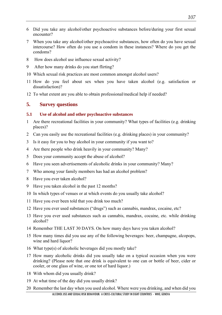- Did you take any alcohol/other psychoactive substances before/during your first sexual encounter?
- When you take any alcohol/other psychoactive substances, how often do you have sexual intercourse? How often do you use a condom in these instances? Where do you get the condoms?
- How does alcohol use influence sexual activity?
- After how many drinks do you start flirting?
- Which sexual risk practices are most common amongst alcohol users?
- How do you feel about sex when you have taken alcohol (e.g. satisfaction or dissatisfaction)?
- To what extent are you able to obtain professional/medical help if needed?

#### **5. Survey questions**

#### **5.1 Use of alcohol and other psychoactive substances**

- Are there recreational facilities in your community? What types of facilities (e.g. drinking places)?
- Can you easily use the recreational facilities (e.g. drinking places) in your community?
- Is it easy for you to buy alcohol in your community if you want to?
- Are there people who drink heavily in your community? Many?
- Does your community accept the abuse of alcohol?
- Have you seen advertisements of alcoholic drinks in your community? Many?
- Who among your family members has had an alcohol problem?
- Have you ever taken alcohol?
- Have you taken alcohol in the past 12 months?
- In which types of venues or at which events do you usually take alcohol?
- Have you ever been told that you drink too much?
- Have you ever used substances ("drugs") such as cannabis, mandrax, cocaine, etc?
- Have you ever used substances such as cannabis, mandrax, cocaine, etc. while drinking alcohol?
- Remember THE LAST 30 DAYS. On how many days have you taken alcohol?
- How many times did you use any of the following beverages: beer, champagne, alcopops, wine and hard liquor?
- What type(s) of alcoholic beverages did you mostly take?
- How many alcoholic drinks did you usually take on a typical occasion when you were drinking? (Please note that one drink is equivalent to one can or bottle of beer, cider or cooler, or one glass of wine, or one tot of hard liquor.)
- With whom did you usually drink?
- At what time of the day did you usually drink?
- ALCOHOL USE AND SEXUALRISK BEHAVIOUR: A CROSS-CULTURALSTUDYIN EIGHTCOUNTRIES WHO, GENEVA Remember the last day when you used alcohol. Where were you drinking, and when did you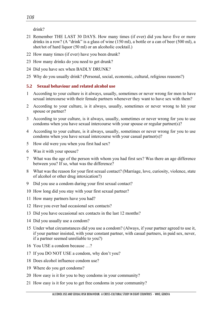drink?

- Remember THE LAST 30 DAYS. How many times (if ever) did you have five or more drinks in a row? (A "drink" is a glass of wine (150 ml), a bottle or a can of beer (500 ml), a shot/tot of hard liquor (50 ml) or an alcoholic cocktail.)
- How many times (if ever) have you been drunk?
- How many drinks do you need to get drunk?
- Did you have sex when BADLY DRUNK?
- Why do you usually drink? (Personal, social, economic, cultural, religious reasons?)

#### **5.2 Sexual behaviour and related alcohol use**

- According to your culture is it always, usually, sometimes or never wrong for men to have sexual intercourse with their female partners whenever they want to have sex with them?
- According to your culture, is it always, usually, sometimes or never wrong to hit your spouse or partner?
- According to your culture, is it always, usually, sometimes or never wrong for you to use condoms when you have sexual intercourse with your spouse or regular partner(s)?
- According to your culture, is it always, usually, sometimes or never wrong for you to use condoms when you have sexual intercourse with your casual partner(s)?
- How old were you when you first had sex?
- Was it with your spouse?
- What was the age of the person with whom you had first sex? Was there an age difference between you? If so, what was the difference?
- What was the reason for your first sexual contact? (Marriage, love, curiosity, violence, state of alcohol or other drug intoxication?)
- Did you use a condom during your first sexual contact?
- How long did you stay with your first sexual partner?
- How many partners have you had?
- Have you ever had occasional sex contacts?
- Did you have occasional sex contacts in the last 12 months?
- Did you usually use a condom?
- Under what circumstances did you use a condom? (Always, if your partner agreed to use it, if your partner insisted, with your constant partner, with casual partners, in paid sex, never, if a partner seemed unreliable to you?)
- You USE a condom because …?
- If you DO NOT USE a condom, why don't you?
- Does alcohol influence condom use?
- Where do you get condoms?
- How easy is it for you to buy condoms in your community?
- How easy is it for you to get free condoms in your community?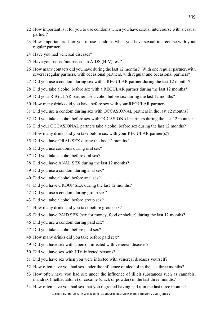- How important is it for you to use condoms when you have sexual intercourse with a casual partner?
- How important is it for you to use condoms when you have sexual intercourse with your regular partner?
- Have you had venereal diseases?
- Have you passed/not passed an AIDS (HIV) test?
- How many contacts did you have during the last 12 months? (With one regular partner, with several regular partners, with occasional partners, with regular and occasional partners?)
- Did you use a condom during sex with a REGULAR partner during the last 12 months?
- Did you take alcohol before sex with a REGULAR partner during the last 12 months?
- Did your REGULAR partner use alcohol before sex during the last 12 months?
- How many drinks did you have before sex with your REGULAR partner?
- Did you use a condom during sex with OCCASIONAL partners in the last 12 months?
- Did you take alcohol before sex with OCCASIONAL partners during the last 12 months?
- Did your OCCASIONAL partners take alcohol before sex during the last 12 months?
- How many drinks did you take before sex with your REGULAR partner(s)?
- Did you have ORAL SEX during the last 12 months?
- Did you use condoms during oral sex?
- Did you take alcohol before oral sex?
- Did you have ANAL SEX during the last 12 months?
- Did you use a condom during anal sex?
- Did you take alcohol before anal sex?
- Did you have GROUP SEX during the last 12 months?
- Did you use a condom during group sex?
- Did you take alcohol before group sex?
- How many drinks did you take before group sex?
- Did you have PAID SEX (sex for money, food or shelter) during the last 12 months?
- Did you use a condom during paid sex?
- Did you take alcohol before paid sex?
- How many drinks did you take before paid sex?
- Did you have sex with a person infected with venereal diseases?
- Did you have sex with HIV-infected persons?
- Did you have sex when you were infected with venereal diseases yourself?
- How often have you had sex under the influence of alcohol in the last three months?
- How often have you had sex under the influence of illicit substances such as cannabis, mandrax (methaqualone) or cocaine (crack or powder) in the last three months?
- How often have you had sex that you regretted having had it in the last three months?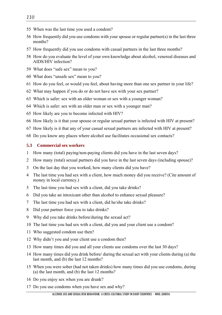- When was the last time you used a condom?
- How frequently did you use condoms with your spouse or regular partner(s) in the last three months?
- How frequently did you use condoms with casual partners in the last three months?
- How do you evaluate the level of your own knowledge about alcohol, venereal diseases and AIDS/HIV infection?
- What does "safe sex" mean to you?
- What does "unsafe sex" mean to you?
- How do you feel, or would you feel, about having more than one sex partner in your life?
- What may happen if you do or do not have sex with your sex partner?
- Which is safer: sex with an older woman or sex with a younger woman?
- Which is safer: sex with an older man or sex with a younger man?
- How likely are you to become infected with HIV?
- How likely is it that your spouse or regular sexual partner is infected with HIV at present?
- How likely is it that any of your casual sexual partners are infected with HIV at present?
- Do you know any places where alcohol use facilitates occasional sex contacts?

#### **5.3 Commercial sex workers**

- How many (total) paying/non-paying clients did you have in the last seven days?
- How many (total) sexual partners did you have in the last seven days (including spouse)?
- On the last day that you worked, how many clients did you have?
- The last time you had sex with a client, how much money did you receive? (Cite amount of money in local currency.)
- The last time you had sex with a client, did you take drinks?
- Did you take an intoxicant other than alcohol to enhance sexual pleasure?
- The last time you had sex with a client, did he/she take drinks?
- Did your partner force you to take drinks?
- Why did you take drinks before/during the sexual act?
- The last time you had sex with a client, did you and your client use a condom?
- Who suggested condom use then?
- Why didn't you and your client use a condom then?
- How many times did you and all your clients use condoms over the last 30 days?
- How many times did you drink before/ during the sexual act with your clients during (a) the last month, and (b) the last 12 months?
- When you were sober (had not taken drinks) how many times did you use condoms, during (a) the last month, and (b) the last 12 months?
- Do you enjoy sex when you are drunk?
- Do you use condoms when you have sex and why?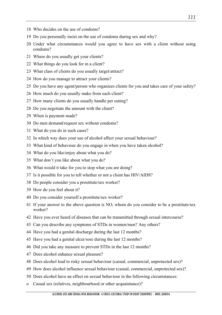- Who decides on the use of condoms?
- Do you personally insist on the use of condoms during sex and why?
- Under what circumstances would you agree to have sex with a client without using condoms?
- Where do you usually get your clients?
- What things do you look for in a client?
- What class of clients do you usually target/attract?
- How do you manage to attract your clients?
- Do you have any agent/person who organizes clients for you and takes care of your safety?
- How much do you usually make from each client?
- How many clients do you usually handle per outing?
- Do you negotiate the amount with the client?
- When is payment made?
- Do men demand/request sex without condoms?
- What do you do in such cases?
- In which way does your use of alcohol affect your sexual behaviour?
- What kind of behaviour do you engage in when you have taken alcohol?
- What do you like/enjoy about what you do?
- What don't you like about what you do?
- What would it take for you to stop what you are doing?
- Is it possible for you to tell whether or not a client has HIV/AIDS?
- Do people consider you a prostitute/sex worker?
- How do you feel about it?
- Do you consider yourself a prostitute/sex worker?
- If your answer to the above question is NO, whom do you consider to be a prostitute/sex worker?
- Have you ever heard of diseases that can be transmitted through sexual intercourse?
- Can you describe any symptoms of STDs in women/men? Any others?
- Have you had a genital discharge during the last 12 months?
- Have you had a genital ulcer/sore during the last 12 months?
- Did you take any measure to prevent STDs in the last 12 months?
- Does alcohol enhance sexual pleasure?
- Does alcohol lead to risky sexual behaviour (casual, commercial, unprotected sex)?
- How does alcohol influence sexual behaviour (casual, commercial, unprotected sex)?
- Does alcohol have an effect on sexual behaviour in the following circumstances:
- o Casual sex (relatives, neighbourhood or other acquaintance)?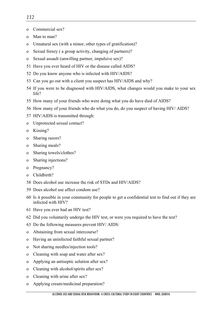- o Commercial sex?
- o Man to man?
- o Unnatural sex (with a minor, other types of gratification)?
- o Sexual frenzy ( a group activity, changing of partners)?
- o Sexual assault (unwilling partner, impulsive sex)?
- 51 Have you ever heard of HIV or the disease called AIDS?
- 52 Do you know anyone who is infected with HIV/AIDS?
- 53 Can you go out with a client you suspect has HIV/AIDS and why?
- 54 If you were to be diagnosed with HIV/AIDS, what changes would you make to your sex life?
- 55 How many of your friends who were doing what you do have died of AIDS?
- 56 How many of your friends who do what you do, do you suspect of having HIV/ AIDS?
- 57 HIV/AIDS is transmitted through:
- o Unprotected sexual contact?
- o Kissing?
- o Sharing razors?
- o Sharing meals?
- o Sharing towels/clothes?
- o Sharing injections?
- o Pregnancy?
- o Childbirth?
- 58 Does alcohol use increase the risk of STDs and HIV/AIDS?
- 59 Does alcohol use affect condom use?
- 60 Is it possible in your community for people to get a confidential test to find out if they are infected with HIV?
- 61 Have you ever had an HIV test?
- 62 Did you voluntarily undergo the HIV test, or were you required to have the test?
- 63 Do the following measures prevent HIV/ AIDS:
- o Abstaining from sexual intercourse?
- o Having an uninfected faithful sexual partner?
- o Not sharing needles/injection tools?
- o Cleaning with soap and water after sex?
- o Applying an antiseptic solution after sex?
- o Cleaning with alcohol/spirits after sex?
- o Cleaning with urine after sex?
- o Applying cream/medicinal preparation?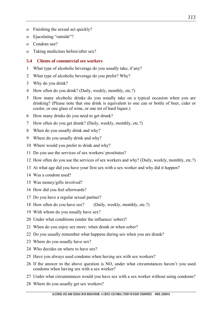- o Finishing the sexual act quickly?
- o Ejaculating "outside"?
- o Condom use?
- o Taking medicines before/after sex?

### **5.4 Clients of commercial sex workers**

- What type of alcoholic beverage do you usually take, if any?
- What type of alcoholic beverage do you prefer? Why?
- Why do you drink?
- How often do you drink? (Daily, weekly, monthly, etc.?)
- How many alcoholic drinks do you usually take on a typical occasion when you are drinking? (Please note that one drink is equivalent to one can or bottle of beer, cider or cooler, or one glass of wine, or one tot of hard liquor.)
- How many drinks do you need to get drunk?
- How often do you get drunk? (Daily, weekly, monthly, etc.?)
- When do you usually drink and why?
- Where do you usually drink and why?
- Where would you prefer to drink and why?
- Do you use the services of sex workers/ prostitutes?
- How often do you use the services of sex workers and why? (Daily, weekly, monthly, etc.?)
- At what age did you have your first sex with a sex worker and why did it happen?
- Was a condom used?
- Was money/gifts involved?
- How did you feel afterwards?
- Do you have a regular sexual partner?
- How often do you have sex? (Daily, weekly, monthly, etc.?)
- With whom do you usually have sex?
- Under what conditions (under the influence/ sober)?
- When do you enjoy sex more: when drunk or when sober?
- Do you usually remember what happens during sex when you are drunk?
- Where do you usually have sex?
- Who decides on where to have sex?
- Have you always used condoms when having sex with sex workers?
- If the answer to the above question is NO, under what circumstances haven't you used condoms when having sex with a sex worker?
- Under what circumstances would you have sex with a sex worker without using condoms?
- Where do you usually get sex workers?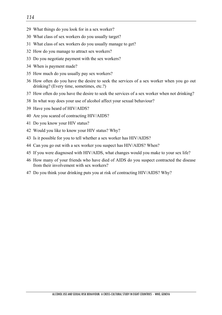- What things do you look for in a sex worker?
- What class of sex workers do you usually target?
- What class of sex workers do you usually manage to get?
- How do you manage to attract sex workers?
- Do you negotiate payment with the sex workers?
- When is payment made?
- How much do you usually pay sex workers?
- How often do you have the desire to seek the services of a sex worker when you go out drinking? (Every time, sometimes, etc.?)
- How often do you have the desire to seek the services of a sex worker when not drinking?
- In what way does your use of alcohol affect your sexual behaviour?
- Have you heard of HIV/AIDS?
- Are you scared of contracting HIV/AIDS?
- Do you know your HIV status?
- Would you like to know your HIV status? Why?
- Is it possible for you to tell whether a sex worker has HIV/AIDS?
- Can you go out with a sex worker you suspect has HIV/AIDS? When?
- If you were diagnosed with HIV/AIDS, what changes would you make to your sex life?
- How many of your friends who have died of AIDS do you suspect contracted the disease from their involvement with sex workers?
- Do you think your drinking puts you at risk of contracting HIV/AIDS? Why?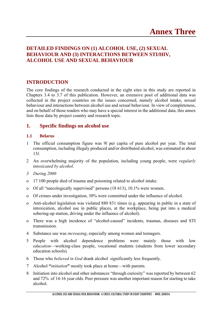## **DETAILED FINDINGS ON (1) ALCOHOL USE, (2) SEXUAL BEHAVIOUR AND (3) INTERACTIONS BETWEEN STI/HIV, ALCOHOL USE AND SEXUAL BEHAVIOUR**

## **INTRODUCTION**

The core findings of the research conducted in the eight sites in this study are reported in Chapters 3.4 to 3.7 of this publication. However, an extensive pool of additional data was collected in the project countries on the issues concerned, namely alcohol intake, sexual behaviour and interactions between alcohol use and sexual behaviour. In view of completeness, and on behalf of those readers who may have a special interest in the additional data, this annex lists these data by project country and research topic.

## **1. Specific findings on alcohol use**

#### **1.1 Belarus**

- 1 The official consumption figure was 9*l* per capita of pure alcohol per year. The total consumption, including illegaly produced and/or distributed alcohol, was estimated at about 13*l*.
- 2 An overwhelming majority of the population, including young people, were *regularly intoxicated by alcohol*.
- *3 During 2000*
- o 17 100 people died of trauma and poisoning related to alcohol intake.
- o Of all "narcologically supervised" persons (18 613), 10.1% were women.
- o Of crimes under investigation, 30% were committed under the influence of alcohol.
- o Anti-alcohol legislation was violated 880 831 times (e.g. appearing in public in a state of intoxication, alcohol use in public places, at the workplace, being put into a medical sobering-up station, driving under the influence of alcohol).
- o There was a high incidence of "alcohol-caused" incidents, traumas, diseases and STI transmission.
- 4 Substance use was *increasing*, especially among women and teenagers.
- 5 People with alcohol dependence problems were mainly those with low *education*—working-class people, vocational students (students from lower secondary education schools).
- 6 Those who *believed in God* drank alcohol significantly less frequently.
- 7 Alcohol **"***initiation***"** mostly took place at home—with parents.
- 8 Initiation into alcohol and other substances "through curiosity" was reported by between 62 and 72% of 14-16 year olds. Peer pressure was another important reason for starting to take alcohol.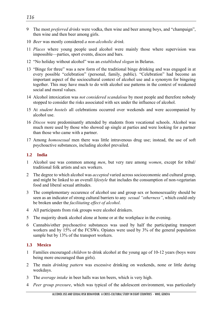- 9 The most *preferred drinks* were vodka, then wine and beer among boys, and "champaign", then wine and then beer among girls.
- 10 *Beer* was mostly considered *a non-alcoholic drink.*
- 11 *Places* where young people used alcohol were mainly those where supervision was impossible—parties, sport events, discos and bars.
- 12 "No holiday without alcohol" was an *established slogan* in Belarus.
- 13 "Binge for three" was a new form of the traditional binge drinking and was engaged in at every possible "celebration" (personal, family, public). "Celebration" had become an important aspect of the sociocultural context of alcohol use and a synonym for bingeing together. This may have much to do with alcohol use patterns in the context of weakened social and moral values.
- 14 Alcohol intoxication was *not considered scandalous* by most people and therefore nobody stopped to consider the risks associated with sex under the influence of alcohol.
- 15 At *student hostels* all celebrations occurred over weekends and were accompanied by alcohol use.
- 16 *Discos* were predominantly attended by students from vocational schools. Alcohol was much more used by those who showed up single at parties and were looking for a partner than those who came with a partner.
- 17 Among *homosexual* men there was little intravenous drug use; instead, the use of soft psychoactive substances, including alcohol prevailed.

## **1.2 India**

- 1 Alcohol use was common among *men*, but very rare among *women*, except for tribal/ traditional folk artists and sex workers.
- 2 The degree to which alcohol was *accepted* varied across socioeconomic and cultural group, and might be linked to an overall *lifestyle* that includes the consumption of non-vegetarian food and liberal sexual attitudes.
- 3 The complementary occurence of alcohol use and group sex or homosexuality should be seen as an indicator of strong cultural barriers to any *sexual "otherness"*, which could only be broken under the *facilitating effect of alcohol*.
- 4 All participants from risk groups were alcohol drinkers.
- 5 The majority drank alcohol alone at home or at the workplace in the evening.
- 6 Cannabis/other psychoactive substances was used by half the participating transport workers and by 15% of the FCSWs. Opiates were used by 3% of the general population sample but by 13% of the transport workers.

## **1.3 Mexico**

- 1 Families encouraged *children* to drink alcohol at the young age of 10-12 years (boys were being more encouraged than girls).
- 2 The main *drinking pattern* was excessive drinking on weekends, none or little during weekdays.
- 3 The *average intake* in beer halls was ten beers, which is very high.
- 4 *Peer group pressure*, which was typical of the adolescent environment, was particularly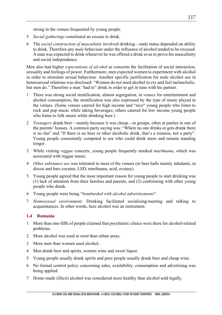strong in the venues frequented by young people.

- 5 *Social gatherings* constituted an excuse to drink.
- 6 The *social construction of masculinity* involved drinking—male status depended on ability to drink. Therefore any *male* behaviour under the influence of alcohol tended to be excused. A man was expected to drink whenever he was offered a drink so as to prove his masculinity and social independence.

Men also had higher *expectations of alcohol* as concerns the facilitation of social interaction, sexuality and feelings of power. Furthermore, men expected women to experiment with alcohol in order to stimulate sexual behaviour. Another specific justification for male alcohol use in heterosexual relations was disclosed: "Women do not need alcohol to cry and feel melancholic, but men do." Therefore a man "had to" drink in order to get in tune with his partner.

- 1 There was strong social stratification, almost segregation, in *venues* for entertainment and alcohol consumption; the stratification was also expressed by the type of music played in the venues. (Some venues catered for high income and "nice" young people who listen to rock and pop music while taking beverages; others catered for low income young people who listen to folk music while drinking beer.)
- 2 *Teenagers* drank beer—mainly because it was cheap—in groups, often at parties in one of the parents' houses. A common party saying was: "Where no one drinks or gets drunk there is no fun" and "If there is no beer or other alcoholic drink, that's a reunion, not a party". Young people consistently competed to see who could drink more and remain standing longer.
- 3 While visiting *reggae* concerts, young people frequently smoked *marihuana*, which was associated with reggae music.
- 4 *Other substance use* was tolerated in most of the venues (in beer halls mainly inhalants, in discos and bars cocaine, LSD, marihuana, acid, ecstasy).
- 5 Young people agreed that the most important reason for young people to start drinking was (1) lack of attention from their families and parents, and (2) conforming with other young people who drank.
- 6 Young people were being "*bombarded with alcohol advertisements*".
- 7 *Homosexual environment*: Drinking facilitated socialising/meeting and talking to acquaintances. In other words, here alcohol was an instrument.

## **1.4 Romania**

- 1 More than one-fifth of people claimed that psychiatric clinics were there for alcohol-related problems.
- 2 More alcohol was used in rural than urban areas.
- 3 More men than women used alcohol.
- 4 Men drank beer and spirits, women wine and sweet liquor.
- 5 Young people usually drank spirits and poor people usually drank beer and cheap wine.
- 6 No formal control policy concerning sales, availability, consumption and advertising was being applied.
- 7 Home-made (illicit) alcohol was considered more healthy than alcohol sold legally.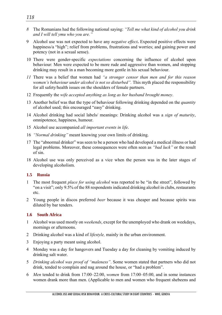- *8* The Romanians had the following national saying: *"Tell me what kind of alcohol you drink and I will tell ymu who you are."*
- 9 Alcohol use was not expected to have any *negative effect***.** Expected positive effects were happiness/a "high"; relief from problems, frustrations and worries; and gaining power and potency (not in a sexual sense).
- 10 There were gender-specific *expectations* concerning the influence of alcohol upon behaviour: Men were expected to be more rude and aggressive than women, and stopping drinking may result in a man becoming more gentle in his sexual behaviour.
- *11* There was a belief that women had *"a stronger censor than men and for this reason women's behaviour under alcohol is not so disturbed".* This myth placed the responsibility for all safety/health issues on the shoulders of female partners.
- 12 Frequently the *wife accepted anything as long as her husband brought money*.
- 13 Another belief was that the type of behaviour following drinking depended on the *quantity* of alcohol used; this encouraged "easy" drinking.
- 14 Alcohol drinking had social labels/ meanings: Drinking alcohol was a *sign of maturity*, omnipotence, happiness, humour.
- 15 Alcohol use accompanied *all important events in life*.
- 16 *"Normal drinking"* meant knowing your own limits of drinking.
- 17 The "abnormal drinker" was seen to be a person who had developed a medical illness or had legal problems. Moreover, these consequences were often seen as *"bad luck"* or the result of sin.
- 18 Alcohol use was only perceived as a vice when the person was in the later stages of developing alcoholism.

#### **1.5 Russia**

- 1 The most frequent *place for using alcohol* was reported to be "in the street", followed by "on a visit"; only 9.5% of the 88 respondents indicated drinking alcohol in clubs, restaurants etc.
- 2 Young people in discos preferred *beer* because it was cheaper and because spirits was diluted by bar tenders.

#### **1.6 South Africa**

- 1 Alcohol was used mostly on *weekends*, except for the unemployed who drank on weekdays, mornings or afternoons.
- 2 Drinking alcohol was a kind of *lifestyle,* mainly in the urban environment.
- 3 Enjoying a party meant using alcohol.
- 4 Monday was a day for hangovers and Tuesday a day for cleaning by vomiting induced by drinking salt water.
- 5 *Drinking alcohol was proof of "maleness"*. Some women stated that partners who did not drink, tended to complain and nag around the house, or "had a problem".
- 6 *Men* tended to drink from 17:00–22:00, *women* from 17:00–05:00, and in some instances women drank more than men. (Applicable to men and women who frequent shebeens and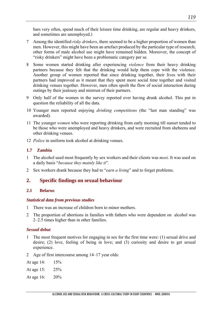bars very often, spend much of their leisure time drinking, are regular and heavy drinkers, and sometimes are unemployed.)

- 7 Among the identified *risky drinkers*, there seemed to be a higher proportion of women than men. However, this might have been an artefact produced by the particular type of research; other forms of male alcohol use might have remained hidden. Moreover, the concept of "risky drinkers" might have been a problematic category per se.
- 8 Some women started drinking after experiencing *violence* from their heavy drinking partners because they felt that the drinking would help them cope with the violence. Another group of women reported that since drinking together, their lives with their partners had improved as it meant that they spent more social time together and visited drinking venues together. However, men often spoilt the flow of social interaction during outings by their jealousy and mistrust of their partners.
- 9 Only half of the women in the survey reported ever having drunk alcohol. This put in question the reliability of all the data.
- 10 Younger men reported enjoying *drinking competitions* (the "last man standing" was awarded).
- 11 The younger *women* who were reporting drinking from early morning till sunset tended to be those who were unemployed and heavy drinkers, and were recruited from shebeens and other drinking venues.
- 12 *Police* in uniform took alcohol at drinking venues.

#### **1.7 Zambia**

- 1 The alcohol used most frequently by sex workers and their clients was *mosi*. It was used on a daily basis "*because they mainly like it*"*.*
- 2 Sex workers drank because they had to "*earn a living*" and to forget problems.

## **2. Specific findings on sexual behaviour**

#### **2.1 Belarus**

#### *Statistical data from previous studies*

- 1 There was an increase of children born to minor mothers.
- 2 The proportion of abortions in families with fathers who were dependent on alcohol was 2–2.5 times higher than in other families.

#### *Sexual debut*

- 1 The most frequent motives for engaging in sex for the first time were: (1) sexual drive and desire; (2) love, feeling of being in love; and (3) curiosity and desire to get sexual experience.
- 2 Age of first intercourse among 14–17 year olds:
- At age 14: 15%
- At age 15: 25%
- At age 16: 20%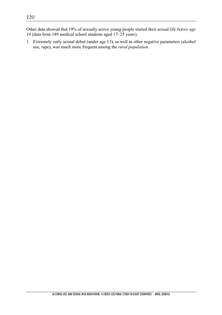Other data showed that 19% of sexually active young people started their sexual life *before age 16* (data from 189 medical school students aged 17–25 years).

1 Extremely early sexual debut (under age 13), as well as other negative parameters (alcohol use, rape), was much more frequent among the *rural population*.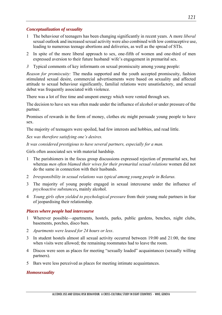### *Conceptualization of sexuality*

- 1 The behaviour of teenagers has been changing significantly in recent years. A more *liberal*  sexual outlook and increased sexual activity were also combined with low contraceptive use, leading to numerous teenage abortions and deliveries, as well as the spread of STIs.
- 2 In spite of the more liberal approach to sex, one-fifth of women and one-third of men expressed aversion to their future husband/ wife's engagement in premarital sex.
- *3* Typical comments of key informants on sexual promiscuity among young people:

*Reason for promiscuity:* The media supported and the youth accepted promiscuity, fashion stimulated sexual desire, commercial advertisements were based on sexuality and affected attitude to sexual behaviour significantly, familial relations were unsatisfactory, and sexual debut was frequently associated with violence.

There was a lot of free time and unspent energy which were vented through sex.

The decision to have sex was often made under the influence of alcohol or under pressure of the partner.

Promises of rewards in the form of money, clothes etc might persuade young people to have sex.

The majority of teenagers were spoiled, had few interests and hobbies, and read little.

*Sex was therefore satisfying one's desires.* 

*It was considered prestigious to have several partners, especially for a man.* 

Girls often associated sex with material hardship.

- 1 The parishioners in the focus group discussions expressed rejection of premarital sex, but whereas *men often blamed their wives for their premarital sexual relations* women did not do the same in connection with their husbands.
- 2 *Irresponsibility in sexual relations was typical among young people in Belarus.*
- 3 The majority of young people engaged in sexual intercourse under the influence of *psychoactive substances***,** mainly alcohol.
- 4 *Young girls often yielded to psychological pressure* from their young male partners in fear of jeopardising their relationship.

## *Places where people had intercourse*

- 1 Wherever possible—apartments, hostels, parks, public gardens, benches, night clubs, basements, porches, disco bars.
- 2 *Apartments were leased for 24 hours or less*.
- 3 In student hostels almost all sexual activity occurred between 19:00 and 21:00, the time when visits were allowed; the remaining roommates had to leave the room.
- 4 Discos were seen as places for meeting "sexually loaded" acquaintances (sexually willing partners).
- 5 Bars were less perceived as places for meeting intimate acquaintances.

## *Homosexuality*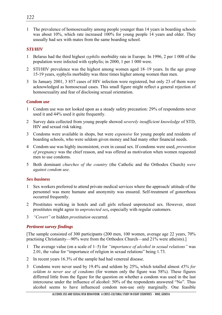1 The prevalence of homosexuality among people younger than 14 years in boarding schools was about 10%, which rate increased 100% for young people 14 years and older. They ususally had sex with mates from the same boarding school.

## *STI/HIV*

- 1 Belarus had the third highest *syphilis* morbidity rate in Europe. In 1996, 2 per 1 000 of the population were infected with syphylis; in 2000, 1 per 1 000 were.
- 2 STI/HIV prevalence was the highest among women aged 18–19 years. In the age group 15-19 years, syphylis morbidity was three times higher among women than men.
- 3 In January 2001, 3 857 cases of HIV infection were registered, but only 23 of them were acknowledged as homosexual cases. This small figure might reflect a general rejection of homosexuality and fear of disclosing sexual orientation.

## *Condom use*

- 1 Condom use was not looked upon as a steady safety precaution: 29% of respondents never used it and 44% used it quite frequently.
- 2 Survey data collected from young people showed *severely insufficient knowledge* of STD, HIV and sexual risk taking.
- 3 Condoms were available in shops, but were *expensive* for young people and residents of boarding schools, who were seldom given money and had many other financial needs.
- 4 Condom use was highly inconsistent, even in casual sex. If condoms were used, *prevention of pregnancy* was the chief reason, and was offered as motivation when women requested men to use condoms.
- 5 Both dominant *churches of the country* (the Catholic and the Orthodox Church) *were against condom use*.

## *Sex business*

- 1 Sex workers preferred to attend private medical services where the approach/ attitude of the personnel was more humane and anonymity was ensured. Self-treatment of gonorrhoea occurred frequently.
- 2 Prostitutes working in hotels and call girls refused unprotected sex. However, street prostitutes might agree to *unprotected sex***,** especially with regular customers.
- 3 *"Covert"* or hidden *prostitution* occurred.

## *Pertinent survey findings*

[The sample consisted of 300 participants (200 men, 100 women, average age 22 years, 70% practising Christianity—90% were from the Orthodox Church—and 21% were atheists).]

- 1 The average value (on a scale of 1–5) for *"importance of alcohol in sexual relations"* was 2.01, the value for "importance of religion in sexual relations" being 1.73.
- 2 In recent years 16.3% of the sample had had venereal disease.
- 3 Condoms were never used by 19.4% and seldom by 25%, which totalled almost *45% for seldom to never use of condoms* (for women only the figure was 58%). These figures differred little from the figure for the question on whether a condom was used in the last intercourse under the influence of alcohol: 50% of the respondents answered "No". Thus alcohol seems to have influenced condom non-use only marginally. One feasible

*122*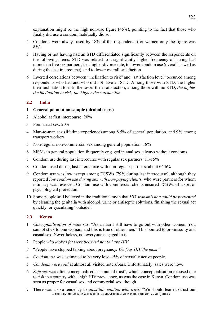explanation might be the high non-use figure (45%), pointing to the fact that those who finally did use a condom, habitually did so.

- 4 Condoms were always used by 18% of the respondents (for women only the figure was 8%).
- 5 Having or not having had an STD differentiated significantly between the respondents on the following items: STD was related to a significantly higher frequency of having had more than five sex partners, to a higher divorce rate, to lower condom use (overall as well as during the last intercourse), and to lower overall satisfaction.
- *6* Inverted correlations between "inclination to risk" and "satisfaction level" occurred among respondents who had and who did not have an STD. Among those with STD, the higher their inclination to risk, the lower their satisfaction; among those with no STD, *the higher the inclination to risk, the higher the satisfaction.*

### **2.2 India**

#### **1 General population sample (alcohol users)**

- 2 Alcohol at first intercourse: 20%
- 3 Premarital sex: 20%
- 4 Man-to-man sex (lifetime experience) among 8.5% of general population, and 9% among transport workers
- 5 Non-regular non-commercial sex among general population: 18%
- 6 MSMs in general population frequently engaged in anal sex, always without condoms
- 7 Condom use during last intercourse with regular sex partners: 11-15%
- 8 Condom used during last intercourse with non-regular partners: about 66.6%
- 9 Condom use was low except among FCSWs (79% during last intercourse), although they reported *low condom use during sex with non-paying clients*, who were partners for whom intimacy was reserved. Condom use with commercial clients ensured FCSWs of a sort of psychological protection.
- 10 Some people still believed in the traditional myth that *HIV transmission could be prevented* by cleaning the genitalia with alcohol, urine or antiseptic solutions, finishing the sexual act quickly, or ejaculating "outside".

#### **2.3 Kenya**

- 1 *Conceptualisation of male sex*: "As a man I still have to go out with other women. You cannot stick to one woman, and this is true of other men." This pointed to promiscuity and casual sex. Nevertheless, not everyone engaged in it.
- 2 People *who looked fat were believed not to have HIV*.
- *3* "People have stopped talking about pregnancy*. We fear HIV the most*."
- 4 *Condom use* was estimated to be very low—5% of sexually active people.
- 5 *Condoms were sold* at almost all visited hotels/bars. Unfortunately, sales were low.
- 6 *Safe sex* was often conceptualised as "mutual trust", which conceptualisation exposed one to risk in a country with a high HIV prevalence, as was the case in Kenya. Condom use was seen as proper for casual sex and commercial sex, though.
- ALCOHOL USE AND SEXUALRISK BEHAVIOUR: A CROSS-CULTURALSTUDYIN EIGHTCOUNTRIES WHO, GENEVA 7 There was also a tendency to *substitute caution with trust*: "We should learn to trust our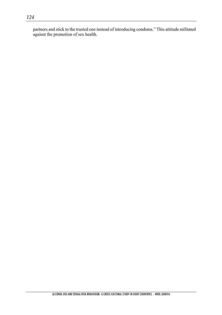partners and stick to the trusted one instead of introducing condoms." This attitude militated against the promotion of sex health.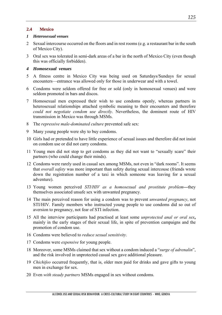#### **2.4 Mexico**

#### *1 Heterosexual venues*

- 2 Sexual intercourse occurred on the floors and in rest rooms (e.g. a restaurant bar in the south of Mexico City).
- 3 Oral sex was tolerated in semi-dark areas of a bar in the north of Mexico City (even though this was officially forbidden).

### *4 Homosexual venues*

- 5 A fitness centre in Mexico City was being used on Saturdays/Sundays for sexual encounters—entrance was allowed only for those in underwear and with a towel.
- 6 Condoms were seldom offered for free or sold (only in homosexual venues) and were seldom promoted in bars and discos.
- 7 Homosexual men expressed their wish to use condoms openly, whereas partners in heterosexual relationships attached symbolic meaning to their encounters and therefore *could not negotiate condom use directly*. Nevertheless, the dominent route of HIV transmission in Mexico was through MSMs.
- 8 The *repressive male-dominated culture* prevented safe sex:
- 9 Many young people were shy to buy condoms.
- 10 Girls had or pretended to have little experience of sexual issues and therefore did not insist on condom use or did not carry condoms.
- 11 Young men did not stop to get condoms as they did not want to "sexually scare" their partners (who could change their minds).
- 12 Condoms were rarely used in casual sex among MSMs, not even in "dark rooms". It seems that *overall safety* was more important than safety during sexual intercouse (friends wrote down the registration number of a taxi in which someone was leaving for a sexual adventure).
- 13 Young women perceived *STI/HIV as a homosexual and prostitute problem***—**they themselves associated unsafe sex with unwanted pregnancy.
- 14 The main perceived reason for using a condom was to prevent *unwanted pregnancy*, not STI/HIV. Family members who instructed young people to use condoms did so out of aversion to pregnancy, not fear of STI infection.
- 15 All the interview participants had practised at least some *unprotected anal or oral sex***,** mainly in the early stages of their sexual life, in spite of prevention campaigns and the promotion of condom use.
- 16 Condoms were believed to *reduce sexual sensitivity*.
- 17 Condoms were *expensive* for young people.
- 18 Moreover, some MSMs claimed that sex without a condom induced a "*surge of adrenalin*", and the risk involved in unprotected casual sex gave additional pleasure.
- 19 *Chichifeo* occurred frequently, that is, older men paid for drinks and gave gifts to young men in exchange for sex.
- 20 Even *with steady partners* MSMs engaged in sex without condoms.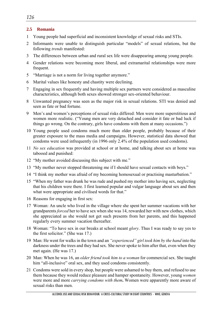## **2.5 Romania**

- 1 Young people had superficial and inconsistent knowledge of sexual risks and STIs.
- 2 Informants were unable to distinguish particular "models" of sexual relations, but the following *trends* manifested:
- 3 The differences between urban and rural sex life were disappearing among young people.
- 4 Gender relations were becoming more liberal, and extramarital relationships were more frequent.
- 5 "Marriage is not a norm for living together anymore."
- 6 Marital values like honesty and chastity were declining.
- 7 Engaging in sex frequently and having multiple sex partners were considered as masculine characteristics, although both sexes showed stronger sex-oriented behaviour.
- 8 Unwanted pregnancy was seen as the major risk in sexual relations. STI was denied and seen as fate or bad fortune.
- 9 Men's and women's perceptions of sexual risks differed: Men were more superstitious and women more realistic. ("Young men are very detached and consider it fate or bad luck if things go wrong. On the contrary, girls have condoms with them at many occasions.")
- 10 Young people used condoms much more than older people, probably because of their greater exposure to the mass media and campaigns. However, statistical data showed that condoms were used infrequently (in 1996 only 2.4% of the population used condoms).
- 11 *No sex education* was provided at school or at home, and talking about sex at home was tabooed and punished:
- 12 "My mother avoided discussing this subject with me."
- 13 "My mother never stopped threatening me if I should have sexual contacts with boys."
- 14 "I think my mother was afraid of my becoming homosexual or practising masturbation."
- 15 "When my father was drunk he was rude and pushed my mother into having sex, neglecting that his children were there. I first learned popular and vulgar language about sex and then what were appropriate and civilised words for that."
- 16 Reasons for engaging in first sex:
- 17 Woman: An uncle who lived in the village where she spent her summer vacations with her grandparents *forced* her to have sex when she was 14, rewarded her with new clothes, which she appreciated as she would not get such presents from her parents, and this happened regularly every summer vacation thereafter.
- 18 Woman: "To have sex in our breaks at school meant *glory*. Thus I was ready to say yes to the first solicitor." (She was 17.)
- 19 Man: He went for walks in the town and an *"experienced" girl took him by the hand* into the darkness under the trees and they had sex. She never spoke to him after that, even when they met again. (He was 17.)
- 20 Man: When he was 16, an *older friend took him to a woman* for commercial sex. She taught him "all-inclusive" oral sex, and they used condoms consistently.
- 21 Condoms were sold in every shop, but people were ashamed to buy them, and refused to use them because they would reduce pleasure and hamper spontaneity. However, young *women* were more and more *carrying condoms with them***.** Women were apparently more aware of sexual risks than men.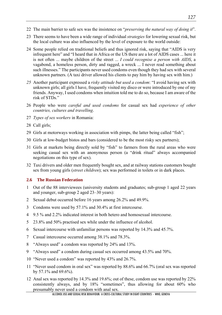- 22 The main barrier to safe sex was the insistence on "*preserving the natural way of doing it*".
- 23 There seems to have been a wide range of individual *strategies* for lowering sexual risk, but the local culture was also influenced by the level of exposure to the world outside:
- 24 Some people relied on traditional beliefs and thus ignored risk, saying that "AIDS is very infrequent here" and "I heard that in Africa or the US there are a lot of AIDS cases ... here it is not often ... maybe children of the street ... *I could recognise a person with AIDS*, a vagabond, a homeless person, dirty and ragged, a wreck ... I never read something about such illnesses." The participants never used condoms even though they had sex with several unknown partners. (A taxi driver allowed his clients to pay him by having sex with him.)
- *25* Another participant expressed a *risky attitude but used a condom*: "I avoid having sex with unknown girls; all girls I have, frequently visited my disco or were introduced by one of my friends. Anyway, I used condoms when intuition told me to do so, because I am aware of the risk of STDs."
- 26 People who were *careful and used condoms* for casual sex had *experience of other countries, cultures and travelling*.
- 27 *Types of sex workers* in Romania:
- 28 Call girls;
- 29 Girls at motorways working in association with pimps, the latter being called "fish";
- 30 Girls at low-budget bistos and bars (considered to be the most risky sex partners);
- 31 Girls at markets being directly sold by "fish" to farmers from the rural areas who were seeking casual sex with an anonymous person (a "drink ritual" always accompanied negotiations on this type of sex).
- 32 Taxi drivers and older men frequently bought sex, and at railway stations customers bought sex from young girls (*street children*); sex was performed in toilets or in dark places.

## **2.6 The Russian Federation**

- 1 Out of the 88 interviewees (university students and graduates; sub-group 1 aged 22 years and younger, sub-group 2 aged 23–30 years):
- 2 Sexual debut occurred before 16 years among 26.2% and 49.9%.
- 3 Condoms were used by 57.1% and 30.4% at first intercourse.
- 4 9.5 % and 2.2% indicated interest in both hetero and homosexual intercourse.
- 5 23.8% and 50% practised sex while under the influence of alcohol.
- 6 Sexual intercourse with unfamiliar persons was reported by 14.3% and 45.7%.
- 7 Casual intercourse occurred among 38.1% and 78.3%.
- 8 "Always used" a condom was reported by 24% and 13%.
- 9 "Always used" a condom during casual sex occurred among 43.5% and 70%.
- 10 "Never used a condom" was reported by 43% and 26.7%.
- 11 "Never used condom in oral sex" was reported by 88.6% and 66.7% (oral sex was reported by 57.1% and 69.6%).
- 12 Anal sex was reported by 14.3% and 19.6%; out of these, condom use was reported by 22% consistently always, and by 18% "sometimes", thus allowing for about 60% who presumably never used a condom with anal sex.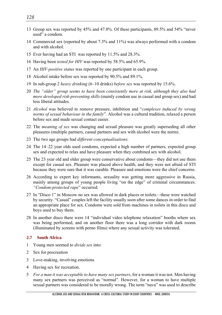- 13 Group sex was reported by 45% and 47.8%. Of these participants, 89.5% and 54% "never used" a condom.
- 14 Commercial sex (reported by about 7.3% and 11%) was always performed with a condom and with alcohol.
- 15 Ever having had an STI was reported by 11.5% and 28.3%.
- 16 Having been *tested for HIV* was reported by 58.5% and 65.9%.
- 17 An *HIV-positive status* was reported by one participant in each group.
- 18 Alcohol intake before sex was reported by 90.5% and 89.1%.
- 19 In sub-group 2 *heavy drinking* (6–10 drinks) *before sex* was reported by 15.6%.
- 20 *The "older" group seems to have been consistently more at risk, although they also had more developed risk-preventing skills* (mainly condom use in casual and group sex) and had less liberal attitudes.
- 21 *Alcohol* was believed to remove pressure, inhibition and "*complexes induced by wrong norms of sexual behaviour in the family*"*.* Alcohol was a cultural tradition, relaxed a person before sex and made sexual contact easier.
- 22 The *meaning of sex* was changing and sexual pleasure was greatly superseding all other pleasures (multiple partners, casual partners and sex with alcohol were the norm).
- 23 The two age groups had *different conceptualisations*:
- 24 The 14–22 year olds used condoms, expected a high number of partners, expected group sex and expected to relax and have pleasure when they combined sex with alcohol.
- 25 The 23 year old and older group were conservative about condoms—they did not use them except for casual sex. Pleasure was placed above health, and they were not afraid of STI because they were sure that it was curable. Pleasure and emotions were the chief concerns.
- 26 According to expert key informants, sexuality was getting more aggressive in Russia, mainly among groups of young people living "on the edge" of criminal circumstances. *"Condom-protected rape*" occurred*.*
- 27 In "Disco 1" in Moscow no sex was allowed in dark places or toilets—these were watched by security. "Casual" couples left the facility usually soon after some dances in order to find an appropriate place for sex. Condoms were sold from machines in toilets in this disco and boys used to buy them.
- 28 In another disco there were 14 "individual video telephone relaxation" booths where sex was being performed, and on another floor there was a long corridor with dark rooms (illuminated by screens with porno films) where any sexual activity was tolerated.

## **2.7 South Africa**

- 1 Young men seemed to *divide sex* into:
- 2 Sex for procreation
- 3 Love-making, involving emotions
- 4 Having sex for recreation.
- 5 *For a man it was acceptable to have many sex partners*, for a woman it was not. Men having many sex partners was perceived as "normal". However, for a woman to have multiple sexual partners was considered to be morally wrong. The term "nava" was used to describe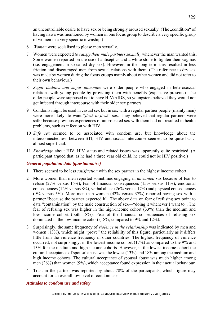an uncontrollable desire to have sex or being strongly aroused sexually. (The ...condition of of having nawa was mentioned by women in one focus group to describe a very specific group of women in a very specific township.)

- 6 *Women* were socialised to please men sexually.
- 7 Women were expected *to satisfy their male partners sexually* whenever the man wanted this. Some women reported on the use of antiseptics and a white stone to tighten their vaginas (i.e. engagement in so-called dry sex). However, in the long term this resulted in less friction and discouraged men from sexual relations with them. (The reference to dry sex was made by women during the focus groups mainly about other women and did not refer to their own behaviour.)
- 8 *Sugar daddies and sugar mummies* were older people who engaged in heterosexual relations with young people by providing them with benefits (expensive presents). The older people were supposed not to have HIV/AIDS, so youngsters believed they would not get infected through intercourse with their older sex partners.
- 9 Condoms might be used in casual sex but in sex with a regular partner people (mainly men) were more likely to want "*flesh-to-flesh*" sex. They believed that regular partners were safer because previous experiences of unprotected sex with them had not resulted in health problems, such as infection with HIV.
- 10 *Safe sex* seemed to be associated with condom use, but knowledge about the interconnectedness between STI, HIV and sexual intercourse seemed to be quite basic, almost superficial.
- 11 *Knowledge* about HIV, HIV status and related issues was apparently quite restricted. (A participant argued that, as he had a three year old child, he could not be HIV positive.)

#### *General population data (questionnaire)*

- 1 There seemed to be less *satisfaction* with the sex partner in the highest income cohort.
- 2 More women than men reported sometimes engaging in *unwanted sex* because of fear to refuse (27% versus 15%), fear of financial consequences (15% versus 11%), emotional consequences (12% versus 8%), verbal abuse (26% versus 17%) and physical consequences (9% versus 5%). More men than women (42% versus 37%) reported having sex with a partner "because the partner expected it". The above data on fear of refusing sex point to data "contamination" by the male construction of sex—"doing it whenever I want to". The fear of refusing sex was higher in the high-income cohort (33%) than the medium and low-income cohort (both 18%). Fear of the financial consequences of refusing sex dominated in the low-income cohort (18%, compared to 9% and 12%).
- 3 Surprisingly, the same frequency of *violence in the relationship* was indicated by men and women (13%), which might "prove" the reliability of this figure, particularly as it differs little from the violence frequency in other countries. The highest frequency of violence occurred, not surprisingly, in the lowest income cohort (17%) as compared to the 9% and 13% for the medium and high income cohorts. However, in the lowest income cohort the cultural acceptance of spousal abuse was the lowest (13%) and 18% among the medium and high income cohorts. The cultural acceptance of spousal abuse was much higher among men (26%) than women (9%), which acceptance found expression in their actual behaviour.
- 4 Trust in the partner was reported by about 78% of the participants, which figure may account for an overall low level of condom use.

#### *Attitudes to condom use and safety*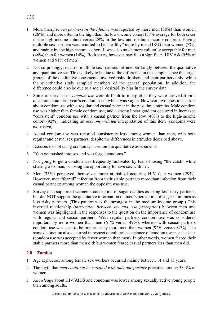- 1 More than *five sex partners in the lifetime* was reported by more men (38%) than women (26%), and more often in the high than the low-income cohort (37% average for both sexes in the high-income cohort versus 29% in the low and medium income cohorts). Having multiple sex partners was reported to be "healthy" more by men (18%) than women (7%), and mainly by the high-income cohort. It was also much more culturally acceptable for men (46%) than for women (14%). Both sexes, however, saw it as a significant HIV risk (95% of women and 91% of men).
- 2 Not surprisingly, data on multiple sex partners differed strikingly between the qualitative and quantitative set. This is likely to be due to the difference in the sample, since the target groups of the qualitative assesments involved risky drinkers and their partners only, while the quantitative study sampled members of the general population. In addition, the difference could also be due to a social desirability bias in the survey data.
- 3 Some of the data on *condom use* were difficult to interpret as they were derived from a question about "last year's condom use", which was vague. However, two questions asked about condom use with a regular and casual partner in the past three months. Male condom use was higher than female condom use, and a strong linear gradient occurred in increased "consistent" condom use with a casual partner from the low (40%) to the high-income cohort (92%), indicating an *economy-related* interpretation of this item (condoms were expensive).
- 4 Actual condom use was reported consistently less among women than men, with both regular and casual sex partners, despite the differences in attitudes described above.
- 5 Excuses for not using condoms, based on the qualitative assessments:
- 6 "You get pushed into sex and you forget condoms."
- 7 Not going to get a condom was frequently motivated by fear of losing "the catch" while chasing a woman, or losing the opportunity to have sex with her.
- 8 Men (35%) perceived themselves more at risk of acquring HIV than women (29%). However, men "feared" infection from their stable partners more than infection from their casual partners; among women the opposite was true.
- 9 Survey data supported women's conception of sugar daddies as being less risky partners, but did NOT support the qualitative information on men's perception of sugar mummies as less risky partners. (This pattern was the strongest in the medium-income group.) This inverted relationship (*interaction between sex and risk perception*) between men and women was highlighted in the responses to the question on the importance of condom use with regular and casual partners: With regular partners condom use was considered important by more women than men (61% versus 49%), whereas with casual partners condom use was seen to be important by more men than women (92% versus 82%). The same distinction also occurred in respect of cultural acceptance of condom use in casual sex (condom use was accepted by fewer women than men). In other words, women feared their stable partners more than men did; but women feared casual partners less than men did.

## **2.8 Zambia**

- 1 Age at *first sex* among female sex workers occurred mainly between 14 and 15 years.
- 2 The myth that *men could not be satisfied with only one partner* prevailed among 33.3% of women.
- 3 *Knowledge* about HIV/AIDS and condoms was lower among sexually active young people than among adults.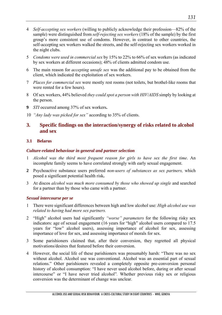- 4 *Self-accepting sex workers* (willing to publicly acknowledge their profession—82% of the sample) were distinguished from *self-rejecting sex workers* (18% of the sample) by the first group's more consistent use of condoms. However, in contrast to other countries, the self-accepting sex workers walked the streets, and the self-rejecting sex workers worked in the night clubs.
- 5 *Condoms were used in commercial sex* by 15% to 22% to 66% of sex workers (as indicated by sex workers at different occasions); 48% of clients admitted condom use.
- 6 The main reason for *accepting unsafe sex* was the additional pay to be obtained from the client, which indicated the exploitation of sex workers.
- 7 *Places for commercial sex* were mostly rest rooms (not toilets, but brothel-like rooms that were rented for a few hours).
- 8 Of sex workers, 44% believed *they could spot a person with HIV/AIDS* simply by looking at the person.
- **9** *STI* occurred among 37% of sex workers**.**
- 10 *"Any lady was picked for sex"* according to 35% of clients.

## **3. Specific findings on the interaction/synergy of risks related to alcohol and sex**

### **3.1 Belarus**

### *Culture-related behaviour in general and partner selection*

- 1 *Alcohol was the third most frequent reason for girls to have sex the first time*. An incomplete family seems to have correlated strongly with early sexual engagement.
- **2** Psychoactive substance users preferred *non-users of substances as sex partners,* which posed a significant potential health risk**.**
- 3 At discos *alcohol was much more consumed by those who showed up single* and searched for a partner than by those who came with a partner.

#### *Sexual intercourse per se*

- 1 There were significant differences between high and low alcohol use: *High alcohol use was related to having had more sex partners.*
- 2 "High" alcohol users had significantly *"worse" parameters* for the following risky sex indicators: age of sexual engagement (16 years for "high" alcohol users compared to 17.5 years for "low" alcohol users), assessing importance of alcohol for sex, assessing importance of love for sex, and assessing importance of morals for sex.
- 3 Some parishioners claimed that, after their conversion, they regretted all physical motivations/desires that featured before their conversion.
- 4 However, the social life of these parishioners was presumably harsh: "There was no sex without alcohol. Alcohol use was conventional. Alcohol was an essential part of sexual relations." Other parishioners revealed a completely opposite pre-conversion personal history of alcohol consumption: "I have never used alcohol before, during or after sexual intercourse" or "I have never tried alcohol"*.* Whether previous risky sex or religious conversion was the determinant of change was unclear.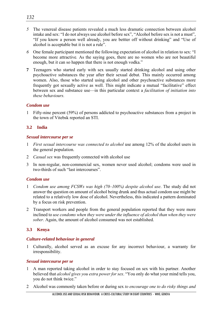- *5* The venereal disease patients revealed a much less dramatic connection between alcohol intake and sex: "I do not always use alcohol before sex", "Alcohol before sex is not a must", "If you know a person well already, you are bettter off without drinking" and "Use of alcohol is acceptable but it is not a rule".
- *6* One female participant mentioned the following expectation of alcohol in relation to sex: "I become more attractive*.* As the saying goes, there are no women who are not beautiful enough, but it can so happen that there is not enough vodka."
- **7** Teenagers who started early with sex usually started drinking alcohol and using other psychoactive substances the year after their sexual debut. This mainly occurred among women. Also, those who started using alcohol and other psychoactive substances more frequently got sexually active as well. This might indicate a mutual "facilitative" effect between sex and substance use—in this particular context a *facilitation of initiation into these behaviours.*

### *Condom use*

1 Fifty-nine percent (59%) of persons addicted to psychoactive substances from a project in the town of Vitebsk reported an STI.

## **3.2 India**

#### *Sexual intercourse per se*

- 1 *First sexual intercourse was connected to alcohol* use among 12% of the alcohol users in the general population.
- 2 *Casual sex* was frequently connected with alcohol use
- 3 In non-regular, non-commercial sex, women never used alcohol; condoms were used in two-thirds of such "last intercourses".

## *Condom use*

- 1 *Condom use among FCSWs was high (70–100%) despite alcohol use*. The study did not answer the question on amount of alcohol being drunk and thus actual condom use might be related to a relatively low dose of alcohol. Nevertheless, this indicated a pattern dominated by a focus on risk prevention.
- 2 Transport workers and people from the general population reported that they were more inclined to *use condoms when they were under the influence of alcohol than when they were sober*. Again, the amount of alcohol consumed was not established.

## **3.3 Kenya**

## *Culture-related behaviour in general*

1 Culturally, alcohol served as an excuse for any incorrect behaviour, a warranty for irresponsibility.

#### *Sexual intercourse per se*

- 1 A man reported taking alcohol in order to stay focused on sex with his partner. Another believed that *alcohol gives you extra power for sex*. "You only do what your mind tells you, you do not think twice."
- 2 Alcohol was commonly taken before or during sex *to encourage one to do risky things and*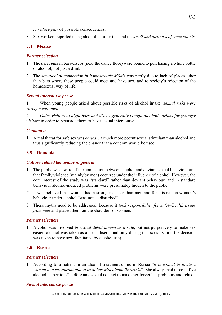*to reduce fear* of possible consequences.

3 Sex workers reported using alcohol in order to stand the *smell and dirtiness of some clients.*

# **3.4 Mexico**

# *Partner selection*

- 1 The *best seats* in bars/discos (near the dance floor) were bound to purchasing a whole bottle of alcohol, not just a drink.
- 2 The *sex-alcohol connection in homosexuals/MSMs* was partly due to lack of places other than bars where these people could meet and have sex, and to society's rejection of the homosexual way of life.

# *Sexual intercourse per se*

1 When young people asked about possible risks of alcohol intake, *sexual risks were rarely mentioned.*

2 *Older visitors to night bars and discos generally bought alcoholic drinks for younger visitors* in order to persuade them to have sexual intercourse.

# *Condom use*

1 A real threat for safe sex was *ecstasy*, a much more potent sexual stimulant than alcohol and thus significantly reducing the chance that a condom would be used.

# **3.5 Romania**

# *Culture-related behaviour in general*

- 1 The public was aware of the connection between alcohol and deviant sexual behaviour and that family violence (mainly by men) occurred under the influence of alcohol. However, the core interest of the study was "standard" rather than deviant behaviour, and in standard behaviour alcohol-induced problems were presumably hidden to the public.
- *2* It was believed that women had a stronger censor than men and for this reason women's behaviour under alcohol "was not so disturbed".
- 3 These myths need to be addressed, because it *took responsibility for safety/health issues from men* and placed them on the shoulders of women*.*

# *Partner selection*

1 Alcohol was involved *in sexual debut almost as a rule***,** but not purposively to make sex easier; alcohol was taken as a "socialiser", and only during that socialisation the decision was taken to have sex (facilitated by alcohol use).

# **3.6 Russia**

# *Partner selection*

1 According to a patient in an alcohol treatment clinic in Russia "*it is typical to invite a woman to a restaurant and to treat her with alcoholic drinks*". She always had three to five alcoholic "portions" before any sexual contact to make her forget her problems and relax.

# *Sexual intercourse per se*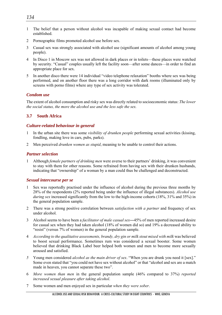- 1 The belief that a person without alcohol was incapable of making sexual contact had become established.
- 2 Pornographic films promoted alcohol use before sex.
- 3 Casual sex was strongly associated with alcohol use (significant amounts of alcohol among young people).
- 4 In Disco 1 in Moscow sex was not allowed in dark places or in toilets—these places were watched by security. "Casual" couples usually left the facility soon—after some dances—in order to find an appropriate place for sex.
- 5 In another disco there were 14 individual "video telephone relaxation" booths where sex was being performed, and on another floor there was a long corridor with dark rooms (illuminated only by screens with porno films) where any type of sex activity was tolerated.

## *Condom use*

The extent of alcohol consumption and risky sex was directly related to socioeconomic status: *The lower the social status, the more the alcohol use and the less safe the sex.*

# **3.7 South Africa**

### *Culture-related behaviour in general*

- 1 In the urban site there was some *visibility of drunken people* performing sexual activities (kissing, fondling, making love in cars, pubs, parks).
- 2 Men perceived *drunken women as stupid*, meaning to be unable to control their actions.

## *Partner selection*

1 Although *female partners of drinking men* were averse to their partners' drinking, it was convenient to stay with them for other reasons. Some refrained from having sex with their drunken husbands, indicating that "ownership" of a woman by a man could thus be challenged and deconstructed.

### *Sexual intercourse per se*

- 1 Sex was reportedly practised under the influence of alcohol during the previous three months by 28% of the respondents (2% reported being under the influence of illegal substances). *Alcohol use during sex* increased significantly from the low to the high-income cohorts (18%, 31% and 35%) in the general population sample.
- 2 There was a strong positive correlation between *satisfaction with a partner* and frequency of sex under alcohol.
- 3 Alcohol seems to have been a *facilitator of male casual sex***—**45% of men reported increased desire for casual sex when they had taken alcohol (18% of women did so) and 19% a decreased ability to "resist" (versus 7% of women) in the general population sample.
- 4 *According to the qualitative assessments, brandy, dry gin or milk stout mixed with milk* was believed to boost sexual performance. Sometimes rum was considered a sexual booster. Some women believed that drinking Black Label beer helped both women and men to become more sexually aroused and satisfied.
- *5* Young men considered *alcohol as the main driver of sex*. "When you are drunk you need it [sex]." Some even stated that "you could not have sex without alcohol" or that "alcohol and sex are a match made in heaven, you cannot separate these two".
- 6 *More women than men* in the general population sample (46% compared to 37%) *reported increased sexual pleasure after taking alcohol*.
- 7 Some women and men enjoyed sex in particular *when they were sober*.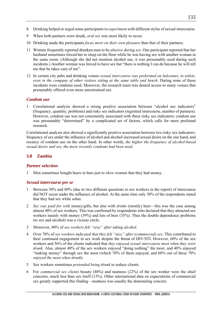- 8 Drinking helped or urged some participants to *experiment* with different styles of sexual intercourse.
- 9 When both partners were drunk, *oral sex* was more likely to occur.
- 10 Drinking made the participants *focus more on their own pleasure* than that of their partners.
- 11 Women frequently reported drunken men to be *abusive during sex*. One participant reported that her husband sometimes forced her to sleep on the floor while he was having sex with another woman in the same room. (Although she did not mention alcohol use, it was presumably used during such incidents.) Another woman was forced to have sex but "there is nothing I can do because he will tell me that he takes care of me".
- 12 In certain city pubs and drinking venues *sexual intercourse was performed on balconies, in toilets, even in the company of other visitors sitting at the same table and bench*. During none of these incidents were condoms used. Moreover, the research team was denied access to many venues that presumably offered even more unrestrained sex.

### *Condom use*

1 Correlational analysis showed a strong positive association between "alcohol use indicators" (frequency, quantity, problems) and risky sex indicators (regretted intercourse, number of partners). However, condom use was not consistently associated with these risky sex indicators; condom use was presumably "determined" by a complicated set of factors, which calls for more profound research.

Correlational analysis also showed a significantly positive association between two risky sex indicators: frequency of sex under the influence of alcohol and alcohol-increased sexual desire on the one hand, and recency of condom use on the other hand. In other words, *the higher the frequency of alcohol-based sexual desire and sex, the more recently condoms had been used*.

### **3.8 Zambia**

### *Partner selection*

1 Men sometimes bought beers in bars just to *show* women that they had money.

### *Sexual intercourse per se*

- 1 Between 30% and 80% (due to two different questions to sex workers in the report) of intercourse did NOT occur under the influence of alcohol. At the same time only 30% of the respondents stated that they had sex while sober.
- 2 *Sex was paid for with* money/gifts, but also with *drinks* (mostly) beer—this was the case among almost 40% of sex workers. This was confirmed by respondents who declared that they attracted sex workers mainly with money (39%) and lots of beer (35%). Thus the double dependence problems (to sex and alcohol) was a vicious circle.
- 3 Moreover, 40% of *sex workers felt "sexy" after taking alcohol*.
- 4 Over 70% of *sex workers indicated that they felt "nice" after (commercial) sex*. This contributed to their continued engagement in sex work despite the threat of HIV/STI. However, 60% of the sex workers and 56% of the clients indicated that *they enjoyed sexual intercourse most when they were drunk*. Also, almost 40% of the sex workers enjoyed "doing nothing" the most, and 40% enjoyed "making money" through sex the most (which 70% of them enjoyed, and 60% out of these 70% *enjoyed the most when drunk*).
- 5 Sex workers sometimes *pretended being drunk* to seduce clients.
- 6 For *commercial sex clients* beauty (48%) and neatness (22%) of the sex worker were the chief concerns, much less than sex itself (13%). Other international data on expectations of commercial sex greatly supported this finding—neatness was usually the dominating concern.